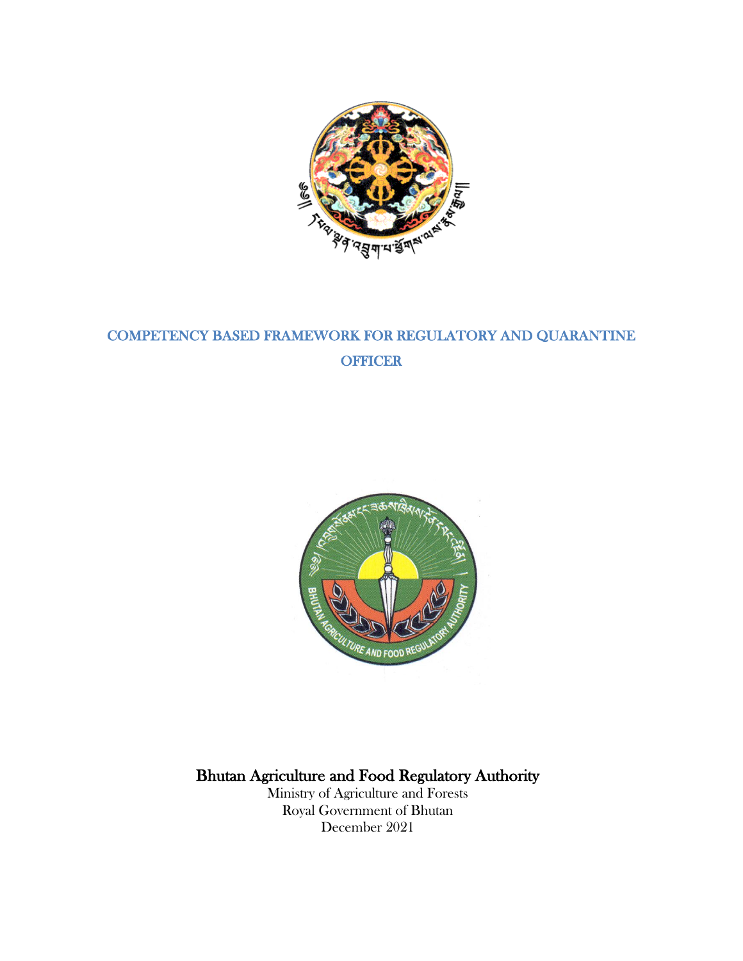

# COMPETENCY BASED FRAMEWORK FOR REGULATORY AND QUARANTINE **OFFICER**



# Bhutan Agriculture and Food Regulatory Authority

Ministry of Agriculture and Forests Royal Government of Bhutan December 2021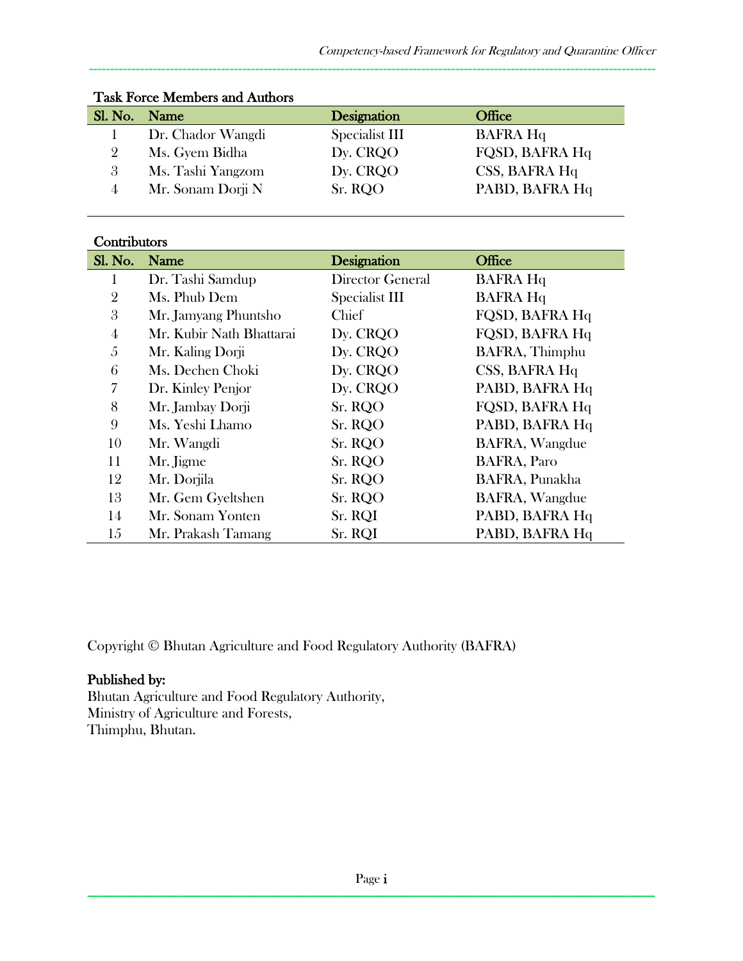| Sl. No. Name |                   | Designation    | Office          |
|--------------|-------------------|----------------|-----------------|
|              | Dr. Chador Wangdi | Specialist III | <b>BAFRA Hq</b> |
|              | Ms. Gyem Bidha    | Dy. CRQO       | FQSD, BAFRA Hq  |
| 3            | Ms. Tashi Yangzom | Dy. CRQO       | CSS, BAFRA Hq   |
|              | Mr. Sonam Dorji N | Sr. RQO        | PABD, BAFRA Hq  |

#### Task Force Members and Authors

#### **Contributors**

| Sl. No. | Name                     | Designation      | Office                |
|---------|--------------------------|------------------|-----------------------|
|         | Dr. Tashi Samdup         | Director General | <b>BAFRA Hq</b>       |
| 2       | Ms. Phub Dem             | Specialist III   | <b>BAFRA Hq</b>       |
| 3       | Mr. Jamyang Phuntsho     | Chief            | FQSD, BAFRA Hq        |
| 4       | Mr. Kubir Nath Bhattarai | Dy. CRQO         | FQSD, BAFRA Hq        |
| 5       | Mr. Kaling Dorji         | Dy. CRQO         | BAFRA, Thimphu        |
| 6       | Ms. Dechen Choki         | Dy. CRQO         | CSS, BAFRA Hq         |
| 7       | Dr. Kinley Penjor        | Dy. CRQO         | PABD, BAFRA Hq        |
| 8       | Mr. Jambay Dorji         | Sr. RQO          | FQSD, BAFRA Hq        |
| 9       | Ms. Yeshi Lhamo          | Sr. RQO          | PABD, BAFRA Hq        |
| 10      | Mr. Wangdi               | Sr. RQO          | <b>BAFRA, Wangdue</b> |
| 11      | Mr. Jigme                | Sr. RQO          | <b>BAFRA, Paro</b>    |
| 12      | Mr. Dorjila              | Sr. RQO          | BAFRA, Punakha        |
| 13      | Mr. Gem Gyeltshen        | Sr. RQO          | <b>BAFRA, Wangdue</b> |
| 14      | Mr. Sonam Yonten         | Sr. RQI          | PABD, BAFRA Hq        |
| 15      | Mr. Prakash Tamang       | Sr. RQI          | PABD, BAFRA Hq        |

Copyright © Bhutan Agriculture and Food Regulatory Authority (BAFRA)

#### Published by:

Bhutan Agriculture and Food Regulatory Authority, Ministry of Agriculture and Forests, Thimphu, Bhutan.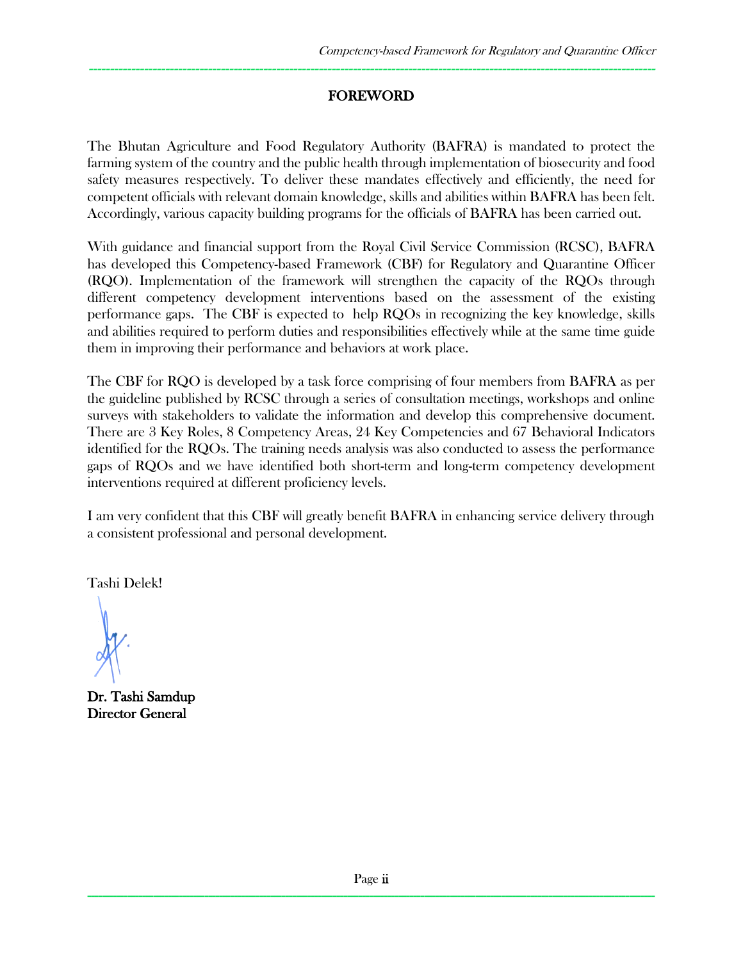## FOREWORD

-------------------------------------------------------------------------------------------------------------------------------------

The Bhutan Agriculture and Food Regulatory Authority (BAFRA) is mandated to protect the farming system of the country and the public health through implementation of biosecurity and food safety measures respectively. To deliver these mandates effectively and efficiently, the need for competent officials with relevant domain knowledge, skills and abilities within BAFRA has been felt. Accordingly, various capacity building programs for the officials of BAFRA has been carried out.

With guidance and financial support from the Royal Civil Service Commission (RCSC), BAFRA has developed this Competency-based Framework (CBF) for Regulatory and Quarantine Officer (RQO). Implementation of the framework will strengthen the capacity of the RQOs through different competency development interventions based on the assessment of the existing performance gaps. The CBF is expected to help RQOs in recognizing the key knowledge, skills and abilities required to perform duties and responsibilities effectively while at the same time guide them in improving their performance and behaviors at work place.

The CBF for RQO is developed by a task force comprising of four members from BAFRA as per the guideline published by RCSC through a series of consultation meetings, workshops and online surveys with stakeholders to validate the information and develop this comprehensive document. There are 3 Key Roles, 8 Competency Areas, 24 Key Competencies and 67 Behavioral Indicators identified for the RQOs. The training needs analysis was also conducted to assess the performance gaps of RQOs and we have identified both short-term and long-term competency development interventions required at different proficiency levels.

I am very confident that this CBF will greatly benefit BAFRA in enhancing service delivery through a consistent professional and personal development.

Tashi Delek!

Dr. Tashi Samdup Director General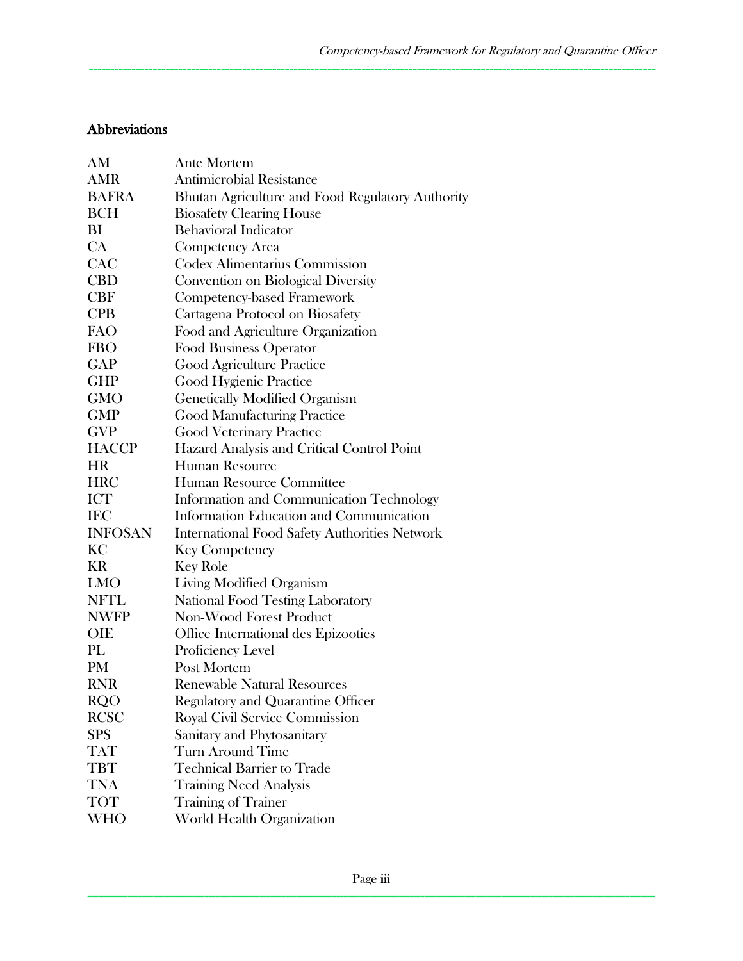#### Abbreviations

| AM             | <b>Ante Mortem</b>                                   |  |
|----------------|------------------------------------------------------|--|
| <b>AMR</b>     | <b>Antimicrobial Resistance</b>                      |  |
| <b>BAFRA</b>   | Bhutan Agriculture and Food Regulatory Authority     |  |
| <b>BCH</b>     | <b>Biosafety Clearing House</b>                      |  |
| BI             | <b>Behavioral Indicator</b>                          |  |
| CA             | <b>Competency Area</b>                               |  |
| CAC            | <b>Codex Alimentarius Commission</b>                 |  |
| <b>CBD</b>     | Convention on Biological Diversity                   |  |
| <b>CBF</b>     | Competency-based Framework                           |  |
| <b>CPB</b>     | Cartagena Protocol on Biosafety                      |  |
| <b>FAO</b>     | Food and Agriculture Organization                    |  |
| <b>FBO</b>     | <b>Food Business Operator</b>                        |  |
| <b>GAP</b>     | Good Agriculture Practice                            |  |
| <b>GHP</b>     | Good Hygienic Practice                               |  |
| <b>GMO</b>     | <b>Genetically Modified Organism</b>                 |  |
| GMP            | <b>Good Manufacturing Practice</b>                   |  |
| <b>GVP</b>     | <b>Good Veterinary Practice</b>                      |  |
| <b>HACCP</b>   | Hazard Analysis and Critical Control Point           |  |
| <b>HR</b>      | <b>Human Resource</b>                                |  |
| <b>HRC</b>     | Human Resource Committee                             |  |
| <b>ICT</b>     | Information and Communication Technology             |  |
| <b>IEC</b>     | Information Education and Communication              |  |
| <b>INFOSAN</b> | <b>International Food Safety Authorities Network</b> |  |
| KC             | <b>Key Competency</b>                                |  |
| KR             | <b>Key Role</b>                                      |  |
| <b>LMO</b>     | Living Modified Organism                             |  |
| <b>NFTL</b>    | <b>National Food Testing Laboratory</b>              |  |
| <b>NWFP</b>    | Non-Wood Forest Product                              |  |
| OIE            | Office International des Epizooties                  |  |
| PL             | Proficiency Level                                    |  |
| <b>PM</b>      | Post Mortem                                          |  |
| <b>RNR</b>     | <b>Renewable Natural Resources</b>                   |  |
| <b>RQO</b>     | <b>Regulatory and Quarantine Officer</b>             |  |
| <b>RCSC</b>    | <b>Royal Civil Service Commission</b>                |  |
| <b>SPS</b>     | Sanitary and Phytosanitary                           |  |
| <b>TAT</b>     | <b>Turn Around Time</b>                              |  |
| <b>TBT</b>     | <b>Technical Barrier to Trade</b>                    |  |
| <b>TNA</b>     | <b>Training Need Analysis</b>                        |  |
| <b>TOT</b>     | <b>Training of Trainer</b>                           |  |
| WHO            | World Health Organization                            |  |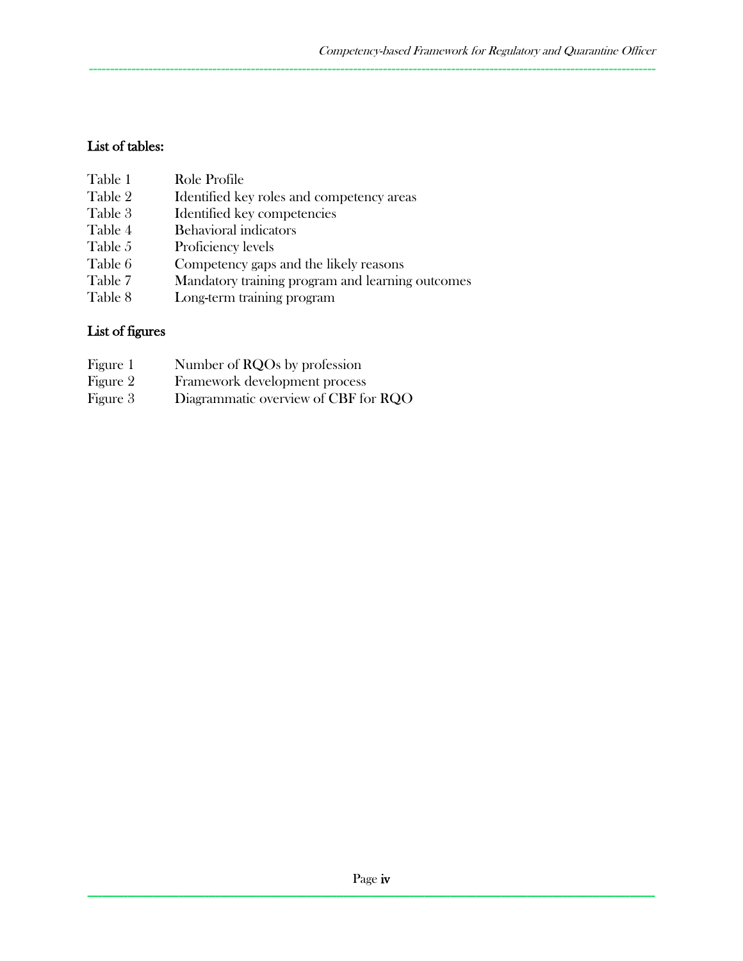# List of tables:

| Table 1 | Role Profile                                     |
|---------|--------------------------------------------------|
| Table 2 | Identified key roles and competency areas        |
| Table 3 | Identified key competencies                      |
| Table 4 | <b>Behavioral indicators</b>                     |
| Table 5 | Proficiency levels                               |
| Table 6 | Competency gaps and the likely reasons           |
| Table 7 | Mandatory training program and learning outcomes |
| Table 8 | Long-term training program                       |

# List of figures

| Figure 1 | Number of RQOs by profession         |
|----------|--------------------------------------|
| Figure 2 | Framework development process        |
| Figure 3 | Diagrammatic overview of CBF for RQO |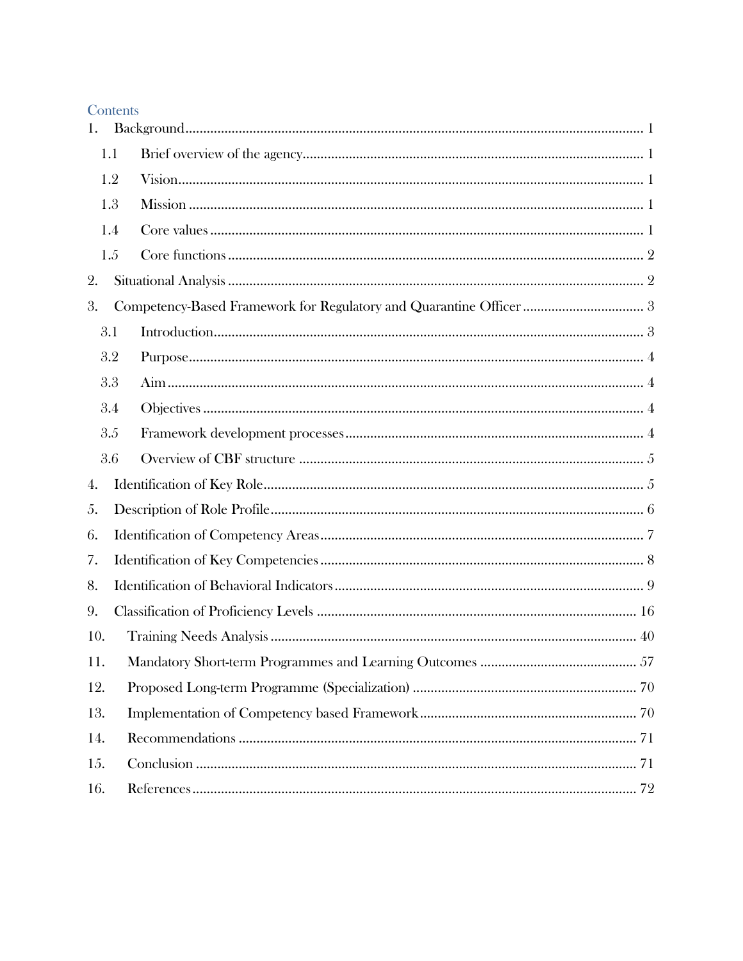| ī. |  |  |
|----|--|--|

| 1.  |     |                                                                     |  |  |
|-----|-----|---------------------------------------------------------------------|--|--|
|     | 1.1 |                                                                     |  |  |
|     | 1.2 |                                                                     |  |  |
|     | 1.3 |                                                                     |  |  |
|     | 1.4 |                                                                     |  |  |
|     | 1.5 |                                                                     |  |  |
| 2.  |     |                                                                     |  |  |
| 3.  |     | Competency-Based Framework for Regulatory and Quarantine Officer  3 |  |  |
|     | 3.1 |                                                                     |  |  |
|     | 3.2 |                                                                     |  |  |
|     | 3.3 |                                                                     |  |  |
|     | 3.4 |                                                                     |  |  |
|     | 3.5 |                                                                     |  |  |
|     | 3.6 |                                                                     |  |  |
| 4.  |     |                                                                     |  |  |
| 5.  |     |                                                                     |  |  |
| 6.  |     |                                                                     |  |  |
| 7.  |     |                                                                     |  |  |
| 8.  |     |                                                                     |  |  |
| 9.  |     |                                                                     |  |  |
| 10. |     |                                                                     |  |  |
| 11. |     |                                                                     |  |  |
| 12. |     |                                                                     |  |  |
| 13. |     |                                                                     |  |  |
| 14. |     |                                                                     |  |  |
| 15. |     |                                                                     |  |  |
| 16. |     |                                                                     |  |  |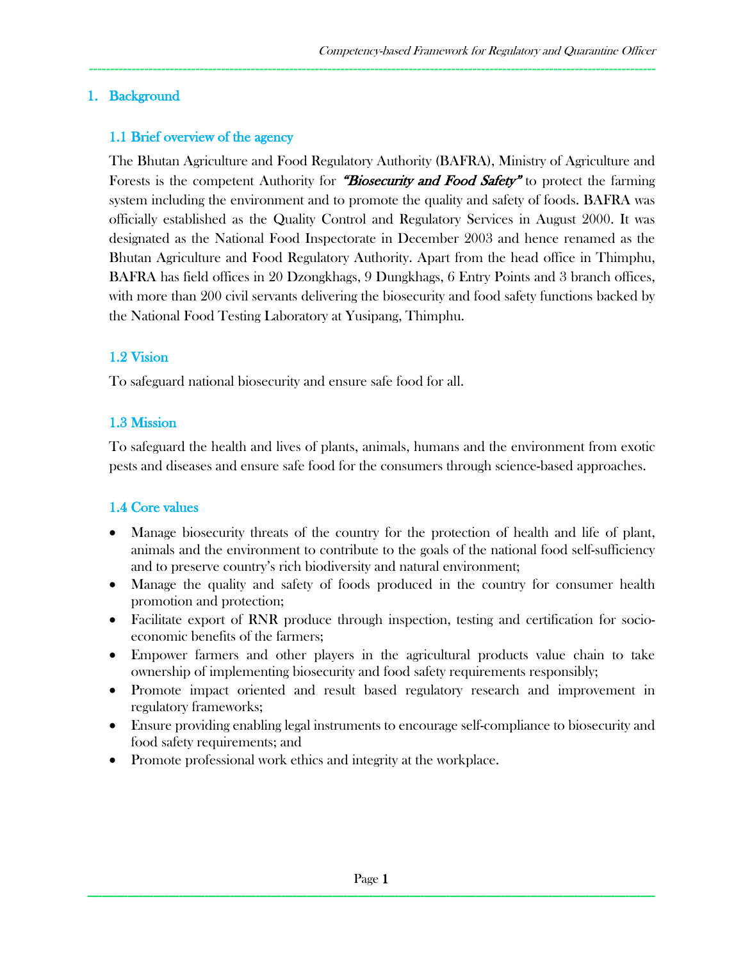#### 1. Background

### 1.1 Brief overview of the agency

The Bhutan Agriculture and Food Regulatory Authority (BAFRA), Ministry of Agriculture and Forests is the competent Authority for "Biosecurity and Food Safety" to protect the farming system including the environment and to promote the quality and safety of foods. BAFRA was officially established as the Quality Control and Regulatory Services in August 2000. It was designated as the National Food Inspectorate in December 2003 and hence renamed as the Bhutan Agriculture and Food Regulatory Authority. Apart from the head office in Thimphu, BAFRA has field offices in 20 Dzongkhags, 9 Dungkhags, 6 Entry Points and 3 branch offices, with more than 200 civil servants delivering the biosecurity and food safety functions backed by the National Food Testing Laboratory at Yusipang, Thimphu.

-------------------------------------------------------------------------------------------------------------------------------------

### 1.2 Vision

To safeguard national biosecurity and ensure safe food for all.

### 1.3 Mission

To safeguard the health and lives of plants, animals, humans and the environment from exotic pests and diseases and ensure safe food for the consumers through science-based approaches.

#### 1.4 Core values

- Manage biosecurity threats of the country for the protection of health and life of plant, animals and the environment to contribute to the goals of the national food self-sufficiency and to preserve country's rich biodiversity and natural environment;
- Manage the quality and safety of foods produced in the country for consumer health promotion and protection;
- Facilitate export of RNR produce through inspection, testing and certification for socioeconomic benefits of the farmers;
- Empower farmers and other players in the agricultural products value chain to take ownership of implementing biosecurity and food safety requirements responsibly;
- Promote impact oriented and result based regulatory research and improvement in regulatory frameworks;
- Ensure providing enabling legal instruments to encourage self-compliance to biosecurity and food safety requirements; and
- Promote professional work ethics and integrity at the workplace.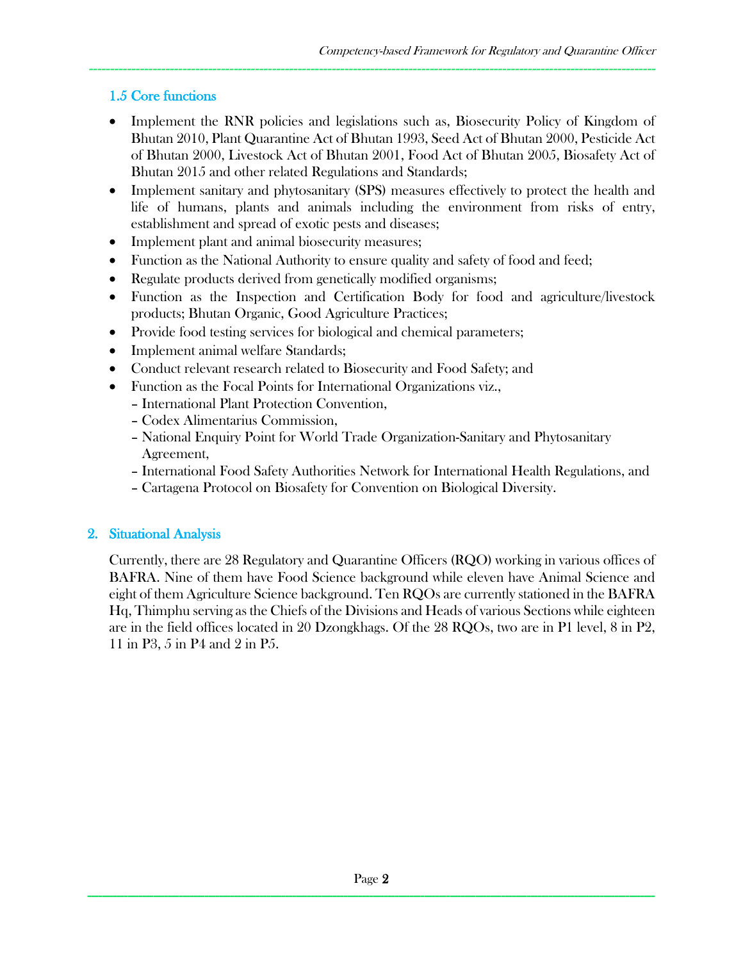### 1.5 Core functions

• Implement the RNR policies and legislations such as, Biosecurity Policy of Kingdom of Bhutan 2010, Plant Quarantine Act of Bhutan 1993, Seed Act of Bhutan 2000, Pesticide Act of Bhutan 2000, Livestock Act of Bhutan 2001, Food Act of Bhutan 2005, Biosafety Act of Bhutan 2015 and other related Regulations and Standards;

-------------------------------------------------------------------------------------------------------------------------------------

- Implement sanitary and phytosanitary (SPS) measures effectively to protect the health and life of humans, plants and animals including the environment from risks of entry, establishment and spread of exotic pests and diseases;
- Implement plant and animal biosecurity measures;
- Function as the National Authority to ensure quality and safety of food and feed;
- Regulate products derived from genetically modified organisms;
- Function as the Inspection and Certification Body for food and agriculture/livestock products; Bhutan Organic, Good Agriculture Practices;
- Provide food testing services for biological and chemical parameters;
- Implement animal welfare Standards;
- Conduct relevant research related to Biosecurity and Food Safety; and
- Function as the Focal Points for International Organizations viz.,
	- International Plant Protection Convention,
	- Codex Alimentarius Commission,
	- National Enquiry Point for World Trade Organization-Sanitary and Phytosanitary Agreement,
	- International Food Safety Authorities Network for International Health Regulations, and
	- Cartagena Protocol on Biosafety for Convention on Biological Diversity.

#### 2. Situational Analysis

Currently, there are 28 Regulatory and Quarantine Officers (RQO) working in various offices of BAFRA. Nine of them have Food Science background while eleven have Animal Science and eight of them Agriculture Science background. Ten RQOs are currently stationed in the BAFRA Hq, Thimphu serving as the Chiefs of the Divisions and Heads of various Sections while eighteen are in the field offices located in 20 Dzongkhags. Of the 28 RQOs, two are in P1 level, 8 in P2, 11 in P3, 5 in P4 and 2 in P5.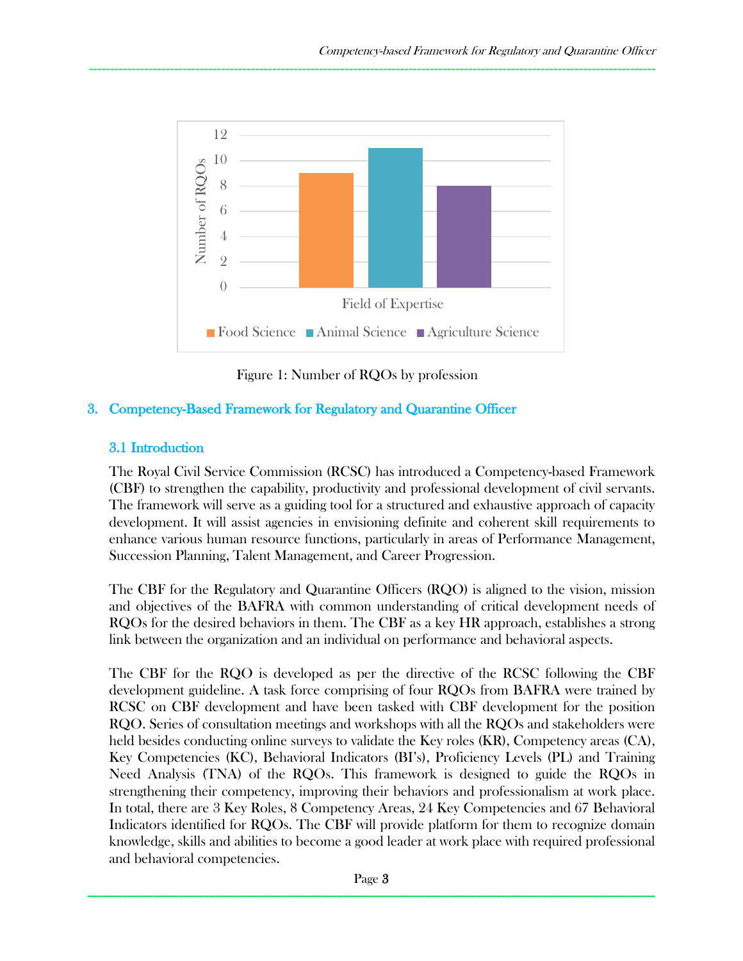

Figure 1: Number of RQOs by profession

### 3. Competency-Based Framework for Regulatory and Quarantine Officer

#### 3.1 Introduction

The Royal Civil Service Commission (RCSC) has introduced a Competency-based Framework (CBF) to strengthen the capability, productivity and professional development of civil servants. The framework will serve as a guiding tool for a structured and exhaustive approach of capacity development. It will assist agencies in envisioning definite and coherent skill requirements to enhance various human resource functions, particularly in areas of Performance Management, Succession Planning, Talent Management, and Career Progression.

The CBF for the Regulatory and Quarantine Officers (RQO) is aligned to the vision, mission and objectives of the BAFRA with common understanding of critical development needs of RQOs for the desired behaviors in them. The CBF as a key HR approach, establishes a strong link between the organization and an individual on performance and behavioral aspects.

The CBF for the RQO is developed as per the directive of the RCSC following the CBF development guideline. A task force comprising of four RQOs from BAFRA were trained by RCSC on CBF development and have been tasked with CBF development for the position RQO. Series of consultation meetings and workshops with all the RQOs and stakeholders were held besides conducting online surveys to validate the Key roles (KR), Competency areas (CA), Key Competencies (KC), Behavioral Indicators (BI's), Proficiency Levels (PL) and Training Need Analysis (TNA) of the RQOs. This framework is designed to guide the RQOs in strengthening their competency, improving their behaviors and professionalism at work place. In total, there are 3 Key Roles, 8 Competency Areas, 24 Key Competencies and 67 Behavioral Indicators identified for RQOs. The CBF will provide platform for them to recognize domain knowledge, skills and abilities to become a good leader at work place with required professional and behavioral competencies.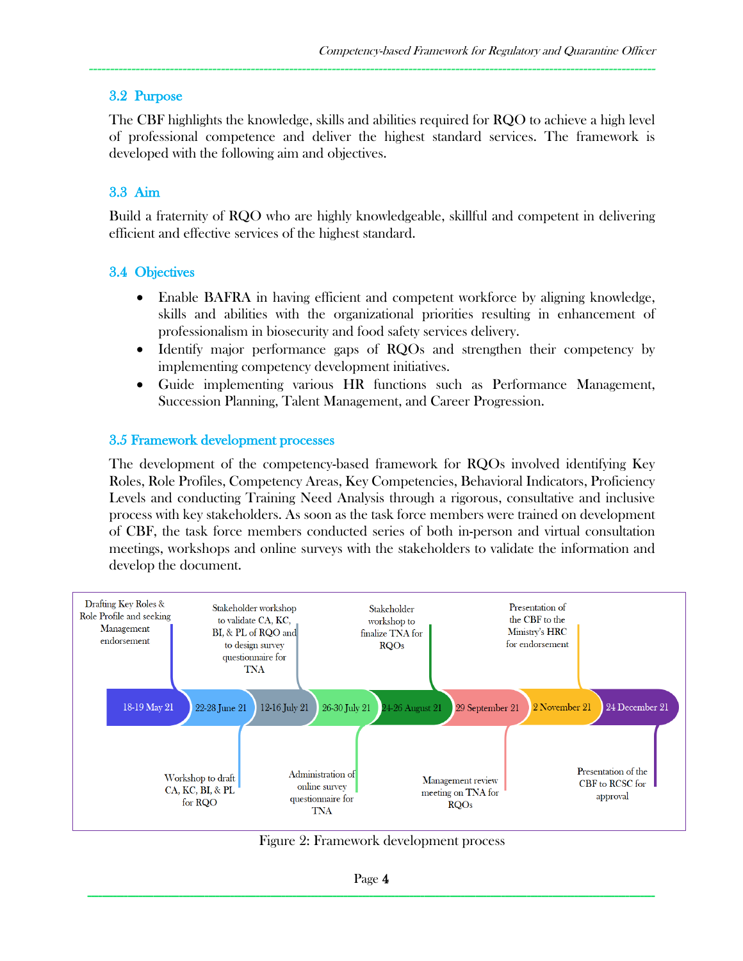#### 3.2 Purpose

The CBF highlights the knowledge, skills and abilities required for RQO to achieve a high level of professional competence and deliver the highest standard services. The framework is developed with the following aim and objectives.

-------------------------------------------------------------------------------------------------------------------------------------

## 3.3 Aim

Build a fraternity of RQO who are highly knowledgeable, skillful and competent in delivering efficient and effective services of the highest standard.

#### 3.4 Objectives

- Enable BAFRA in having efficient and competent workforce by aligning knowledge, skills and abilities with the organizational priorities resulting in enhancement of professionalism in biosecurity and food safety services delivery.
- Identify major performance gaps of RQOs and strengthen their competency by implementing competency development initiatives.
- Guide implementing various HR functions such as Performance Management, Succession Planning, Talent Management, and Career Progression.

#### 3.5 Framework development processes

The development of the competency-based framework for RQOs involved identifying Key Roles, Role Profiles, Competency Areas, Key Competencies, Behavioral Indicators, Proficiency Levels and conducting Training Need Analysis through a rigorous, consultative and inclusive process with key stakeholders. As soon as the task force members were trained on development of CBF, the task force members conducted series of both in-person and virtual consultation meetings, workshops and online surveys with the stakeholders to validate the information and develop the document.



Figure 2: Framework development process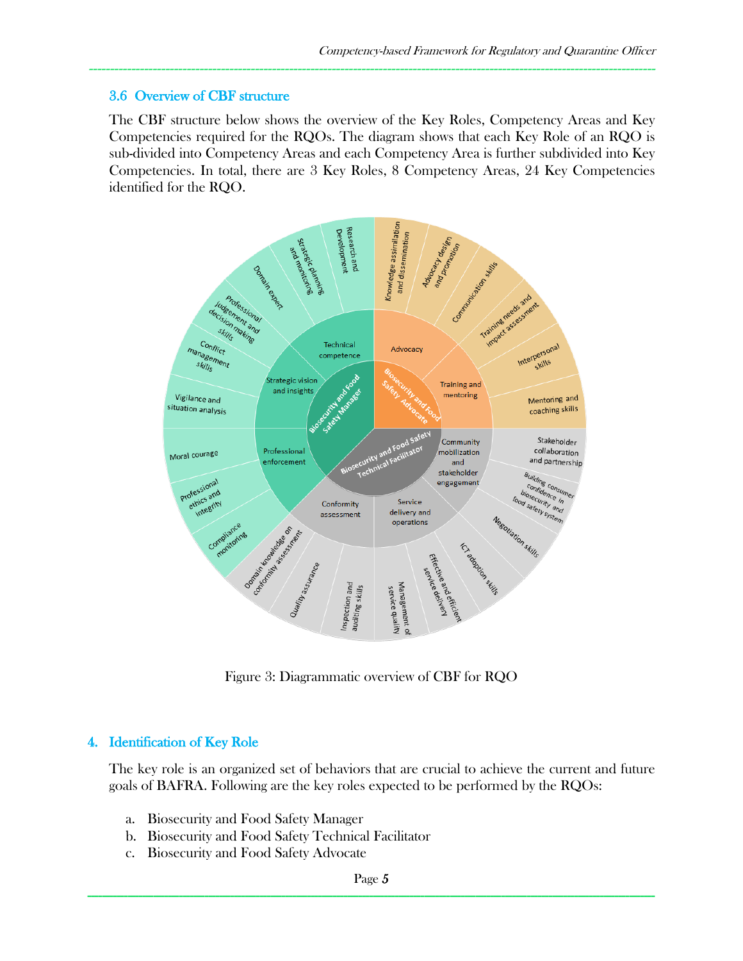#### 3.6 Overview of CBF structure

The CBF structure below shows the overview of the Key Roles, Competency Areas and Key Competencies required for the RQOs. The diagram shows that each Key Role of an RQO is sub-divided into Competency Areas and each Competency Area is further subdivided into Key Competencies. In total, there are 3 Key Roles, 8 Competency Areas, 24 Key Competencies identified for the RQO.

-------------------------------------------------------------------------------------------------------------------------------------



Figure 3: Diagrammatic overview of CBF for RQO

#### 4. Identification of Key Role

The key role is an organized set of behaviors that are crucial to achieve the current and future goals of BAFRA. Following are the key roles expected to be performed by the RQOs:

- a. Biosecurity and Food Safety Manager
- b. Biosecurity and Food Safety Technical Facilitator
- c. Biosecurity and Food Safety Advocate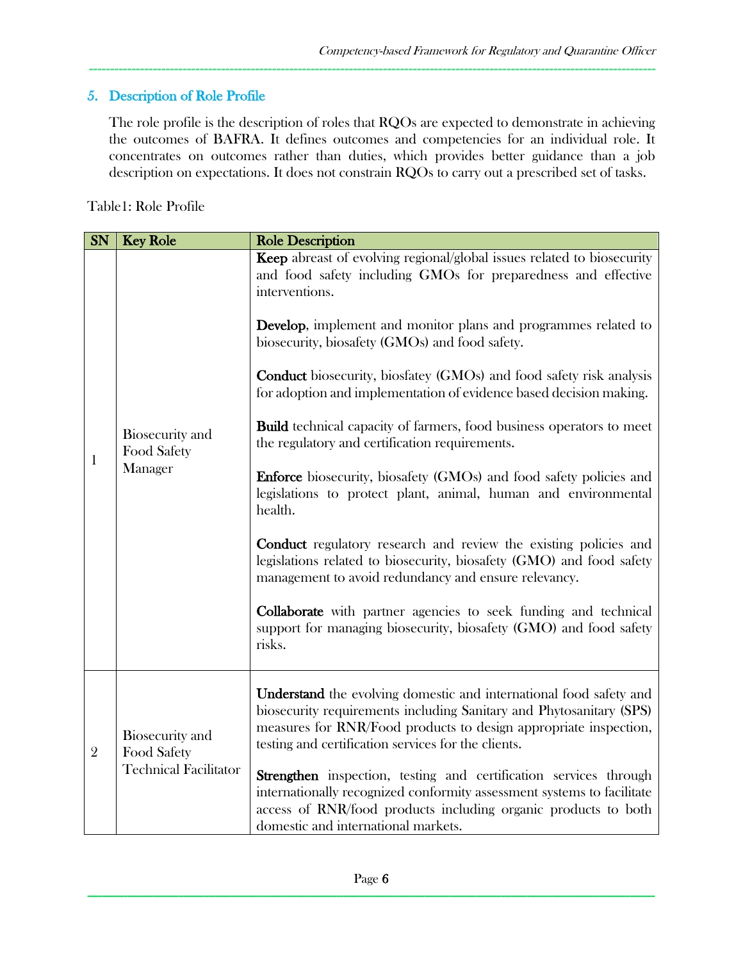## 5. Description of Role Profile

The role profile is the description of roles that RQOs are expected to demonstrate in achieving the outcomes of BAFRA. It defines outcomes and competencies for an individual role. It concentrates on outcomes rather than duties, which provides better guidance than a job description on expectations. It does not constrain RQOs to carry out a prescribed set of tasks.

-------------------------------------------------------------------------------------------------------------------------------------

Table1: Role Profile

| <b>SN</b>      | <b>Key Role</b>                                                       | <b>Role Description</b>                                                                                                                                                                                                                                                                                                                                                                                                                                                                                                                                                                                                                                                                                                                                                                                                                                                                                                                                                                                                                                                                                  |  |  |
|----------------|-----------------------------------------------------------------------|----------------------------------------------------------------------------------------------------------------------------------------------------------------------------------------------------------------------------------------------------------------------------------------------------------------------------------------------------------------------------------------------------------------------------------------------------------------------------------------------------------------------------------------------------------------------------------------------------------------------------------------------------------------------------------------------------------------------------------------------------------------------------------------------------------------------------------------------------------------------------------------------------------------------------------------------------------------------------------------------------------------------------------------------------------------------------------------------------------|--|--|
| $\mathbf{1}$   | Biosecurity and<br>Food Safety<br>Manager                             | <b>Keep</b> abreast of evolving regional/global issues related to biosecurity<br>and food safety including GMOs for preparedness and effective<br>interventions.<br><b>Develop</b> , implement and monitor plans and programmes related to<br>biosecurity, biosafety (GMOs) and food safety.<br>Conduct biosecurity, biosfatey (GMOs) and food safety risk analysis<br>for adoption and implementation of evidence based decision making.<br><b>Build</b> technical capacity of farmers, food business operators to meet<br>the regulatory and certification requirements.<br><b>Enforce</b> biosecurity, biosafety (GMOs) and food safety policies and<br>legislations to protect plant, animal, human and environmental<br>health.<br><b>Conduct</b> regulatory research and review the existing policies and<br>legislations related to biosecurity, biosafety (GMO) and food safety<br>management to avoid redundancy and ensure relevancy.<br><b>Collaborate</b> with partner agencies to seek funding and technical<br>support for managing biosecurity, biosafety (GMO) and food safety<br>risks. |  |  |
| $\overline{2}$ | <b>Biosecurity</b> and<br>Food Safety<br><b>Technical Facilitator</b> | <b>Understand</b> the evolving domestic and international food safety and<br>biosecurity requirements including Sanitary and Phytosanitary (SPS)<br>measures for RNR/Food products to design appropriate inspection,<br>testing and certification services for the clients.<br><b>Strengthen</b> inspection, testing and certification services through<br>internationally recognized conformity assessment systems to facilitate<br>access of RNR/food products including organic products to both<br>domestic and international markets.                                                                                                                                                                                                                                                                                                                                                                                                                                                                                                                                                               |  |  |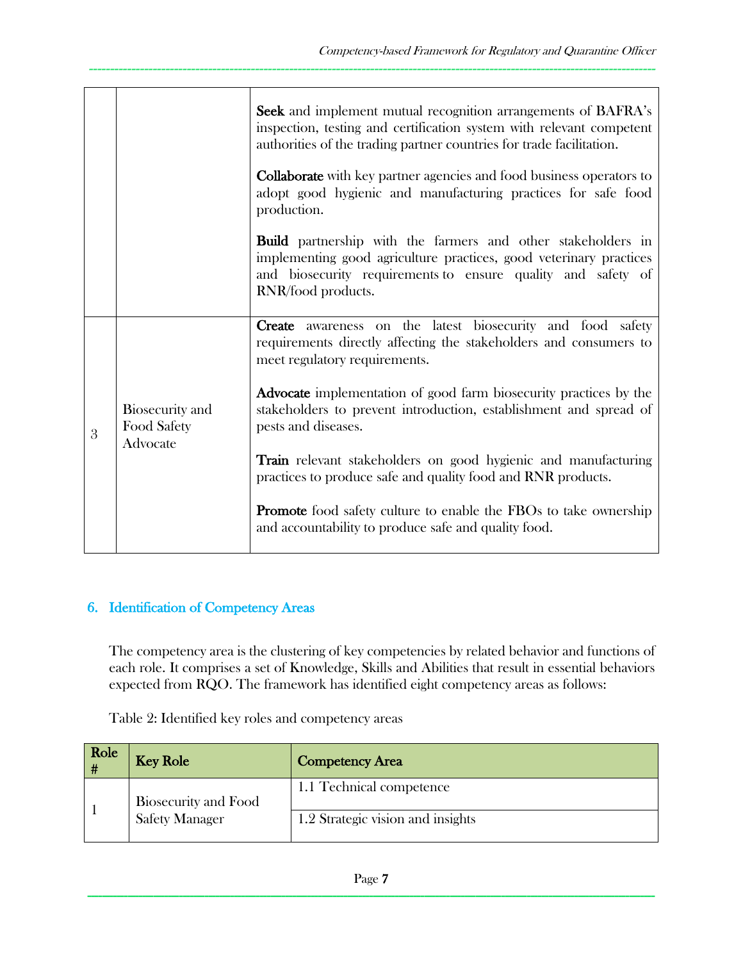|   |                                            | Seek and implement mutual recognition arrangements of BAFRA's<br>inspection, testing and certification system with relevant competent<br>authorities of the trading partner countries for trade facilitation.                   |
|---|--------------------------------------------|---------------------------------------------------------------------------------------------------------------------------------------------------------------------------------------------------------------------------------|
|   |                                            | <b>Collaborate</b> with key partner agencies and food business operators to<br>adopt good hygienic and manufacturing practices for safe food<br>production.                                                                     |
|   |                                            | <b>Build</b> partnership with the farmers and other stakeholders in<br>implementing good agriculture practices, good veterinary practices<br>and biosecurity requirements to ensure quality and safety of<br>RNR/food products. |
| 3 | Biosecurity and<br>Food Safety<br>Advocate | Create awareness on the latest biosecurity and food safety<br>requirements directly affecting the stakeholders and consumers to<br>meet regulatory requirements.                                                                |
|   |                                            | <b>Advocate</b> implementation of good farm biosecurity practices by the<br>stakeholders to prevent introduction, establishment and spread of<br>pests and diseases.                                                            |
|   |                                            | <b>Train</b> relevant stakeholders on good hygienic and manufacturing<br>practices to produce safe and quality food and RNR products.                                                                                           |
|   |                                            | <b>Promote</b> food safety culture to enable the FBOs to take ownership<br>and accountability to produce safe and quality food.                                                                                                 |

## 6. Identification of Competency Areas

The competency area is the clustering of key competencies by related behavior and functions of each role. It comprises a set of Knowledge, Skills and Abilities that result in essential behaviors expected from RQO. The framework has identified eight competency areas as follows:

Table 2: Identified key roles and competency areas

| <b>Role</b><br># | <b>Key Role</b>             | <b>Competency Area</b>            |
|------------------|-----------------------------|-----------------------------------|
|                  | <b>Biosecurity and Food</b> | 1.1 Technical competence          |
|                  | <b>Safety Manager</b>       | 1.2 Strategic vision and insights |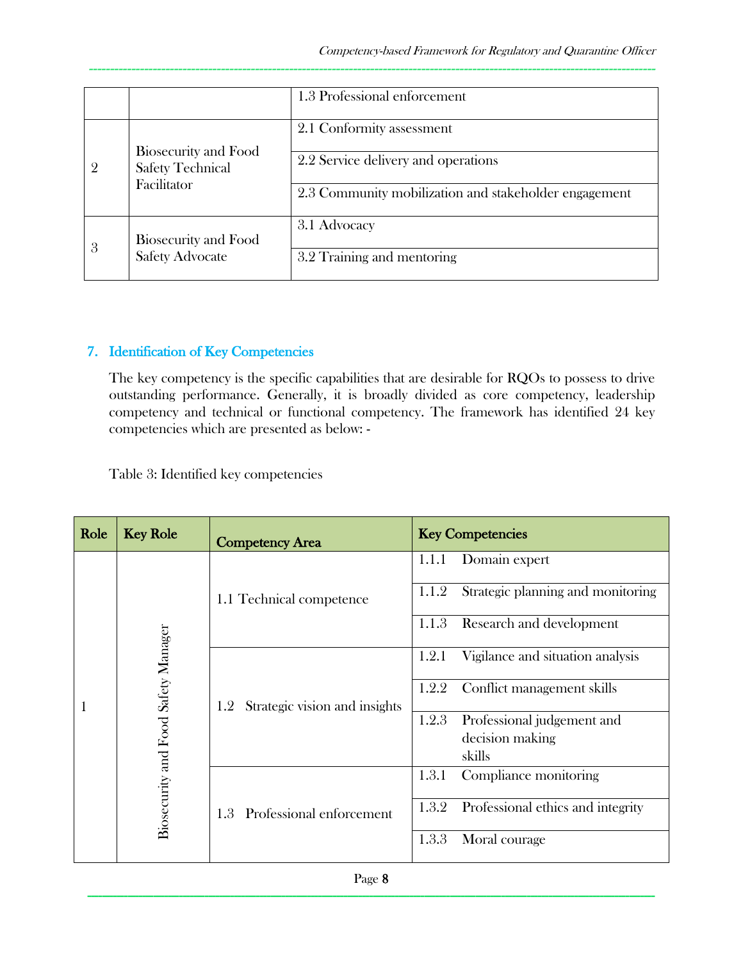|   |                                                                | 1.3 Professional enforcement                          |
|---|----------------------------------------------------------------|-------------------------------------------------------|
|   | Biosecurity and Food<br><b>Safety Technical</b><br>Facilitator | 2.1 Conformity assessment                             |
|   |                                                                | 2.2 Service delivery and operations                   |
|   |                                                                | 2.3 Community mobilization and stakeholder engagement |
|   | <b>Biosecurity and Food</b>                                    | 3.1 Advocacy                                          |
| 3 | <b>Safety Advocate</b>                                         | 3.2 Training and mentoring                            |

#### 7. Identification of Key Competencies

The key competency is the specific capabilities that are desirable for RQOs to possess to drive outstanding performance. Generally, it is broadly divided as core competency, leadership competency and technical or functional competency. The framework has identified 24 key competencies which are presented as below: -

Table 3: Identified key competencies

| Role | <b>Key Role</b>                     | <b>Competency Area</b>               | <b>Key Competencies</b>                    |
|------|-------------------------------------|--------------------------------------|--------------------------------------------|
|      |                                     | 1.1 Technical competence             | Domain expert<br>1.1.1                     |
|      |                                     |                                      | Strategic planning and monitoring<br>1.1.2 |
|      |                                     |                                      | 1.1.3<br>Research and development          |
|      | Biosecurity and Food Safety Manager | Strategic vision and insights<br>1.2 | 1.2.1<br>Vigilance and situation analysis  |
|      |                                     |                                      | 1.2.2<br>Conflict management skills        |
|      |                                     |                                      | 1.2.3<br>Professional judgement and        |
|      |                                     |                                      | decision making                            |
|      |                                     |                                      | skills                                     |
|      |                                     | Professional enforcement<br>1.3      | 1.3.1<br>Compliance monitoring             |
|      |                                     |                                      | Professional ethics and integrity<br>1.3.2 |
|      |                                     |                                      | 1.3.3<br>Moral courage                     |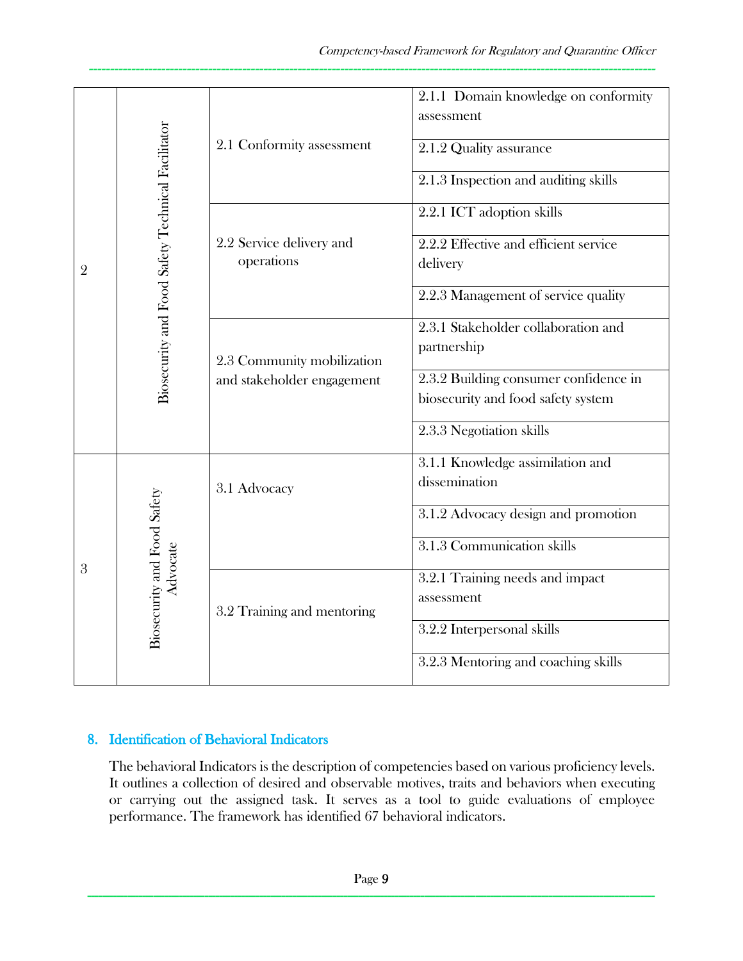| $\overline{2}$ |                                                   | 2.1 Conformity assessment                                | 2.1.1 Domain knowledge on conformity<br>assessment<br>2.1.2 Quality assurance<br>2.1.3 Inspection and auditing skills                                         |
|----------------|---------------------------------------------------|----------------------------------------------------------|---------------------------------------------------------------------------------------------------------------------------------------------------------------|
|                | Biosecurity and Food Safety Technical Facilitator | 2.2 Service delivery and<br>operations                   | 2.2.1 ICT adoption skills<br>2.2.2 Effective and efficient service<br>delivery<br>2.2.3 Management of service quality                                         |
|                |                                                   | 2.3 Community mobilization<br>and stakeholder engagement | 2.3.1 Stakeholder collaboration and<br>partnership<br>2.3.2 Building consumer confidence in<br>biosecurity and food safety system<br>2.3.3 Negotiation skills |
|                |                                                   | 3.1 Advocacy                                             | 3.1.1 Knowledge assimilation and<br>dissemination<br>3.1.2 Advocacy design and promotion<br>3.1.3 Communication skills                                        |
| 3              | Biosecurity and Food Safety<br>Advocate           | 3.2 Training and mentoring                               | 3.2.1 Training needs and impact<br>assessment<br>3.2.2 Interpersonal skills<br>3.2.3 Mentoring and coaching skills                                            |

#### 8. Identification of Behavioral Indicators

The behavioral Indicators is the description of competencies based on various proficiency levels. It outlines a collection of desired and observable motives, traits and behaviors when executing or carrying out the assigned task. It serves as a tool to guide evaluations of employee performance. The framework has identified 67 behavioral indicators.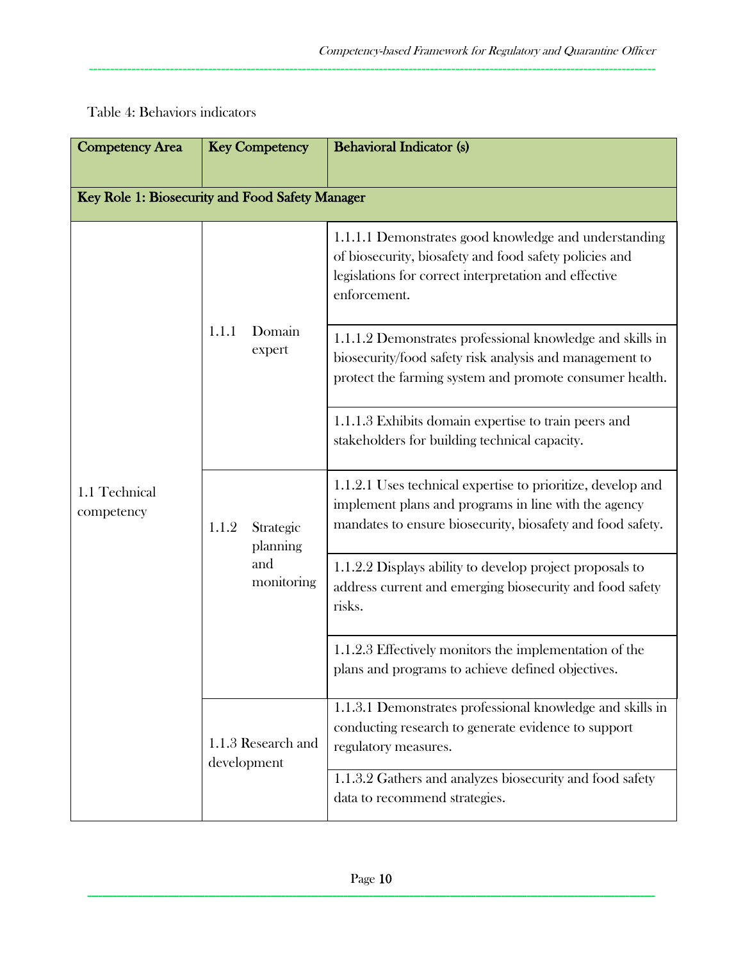| <b>Competency Area</b>                          | <b>Key Competency</b>                               |                                                                                                                                                                                   | <b>Behavioral Indicator (s)</b>                                                                                                                                                          |  |
|-------------------------------------------------|-----------------------------------------------------|-----------------------------------------------------------------------------------------------------------------------------------------------------------------------------------|------------------------------------------------------------------------------------------------------------------------------------------------------------------------------------------|--|
| Key Role 1: Biosecurity and Food Safety Manager |                                                     |                                                                                                                                                                                   |                                                                                                                                                                                          |  |
|                                                 | 1.1.1                                               | Domain<br>expert                                                                                                                                                                  | 1.1.1.1 Demonstrates good knowledge and understanding<br>of biosecurity, biosafety and food safety policies and<br>legislations for correct interpretation and effective<br>enforcement. |  |
|                                                 |                                                     |                                                                                                                                                                                   | 1.1.1.2 Demonstrates professional knowledge and skills in<br>biosecurity/food safety risk analysis and management to<br>protect the farming system and promote consumer health.          |  |
|                                                 |                                                     |                                                                                                                                                                                   | 1.1.1.3 Exhibits domain expertise to train peers and<br>stakeholders for building technical capacity.                                                                                    |  |
| 1.1 Technical<br>competency                     | Strategic<br>1.1.2<br>planning<br>and<br>monitoring | 1.1.2.1 Uses technical expertise to prioritize, develop and<br>implement plans and programs in line with the agency<br>mandates to ensure biosecurity, biosafety and food safety. |                                                                                                                                                                                          |  |
|                                                 |                                                     |                                                                                                                                                                                   | 1.1.2.2 Displays ability to develop project proposals to<br>address current and emerging biosecurity and food safety<br>risks.                                                           |  |
|                                                 |                                                     |                                                                                                                                                                                   | 1.1.2.3 Effectively monitors the implementation of the<br>plans and programs to achieve defined objectives.                                                                              |  |
|                                                 | 1.1.3 Research and<br>development                   |                                                                                                                                                                                   | 1.1.3.1 Demonstrates professional knowledge and skills in<br>conducting research to generate evidence to support<br>regulatory measures.                                                 |  |
|                                                 |                                                     |                                                                                                                                                                                   | 1.1.3.2 Gathers and analyzes biosecurity and food safety<br>data to recommend strategies.                                                                                                |  |

## Table 4: Behaviors indicators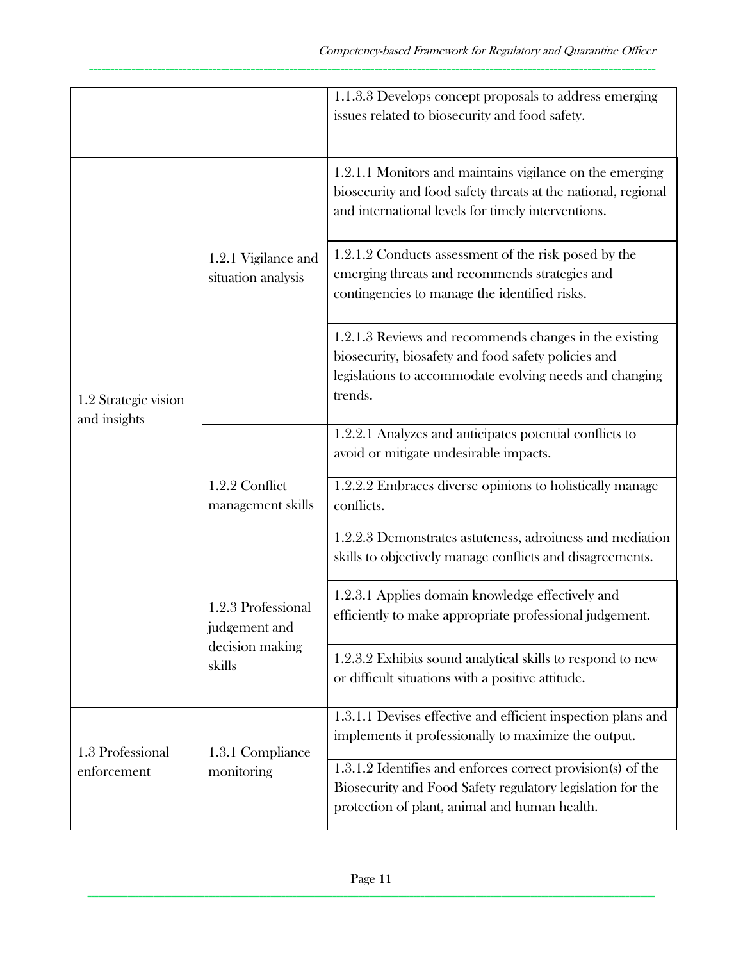|                                      |                                                                  | 1.1.3.3 Develops concept proposals to address emerging<br>issues related to biosecurity and food safety.                                                                            |
|--------------------------------------|------------------------------------------------------------------|-------------------------------------------------------------------------------------------------------------------------------------------------------------------------------------|
|                                      | 1.2.1 Vigilance and<br>situation analysis                        | 1.2.1.1 Monitors and maintains vigilance on the emerging<br>biosecurity and food safety threats at the national, regional<br>and international levels for timely interventions.     |
|                                      |                                                                  | 1.2.1.2 Conducts assessment of the risk posed by the<br>emerging threats and recommends strategies and<br>contingencies to manage the identified risks.                             |
| 1.2 Strategic vision<br>and insights |                                                                  | 1.2.1.3 Reviews and recommends changes in the existing<br>biosecurity, biosafety and food safety policies and<br>legislations to accommodate evolving needs and changing<br>trends. |
|                                      | 1.2.2 Conflict<br>management skills                              | 1.2.2.1 Analyzes and anticipates potential conflicts to<br>avoid or mitigate undesirable impacts.                                                                                   |
|                                      |                                                                  | 1.2.2.2 Embraces diverse opinions to holistically manage<br>conflicts.                                                                                                              |
|                                      |                                                                  | 1.2.2.3 Demonstrates astuteness, adroitness and mediation<br>skills to objectively manage conflicts and disagreements.                                                              |
|                                      | 1.2.3 Professional<br>judgement and<br>decision making<br>skills | 1.2.3.1 Applies domain knowledge effectively and<br>efficiently to make appropriate professional judgement.                                                                         |
|                                      |                                                                  | 1.2.3.2 Exhibits sound analytical skills to respond to new<br>or difficult situations with a positive attitude.                                                                     |
| 1.3 Professional                     | 1.3.1 Compliance<br>monitoring                                   | 1.3.1.1 Devises effective and efficient inspection plans and<br>implements it professionally to maximize the output.                                                                |
| enforcement                          |                                                                  | 1.3.1.2 Identifies and enforces correct provision(s) of the<br>Biosecurity and Food Safety regulatory legislation for the<br>protection of plant, animal and human health.          |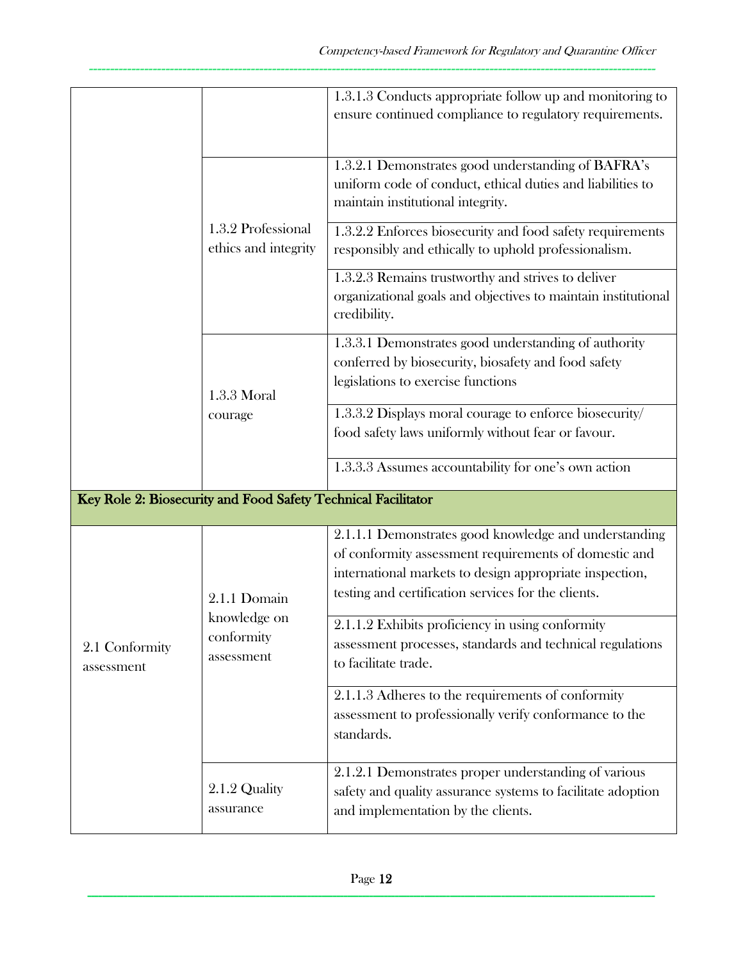|                              |                                                               | 1.3.1.3 Conducts appropriate follow up and monitoring to<br>ensure continued compliance to regulatory requirements.                                                                                                              |
|------------------------------|---------------------------------------------------------------|----------------------------------------------------------------------------------------------------------------------------------------------------------------------------------------------------------------------------------|
|                              | 1.3.2 Professional<br>ethics and integrity                    | 1.3.2.1 Demonstrates good understanding of BAFRA's<br>uniform code of conduct, ethical duties and liabilities to<br>maintain institutional integrity.                                                                            |
|                              |                                                               | 1.3.2.2 Enforces biosecurity and food safety requirements<br>responsibly and ethically to uphold professionalism.                                                                                                                |
|                              |                                                               | 1.3.2.3 Remains trustworthy and strives to deliver<br>organizational goals and objectives to maintain institutional<br>credibility.                                                                                              |
|                              | $1.3.3$ Moral<br>courage                                      | 1.3.3.1 Demonstrates good understanding of authority<br>conferred by biosecurity, biosafety and food safety<br>legislations to exercise functions                                                                                |
|                              |                                                               | 1.3.3.2 Displays moral courage to enforce biosecurity/<br>food safety laws uniformly without fear or favour.                                                                                                                     |
|                              |                                                               | 1.3.3.3 Assumes accountability for one's own action                                                                                                                                                                              |
|                              | Key Role 2: Biosecurity and Food Safety Technical Facilitator |                                                                                                                                                                                                                                  |
|                              | 2.1.1 Domain                                                  | 2.1.1.1 Demonstrates good knowledge and understanding<br>of conformity assessment requirements of domestic and<br>international markets to design appropriate inspection,<br>testing and certification services for the clients. |
| 2.1 Conformity<br>assessment | knowledge on<br>conformity<br>assessment                      | 2.1.1.2 Exhibits proficiency in using conformity<br>assessment processes, standards and technical regulations<br>to facilitate trade.                                                                                            |
|                              |                                                               | 2.1.1.3 Adheres to the requirements of conformity<br>assessment to professionally verify conformance to the<br>standards.                                                                                                        |
|                              | 2.1.2 Quality<br>assurance                                    | 2.1.2.1 Demonstrates proper understanding of various<br>safety and quality assurance systems to facilitate adoption<br>and implementation by the clients.                                                                        |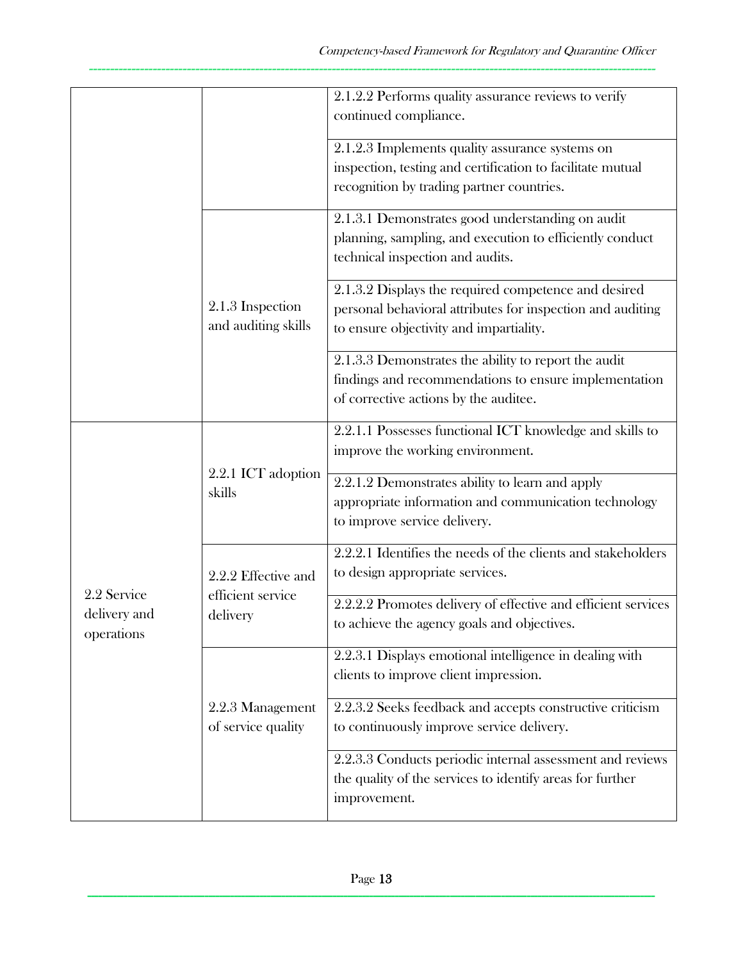|                            |                                                                                                                                | 2.1.2.2 Performs quality assurance reviews to verify<br>continued compliance.                                                                                 |
|----------------------------|--------------------------------------------------------------------------------------------------------------------------------|---------------------------------------------------------------------------------------------------------------------------------------------------------------|
|                            |                                                                                                                                | 2.1.2.3 Implements quality assurance systems on<br>inspection, testing and certification to facilitate mutual<br>recognition by trading partner countries.    |
|                            | 2.1.3 Inspection<br>and auditing skills                                                                                        | 2.1.3.1 Demonstrates good understanding on audit<br>planning, sampling, and execution to efficiently conduct<br>technical inspection and audits.              |
|                            |                                                                                                                                | 2.1.3.2 Displays the required competence and desired<br>personal behavioral attributes for inspection and auditing<br>to ensure objectivity and impartiality. |
|                            |                                                                                                                                | 2.1.3.3 Demonstrates the ability to report the audit<br>findings and recommendations to ensure implementation<br>of corrective actions by the auditee.        |
|                            | 2.2.1 ICT adoption<br>skills<br>2.2.2 Effective and<br>efficient service<br>delivery<br>2.2.3 Management<br>of service quality | 2.2.1.1 Possesses functional ICT knowledge and skills to<br>improve the working environment.                                                                  |
|                            |                                                                                                                                | 2.2.1.2 Demonstrates ability to learn and apply<br>appropriate information and communication technology<br>to improve service delivery.                       |
| 2.2 Service                |                                                                                                                                | 2.2.2.1 Identifies the needs of the clients and stakeholders<br>to design appropriate services.                                                               |
| delivery and<br>operations |                                                                                                                                | 2.2.2.2 Promotes delivery of effective and efficient services<br>to achieve the agency goals and objectives.                                                  |
|                            |                                                                                                                                | 2.2.3.1 Displays emotional intelligence in dealing with<br>clients to improve client impression.                                                              |
|                            |                                                                                                                                | 2.2.3.2 Seeks feedback and accepts constructive criticism<br>to continuously improve service delivery.                                                        |
|                            |                                                                                                                                | 2.2.3.3 Conducts periodic internal assessment and reviews<br>the quality of the services to identify areas for further<br>improvement.                        |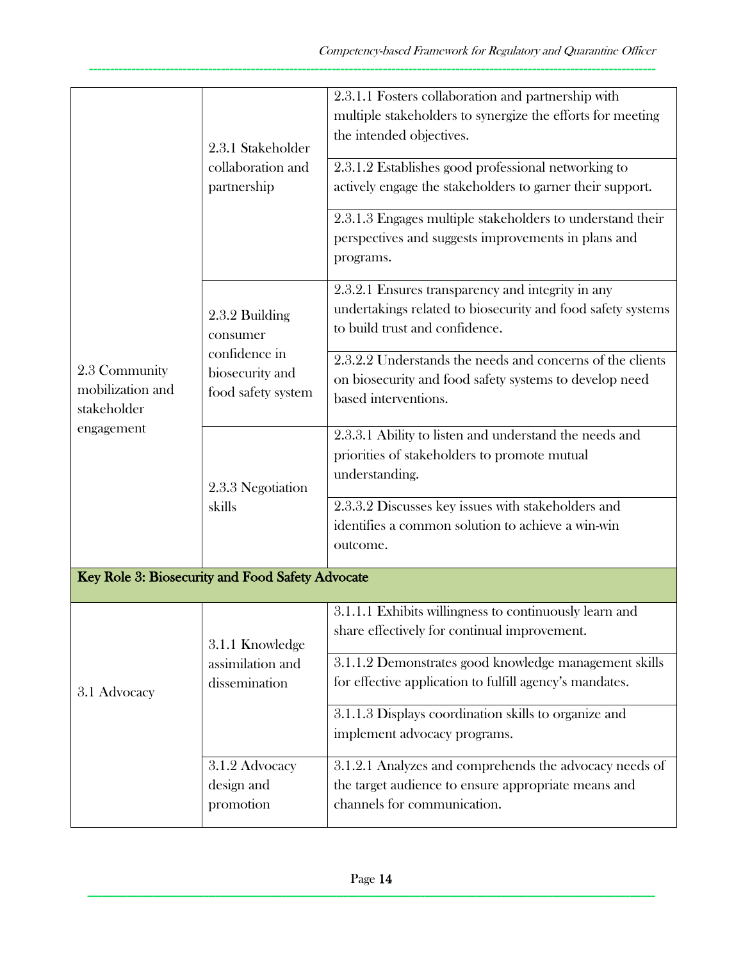|                                                  | 2.3.1 Stakeholder<br>collaboration and<br>partnership                                | 2.3.1.1 Fosters collaboration and partnership with<br>multiple stakeholders to synergize the efforts for meeting<br>the intended objectives.<br>2.3.1.2 Establishes good professional networking to<br>actively engage the stakeholders to garner their support. |
|--------------------------------------------------|--------------------------------------------------------------------------------------|------------------------------------------------------------------------------------------------------------------------------------------------------------------------------------------------------------------------------------------------------------------|
|                                                  |                                                                                      | 2.3.1.3 Engages multiple stakeholders to understand their<br>perspectives and suggests improvements in plans and<br>programs.                                                                                                                                    |
|                                                  | 2.3.2 Building<br>consumer<br>confidence in<br>biosecurity and<br>food safety system | 2.3.2.1 Ensures transparency and integrity in any<br>undertakings related to biosecurity and food safety systems<br>to build trust and confidence.                                                                                                               |
| 2.3 Community<br>mobilization and<br>stakeholder |                                                                                      | 2.3.2.2 Understands the needs and concerns of the clients<br>on biosecurity and food safety systems to develop need<br>based interventions.                                                                                                                      |
| engagement                                       | 2.3.3 Negotiation<br>skills                                                          | 2.3.3.1 Ability to listen and understand the needs and<br>priorities of stakeholders to promote mutual<br>understanding.                                                                                                                                         |
|                                                  |                                                                                      | 2.3.3.2 Discusses key issues with stakeholders and<br>identifies a common solution to achieve a win-win<br>outcome.                                                                                                                                              |
|                                                  | Key Role 3: Biosecurity and Food Safety Advocate                                     |                                                                                                                                                                                                                                                                  |
|                                                  | 3.1.1 Knowledge<br>assimilation and<br>dissemination                                 | 3.1.1.1 Exhibits willingness to continuously learn and<br>share effectively for continual improvement.                                                                                                                                                           |
| 3.1 Advocacy                                     |                                                                                      | 3.1.1.2 Demonstrates good knowledge management skills<br>for effective application to fulfill agency's mandates.                                                                                                                                                 |
|                                                  |                                                                                      | 3.1.1.3 Displays coordination skills to organize and<br>implement advocacy programs.                                                                                                                                                                             |
|                                                  | 3.1.2 Advocacy<br>design and<br>promotion                                            | 3.1.2.1 Analyzes and comprehends the advocacy needs of<br>the target audience to ensure appropriate means and<br>channels for communication.                                                                                                                     |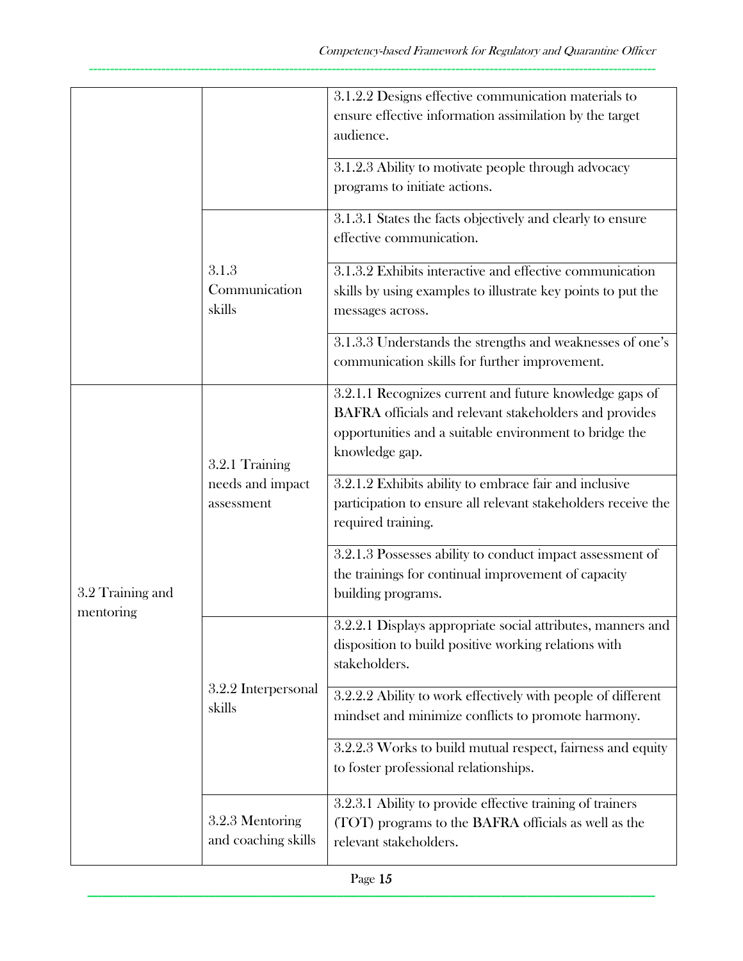|                               |                                                  | 3.1.2.2 Designs effective communication materials to                                                                                                                                          |
|-------------------------------|--------------------------------------------------|-----------------------------------------------------------------------------------------------------------------------------------------------------------------------------------------------|
|                               |                                                  | ensure effective information assimilation by the target<br>audience.                                                                                                                          |
|                               |                                                  | 3.1.2.3 Ability to motivate people through advocacy<br>programs to initiate actions.                                                                                                          |
|                               |                                                  | 3.1.3.1 States the facts objectively and clearly to ensure<br>effective communication.                                                                                                        |
|                               | 3.1.3<br>Communication<br>skills                 | 3.1.3.2 Exhibits interactive and effective communication<br>skills by using examples to illustrate key points to put the<br>messages across.                                                  |
|                               |                                                  | 3.1.3.3 Understands the strengths and weaknesses of one's<br>communication skills for further improvement.                                                                                    |
|                               | 3.2.1 Training<br>needs and impact<br>assessment | 3.2.1.1 Recognizes current and future knowledge gaps of<br>BAFRA officials and relevant stakeholders and provides<br>opportunities and a suitable environment to bridge the<br>knowledge gap. |
|                               |                                                  | 3.2.1.2 Exhibits ability to embrace fair and inclusive<br>participation to ensure all relevant stakeholders receive the<br>required training.                                                 |
| 3.2 Training and<br>mentoring |                                                  | 3.2.1.3 Possesses ability to conduct impact assessment of<br>the trainings for continual improvement of capacity<br>building programs.                                                        |
|                               | 3.2.2 Interpersonal<br>skills                    | 3.2.2.1 Displays appropriate social attributes, manners and<br>disposition to build positive working relations with<br>stakeholders.                                                          |
|                               |                                                  | 3.2.2.2 Ability to work effectively with people of different<br>mindset and minimize conflicts to promote harmony.                                                                            |
|                               |                                                  | 3.2.2.3 Works to build mutual respect, fairness and equity<br>to foster professional relationships.                                                                                           |
|                               | 3.2.3 Mentoring<br>and coaching skills           | 3.2.3.1 Ability to provide effective training of trainers<br>(TOT) programs to the BAFRA officials as well as the<br>relevant stakeholders.                                                   |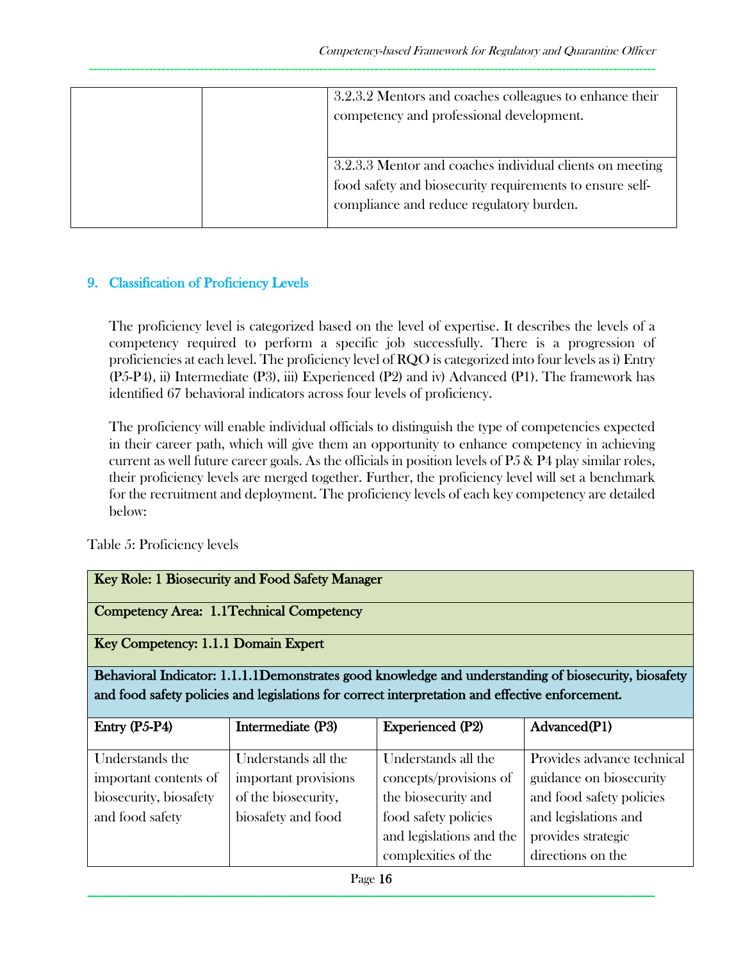| 3.2.3.2 Mentors and coaches colleagues to enhance their<br>competency and professional development.                                                              |
|------------------------------------------------------------------------------------------------------------------------------------------------------------------|
| 3.2.3.3 Mentor and coaches individual clients on meeting<br>food safety and biosecurity requirements to ensure self-<br>compliance and reduce regulatory burden. |

### 9. Classification of Proficiency Levels

The proficiency level is categorized based on the level of expertise. It describes the levels of a competency required to perform a specific job successfully. There is a progression of proficiencies at each level. The proficiency level of RQO is categorized into four levels as i) Entry (P5-P4), ii) Intermediate (P3), iii) Experienced (P2) and iv) Advanced (P1). The framework has identified 67 behavioral indicators across four levels of proficiency.

The proficiency will enable individual officials to distinguish the type of competencies expected in their career path, which will give them an opportunity to enhance competency in achieving current as well future career goals. As the officials in position levels of P5 & P4 play similar roles, their proficiency levels are merged together. Further, the proficiency level will set a benchmark for the recruitment and deployment. The proficiency levels of each key competency are detailed below:

Table 5: Proficiency levels

| Key Role: 1 Biosecurity and Food Safety Manager |                                           |                                                                                                 |                                                                                                      |  |  |  |
|-------------------------------------------------|-------------------------------------------|-------------------------------------------------------------------------------------------------|------------------------------------------------------------------------------------------------------|--|--|--|
|                                                 | Competency Area: 1.1 Technical Competency |                                                                                                 |                                                                                                      |  |  |  |
|                                                 | Key Competency: 1.1.1 Domain Expert       |                                                                                                 |                                                                                                      |  |  |  |
|                                                 |                                           |                                                                                                 | Behavioral Indicator: 1.1.1.1Demonstrates good knowledge and understanding of biosecurity, biosafety |  |  |  |
|                                                 |                                           | and food safety policies and legislations for correct interpretation and effective enforcement. |                                                                                                      |  |  |  |
|                                                 |                                           |                                                                                                 |                                                                                                      |  |  |  |
| Entry $(P5-P4)$                                 | Intermediate (P3)                         | <b>Experienced (P2)</b>                                                                         | Advanced(P1)                                                                                         |  |  |  |
| Understands the                                 | Understands all the                       | Understands all the                                                                             | Provides advance technical                                                                           |  |  |  |
| important contents of                           | important provisions                      | concepts/provisions of                                                                          | guidance on biosecurity                                                                              |  |  |  |
| biosecurity, biosafety                          | of the biosecurity,                       | the biosecurity and                                                                             | and food safety policies                                                                             |  |  |  |
| and food safety                                 | biosafety and food                        | food safety policies                                                                            | and legislations and                                                                                 |  |  |  |
|                                                 |                                           | and legislations and the                                                                        | provides strategic                                                                                   |  |  |  |
|                                                 |                                           | complexities of the                                                                             | directions on the                                                                                    |  |  |  |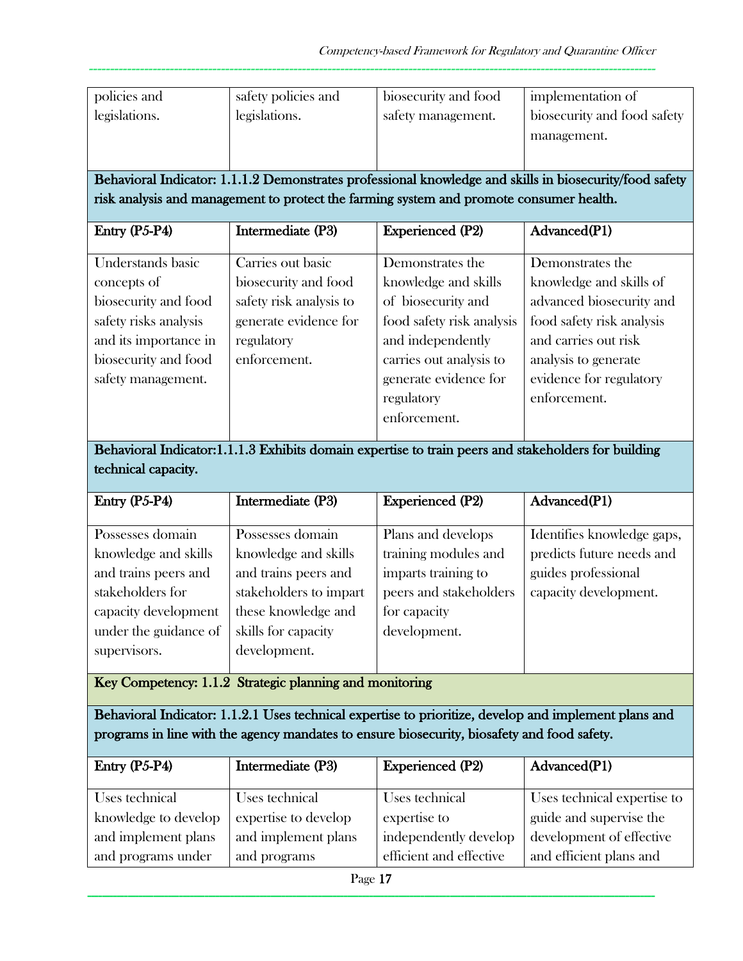| policies and<br>legislations.                                                                                                                            | safety policies and<br>legislations.                                                                                        | biosecurity and food<br>safety management.                                                                                                                                                         | implementation of<br>biosecurity and food safety<br>management.                                                                                                                                 |
|----------------------------------------------------------------------------------------------------------------------------------------------------------|-----------------------------------------------------------------------------------------------------------------------------|----------------------------------------------------------------------------------------------------------------------------------------------------------------------------------------------------|-------------------------------------------------------------------------------------------------------------------------------------------------------------------------------------------------|
|                                                                                                                                                          |                                                                                                                             |                                                                                                                                                                                                    | Behavioral Indicator: 1.1.1.2 Demonstrates professional knowledge and skills in biosecurity/food safety                                                                                         |
|                                                                                                                                                          |                                                                                                                             | risk analysis and management to protect the farming system and promote consumer health.                                                                                                            |                                                                                                                                                                                                 |
| Entry $(P5-P4)$                                                                                                                                          | Intermediate (P3)                                                                                                           | <b>Experienced (P2)</b>                                                                                                                                                                            | Advanced(P1)                                                                                                                                                                                    |
| Understands basic<br>concepts of<br>biosecurity and food<br>safety risks analysis<br>and its importance in<br>biosecurity and food<br>safety management. | Carries out basic<br>biosecurity and food<br>safety risk analysis to<br>generate evidence for<br>regulatory<br>enforcement. | Demonstrates the<br>knowledge and skills<br>of biosecurity and<br>food safety risk analysis<br>and independently<br>carries out analysis to<br>generate evidence for<br>regulatory<br>enforcement. | Demonstrates the<br>knowledge and skills of<br>advanced biosecurity and<br>food safety risk analysis<br>and carries out risk<br>analysis to generate<br>evidence for regulatory<br>enforcement. |

Behavioral Indicator:1.1.1.3 Exhibits domain expertise to train peers and stakeholders for building technical capacity.

| Entry $(P5-P4)$       | Intermediate (P3)      | <b>Experienced (P2)</b> | Advanced(P1)               |
|-----------------------|------------------------|-------------------------|----------------------------|
|                       |                        |                         |                            |
| Possesses domain      | Possesses domain       | Plans and develops      | Identifies knowledge gaps, |
| knowledge and skills  | knowledge and skills   | training modules and    | predicts future needs and  |
| and trains peers and  | and trains peers and   | imparts training to     | guides professional        |
| stakeholders for      | stakeholders to impart | peers and stakeholders  | capacity development.      |
| capacity development  | these knowledge and    | for capacity            |                            |
| under the guidance of | skills for capacity    | development.            |                            |
| supervisors.          | development.           |                         |                            |
|                       |                        |                         |                            |

Key Competency: 1.1.2 Strategic planning and monitoring

Behavioral Indicator: 1.1.2.1 Uses technical expertise to prioritize, develop and implement plans and programs in line with the agency mandates to ensure biosecurity, biosafety and food safety.

| Entry $(P5-P4)$      | Intermediate (P3)    | <b>Experienced (P2)</b> | Advanced(P1)                |
|----------------------|----------------------|-------------------------|-----------------------------|
| Uses technical       | Uses technical       | Uses technical          | Uses technical expertise to |
| knowledge to develop | expertise to develop | expertise to            | guide and supervise the     |
| and implement plans  | and implement plans  | independently develop   | development of effective    |
| and programs under   | and programs         | efficient and effective | and efficient plans and     |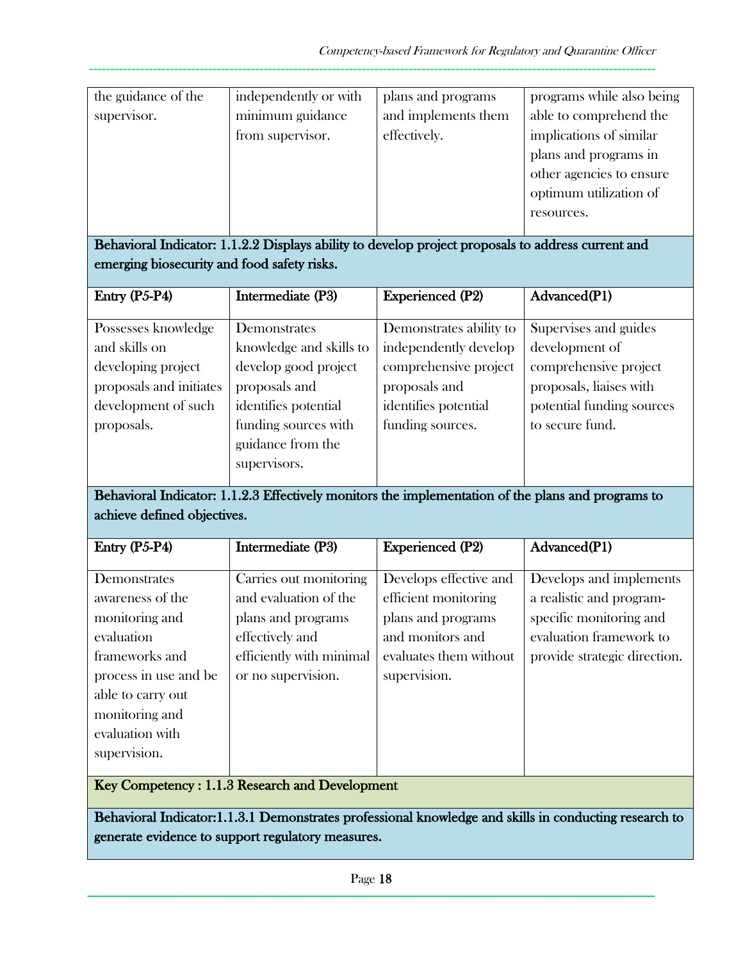| the guidance of the | independently or with | plans and programs  | programs while also being |
|---------------------|-----------------------|---------------------|---------------------------|
| supervisor.         | minimum guidance      | and implements them | able to comprehend the    |
|                     | from supervisor.      | effectively.        | implications of similar   |
|                     |                       |                     | plans and programs in     |
|                     |                       |                     | other agencies to ensure  |
|                     |                       |                     | optimum utilization of    |
|                     |                       |                     | resources.                |
|                     |                       |                     |                           |

Behavioral Indicator: 1.1.2.2 Displays ability to develop project proposals to address current and emerging biosecurity and food safety risks.

| Entry (P5-P4)           | Intermediate (P3)       | <b>Experienced (P2)</b> | Advanced(P1)              |
|-------------------------|-------------------------|-------------------------|---------------------------|
|                         |                         |                         |                           |
| Possesses knowledge     | Demonstrates            | Demonstrates ability to | Supervises and guides     |
| and skills on           | knowledge and skills to | independently develop   | development of            |
| developing project      | develop good project    | comprehensive project   | comprehensive project     |
| proposals and initiates | proposals and           | proposals and           | proposals, liaises with   |
| development of such     | identifies potential    | identifies potential    | potential funding sources |
| proposals.              | funding sources with    | funding sources.        | to secure fund.           |
|                         | guidance from the       |                         |                           |
|                         | supervisors.            |                         |                           |

Behavioral Indicator: 1.1.2.3 Effectively monitors the implementation of the plans and programs to achieve defined objectives.

| Entry $(P5-P4)$                           | Intermediate (P3)                   | <b>Experienced</b> (P2) | Advanced(P1)                 |
|-------------------------------------------|-------------------------------------|-------------------------|------------------------------|
|                                           |                                     |                         |                              |
| Demonstrates                              | Carries out monitoring              | Develops effective and  | Develops and implements      |
| awareness of the                          | and evaluation of the               | efficient monitoring    | a realistic and program-     |
| monitoring and                            | plans and programs                  | plans and programs      | specific monitoring and      |
| evaluation                                | effectively and                     | and monitors and        | evaluation framework to      |
| frameworks and                            | efficiently with minimal            | evaluates them without  | provide strategic direction. |
| process in use and be                     | or no supervision.                  | supervision.            |                              |
| able to carry out                         |                                     |                         |                              |
| monitoring and                            |                                     |                         |                              |
| evaluation with                           |                                     |                         |                              |
| supervision.                              |                                     |                         |                              |
| $\mathbf{r}$ $\alpha$ $\beta$<br>$\cdots$ | $\mathbf{1}$<br>$1 \, \text{m}$ $1$ |                         |                              |

Key Competency : 1.1.3 Research and Development

Behavioral Indicator:1.1.3.1 Demonstrates professional knowledge and skills in conducting research to generate evidence to support regulatory measures.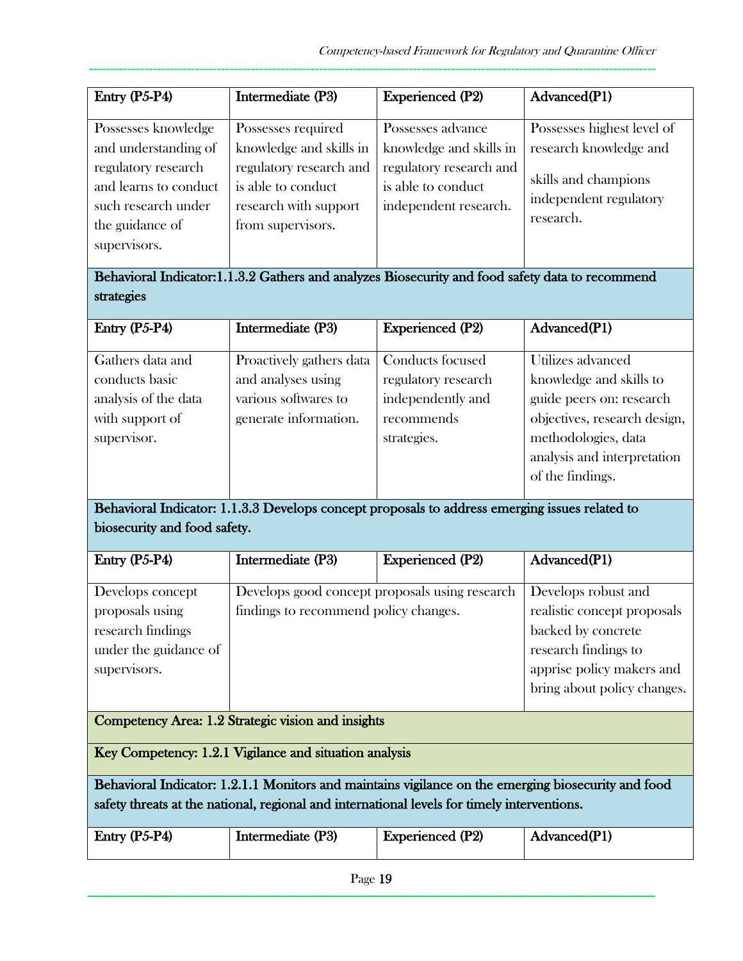| Entry $(P5-P4)$                                                                                        | Intermediate (P3)                                                                           | <b>Experienced (P2)</b>                                                | Advanced(P1)                                                |
|--------------------------------------------------------------------------------------------------------|---------------------------------------------------------------------------------------------|------------------------------------------------------------------------|-------------------------------------------------------------|
| Possesses knowledge<br>and understanding of                                                            | Possesses required<br>knowledge and skills in                                               | Possesses advance<br>knowledge and skills in                           | Possesses highest level of<br>research knowledge and        |
| regulatory research<br>and learns to conduct<br>such research under<br>the guidance of<br>supervisors. | regulatory research and<br>is able to conduct<br>research with support<br>from supervisors. | regulatory research and<br>is able to conduct<br>independent research. | skills and champions<br>independent regulatory<br>research. |

# Behavioral Indicator:1.1.3.2 Gathers and analyzes Biosecurity and food safety data to recommend strategies

| Intermediate (P3)        | <b>Experienced (P2)</b> | Advanced(P1)                 |
|--------------------------|-------------------------|------------------------------|
| Proactively gathers data | Conducts focused        | Utilizes advanced            |
| and analyses using       | regulatory research     | knowledge and skills to      |
| various softwares to     | independently and       | guide peers on: research     |
| generate information.    | recommends              | objectives, research design, |
|                          | strategies.             | methodologies, data          |
|                          |                         | analysis and interpretation  |
|                          |                         | of the findings.             |
|                          |                         |                              |

## Behavioral Indicator: 1.1.3.3 Develops concept proposals to address emerging issues related to biosecurity and food safety.

| Entry $(P5-P4)$       | Intermediate (P3)                              | <b>Experienced</b> (P2) | Advanced(P1)                |
|-----------------------|------------------------------------------------|-------------------------|-----------------------------|
| Develops concept      | Develops good concept proposals using research |                         | Develops robust and         |
| proposals using       | findings to recommend policy changes.          |                         | realistic concept proposals |
| research findings     |                                                |                         | backed by concrete          |
| under the guidance of |                                                |                         | research findings to        |
| supervisors.          |                                                |                         | apprise policy makers and   |
|                       |                                                |                         | bring about policy changes. |

## Competency Area: 1.2 Strategic vision and insights

Key Competency: 1.2.1 Vigilance and situation analysis

Behavioral Indicator: 1.2.1.1 Monitors and maintains vigilance on the emerging biosecurity and food safety threats at the national, regional and international levels for timely interventions.

| Entry $(P5-P4)$ | Intermediate (P3) | <b>Experienced</b> (P2) | Advanced(P1) |
|-----------------|-------------------|-------------------------|--------------|
|                 |                   |                         |              |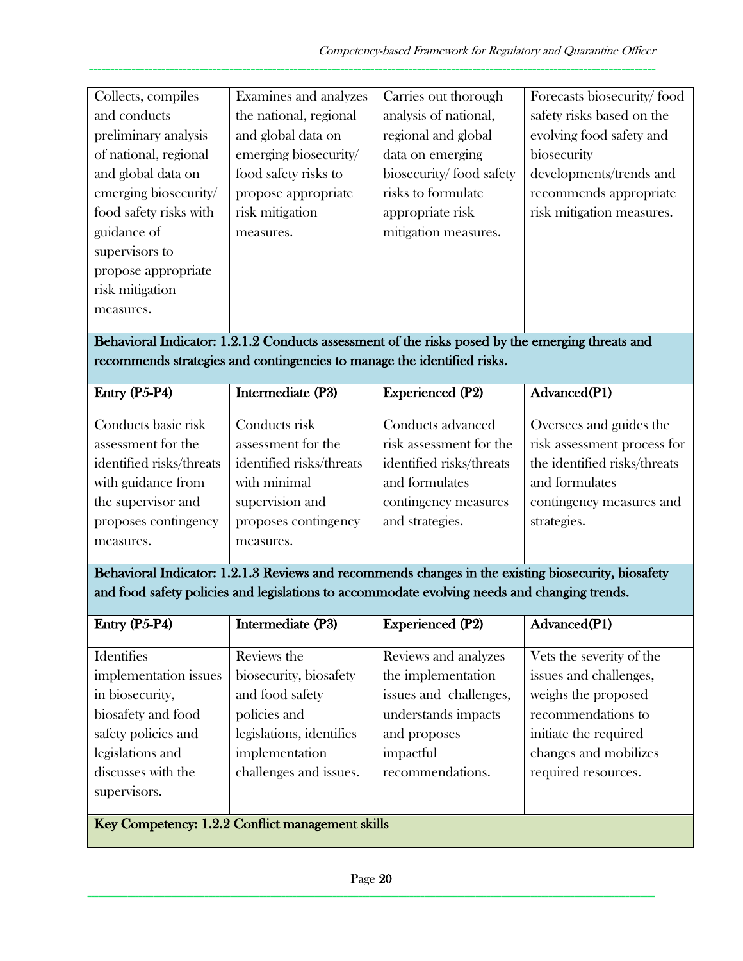| Collects, compiles     | Examines and analyzes  | Carries out thorough    | Forecasts biosecurity/food |
|------------------------|------------------------|-------------------------|----------------------------|
| and conducts           | the national, regional | analysis of national,   | safety risks based on the  |
| preliminary analysis   | and global data on     | regional and global     | evolving food safety and   |
| of national, regional  | emerging biosecurity/  | data on emerging        | biosecurity                |
| and global data on     | food safety risks to   | biosecurity/food safety | developments/trends and    |
| emerging biosecurity/  | propose appropriate    | risks to formulate      | recommends appropriate     |
| food safety risks with | risk mitigation        | appropriate risk        | risk mitigation measures.  |
| guidance of            | measures.              | mitigation measures.    |                            |
| supervisors to         |                        |                         |                            |
| propose appropriate    |                        |                         |                            |
| risk mitigation        |                        |                         |                            |
| measures.              |                        |                         |                            |
|                        |                        |                         |                            |

Behavioral Indicator: 1.2.1.2 Conducts assessment of the risks posed by the emerging threats and recommends strategies and contingencies to manage the identified risks.

| Entry $(P5-P4)$          | Intermediate (P3)        | <b>Experienced (P2)</b>  | Advanced(P1)                 |
|--------------------------|--------------------------|--------------------------|------------------------------|
|                          |                          |                          |                              |
|                          |                          |                          |                              |
| Conducts basic risk      | Conducts risk            | Conducts advanced        | Oversees and guides the      |
| assessment for the       | assessment for the       | risk assessment for the  | risk assessment process for  |
| identified risks/threats | identified risks/threats | identified risks/threats | the identified risks/threats |
| with guidance from       | with minimal             | and formulates           | and formulates               |
| the supervisor and       | supervision and          | contingency measures     | contingency measures and     |
| proposes contingency     | proposes contingency     | and strategies.          | strategies.                  |
| measures.                | measures.                |                          |                              |
|                          |                          |                          |                              |

Behavioral Indicator: 1.2.1.3 Reviews and recommends changes in the existing biosecurity, biosafety and food safety policies and legislations to accommodate evolving needs and changing trends.

| Entry (P5-P4)                                    | Intermediate (P3)        | <b>Experienced (P2)</b> | Advanced(P1)             |
|--------------------------------------------------|--------------------------|-------------------------|--------------------------|
|                                                  |                          |                         |                          |
| <b>Identifies</b>                                | Reviews the              | Reviews and analyzes    | Vets the severity of the |
| implementation issues                            | biosecurity, biosafety   | the implementation      | issues and challenges,   |
| in biosecurity,                                  | and food safety          | issues and challenges,  | weighs the proposed      |
| biosafety and food                               | policies and             | understands impacts     | recommendations to       |
| safety policies and                              | legislations, identifies | and proposes            | initiate the required    |
| legislations and                                 | implementation           | impactful               | changes and mobilizes    |
| discusses with the                               | challenges and issues.   | recommendations.        | required resources.      |
| supervisors.                                     |                          |                         |                          |
|                                                  |                          |                         |                          |
| Key Competency: 1.2.2 Conflict management skills |                          |                         |                          |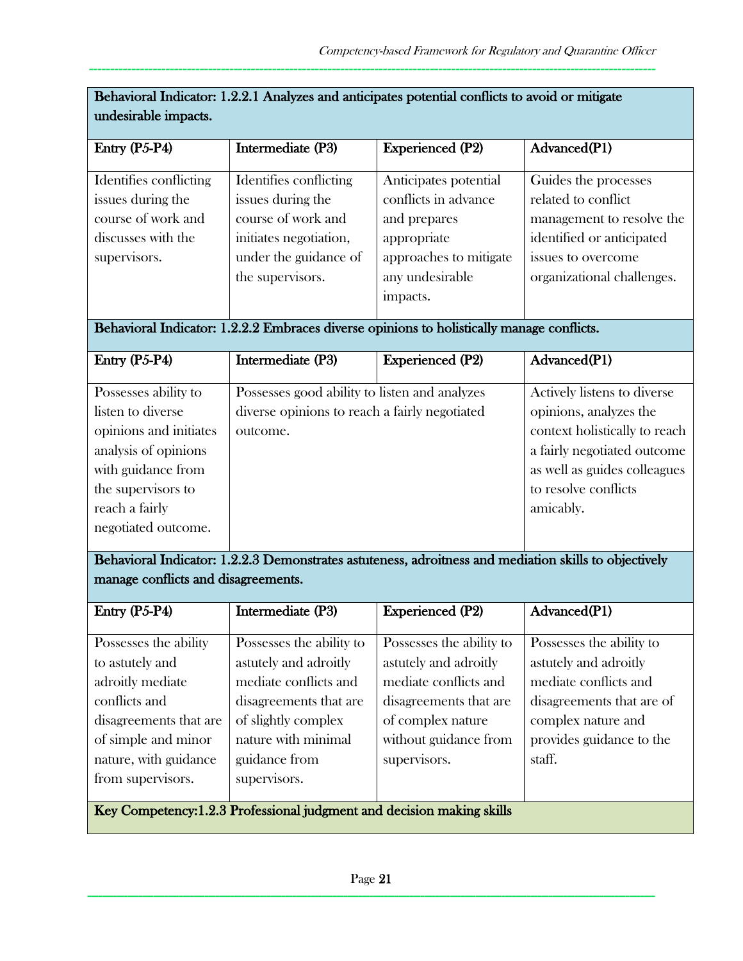| undesirable impacts.                                                                                                                                                             |                                                                                                                                                                                     |                                                                                                                                                                    |                                                                                                                                                                                            |  |
|----------------------------------------------------------------------------------------------------------------------------------------------------------------------------------|-------------------------------------------------------------------------------------------------------------------------------------------------------------------------------------|--------------------------------------------------------------------------------------------------------------------------------------------------------------------|--------------------------------------------------------------------------------------------------------------------------------------------------------------------------------------------|--|
| Entry (P5-P4)                                                                                                                                                                    | Intermediate (P3)                                                                                                                                                                   | <b>Experienced (P2)</b>                                                                                                                                            | Advanced(P1)                                                                                                                                                                               |  |
| Identifies conflicting<br>issues during the<br>course of work and<br>discusses with the<br>supervisors.                                                                          | Identifies conflicting<br>issues during the<br>course of work and<br>initiates negotiation,<br>under the guidance of<br>the supervisors.                                            | Anticipates potential<br>conflicts in advance<br>and prepares<br>appropriate<br>approaches to mitigate<br>any undesirable<br>impacts.                              | Guides the processes<br>related to conflict<br>management to resolve the<br>identified or anticipated<br>issues to overcome<br>organizational challenges.                                  |  |
|                                                                                                                                                                                  | Behavioral Indicator: 1.2.2.2 Embraces diverse opinions to holistically manage conflicts.                                                                                           |                                                                                                                                                                    |                                                                                                                                                                                            |  |
| Entry (P5-P4)                                                                                                                                                                    | Intermediate (P3)                                                                                                                                                                   | <b>Experienced (P2)</b>                                                                                                                                            | Advanced(P1)                                                                                                                                                                               |  |
| Possesses ability to<br>listen to diverse<br>opinions and initiates<br>analysis of opinions<br>with guidance from<br>the supervisors to<br>reach a fairly<br>negotiated outcome. | Possesses good ability to listen and analyzes<br>diverse opinions to reach a fairly negotiated<br>outcome.                                                                          |                                                                                                                                                                    | Actively listens to diverse<br>opinions, analyzes the<br>context holistically to reach<br>a fairly negotiated outcome<br>as well as guides colleagues<br>to resolve conflicts<br>amicably. |  |
| manage conflicts and disagreements.                                                                                                                                              |                                                                                                                                                                                     |                                                                                                                                                                    | Behavioral Indicator: 1.2.2.3 Demonstrates astuteness, adroitness and mediation skills to objectively                                                                                      |  |
| Entry (P5-P4)                                                                                                                                                                    | Intermediate (P3)                                                                                                                                                                   | <b>Experienced (P2)</b>                                                                                                                                            | Advanced(P1)                                                                                                                                                                               |  |
| Possesses the ability<br>to astutely and<br>adroitly mediate<br>conflicts and<br>disagreements that are<br>of simple and minor<br>nature, with guidance<br>from supervisors.     | Possesses the ability to<br>astutely and adroitly<br>mediate conflicts and<br>disagreements that are<br>of slightly complex<br>nature with minimal<br>guidance from<br>supervisors. | Possesses the ability to<br>astutely and adroitly<br>mediate conflicts and<br>disagreements that are<br>of complex nature<br>without guidance from<br>supervisors. | Possesses the ability to<br>astutely and adroitly<br>mediate conflicts and<br>disagreements that are of<br>complex nature and<br>provides guidance to the<br>staff.                        |  |
| Key Competency: 1.2.3 Professional judgment and decision making skills                                                                                                           |                                                                                                                                                                                     |                                                                                                                                                                    |                                                                                                                                                                                            |  |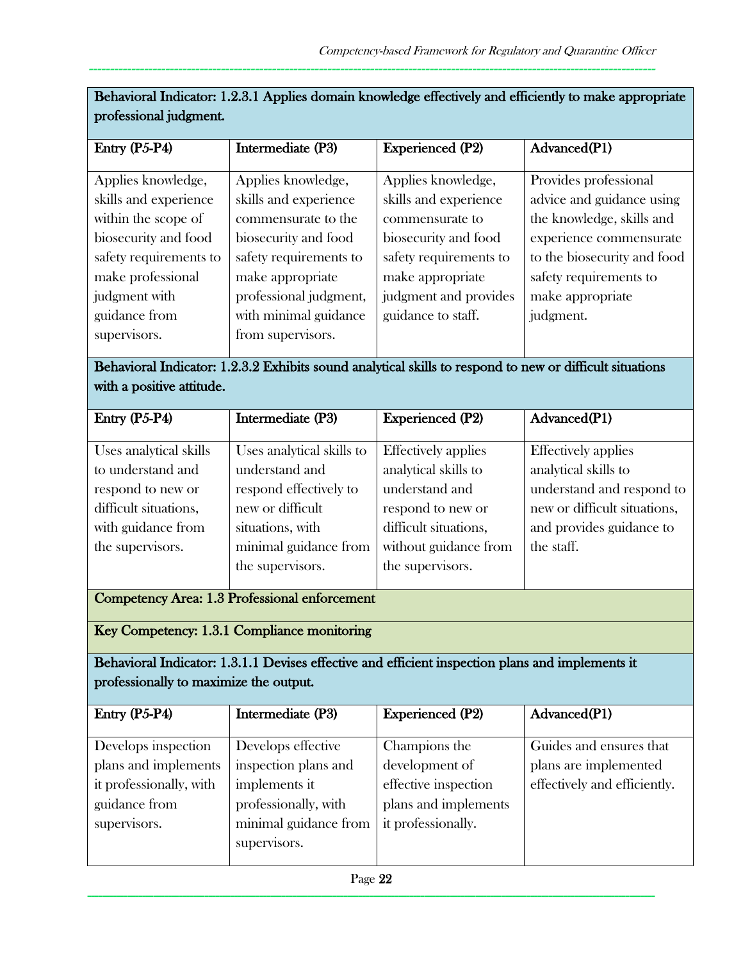| professional judgment.                                                                                                                                                                      |                                                                                                                                                                                                                                                                                                                              |                                                                                                                                                                                     |                                                                                                                                                                                                      |  |
|---------------------------------------------------------------------------------------------------------------------------------------------------------------------------------------------|------------------------------------------------------------------------------------------------------------------------------------------------------------------------------------------------------------------------------------------------------------------------------------------------------------------------------|-------------------------------------------------------------------------------------------------------------------------------------------------------------------------------------|------------------------------------------------------------------------------------------------------------------------------------------------------------------------------------------------------|--|
| Entry (P5-P4)                                                                                                                                                                               | Intermediate (P3)                                                                                                                                                                                                                                                                                                            | Experienced (P2)                                                                                                                                                                    | Advanced(P1)                                                                                                                                                                                         |  |
| Applies knowledge,<br>skills and experience<br>within the scope of<br>biosecurity and food<br>safety requirements to<br>make professional<br>judgment with<br>guidance from<br>supervisors. | Applies knowledge,<br>skills and experience<br>commensurate to the<br>biosecurity and food<br>safety requirements to<br>make appropriate<br>professional judgment,<br>with minimal guidance<br>from supervisors.<br>Behavioral Indicator: 1.2.3.2 Exhibits sound analytical skills to respond to new or difficult situations | Applies knowledge,<br>skills and experience<br>commensurate to<br>biosecurity and food<br>safety requirements to<br>make appropriate<br>judgment and provides<br>guidance to staff. | Provides professional<br>advice and guidance using<br>the knowledge, skills and<br>experience commensurate<br>to the biosecurity and food<br>safety requirements to<br>make appropriate<br>judgment. |  |
| with a positive attitude.                                                                                                                                                                   |                                                                                                                                                                                                                                                                                                                              |                                                                                                                                                                                     |                                                                                                                                                                                                      |  |
| Entry (P5-P4)                                                                                                                                                                               | Intermediate (P3)                                                                                                                                                                                                                                                                                                            | <b>Experienced (P2)</b>                                                                                                                                                             | Advanced(P1)                                                                                                                                                                                         |  |
| Uses analytical skills<br>to understand and<br>respond to new or<br>difficult situations,<br>with guidance from<br>the supervisors.                                                         | Uses analytical skills to<br>understand and<br>respond effectively to<br>new or difficult<br>situations, with<br>minimal guidance from<br>the supervisors.                                                                                                                                                                   | <b>Effectively</b> applies<br>analytical skills to<br>understand and<br>respond to new or<br>difficult situations,<br>without guidance from<br>the supervisors.                     | <b>Effectively</b> applies<br>analytical skills to<br>understand and respond to<br>new or difficult situations,<br>and provides guidance to<br>the staff.                                            |  |
| <b>Competency Area: 1.3 Professional enforcement</b>                                                                                                                                        |                                                                                                                                                                                                                                                                                                                              |                                                                                                                                                                                     |                                                                                                                                                                                                      |  |
|                                                                                                                                                                                             | Key Competency: 1.3.1 Compliance monitoring                                                                                                                                                                                                                                                                                  |                                                                                                                                                                                     |                                                                                                                                                                                                      |  |
| professionally to maximize the output.                                                                                                                                                      | Behavioral Indicator: 1.3.1.1 Devises effective and efficient inspection plans and implements it                                                                                                                                                                                                                             |                                                                                                                                                                                     |                                                                                                                                                                                                      |  |
| Entry (P5-P4)                                                                                                                                                                               | Intermediate (P3)                                                                                                                                                                                                                                                                                                            | <b>Experienced (P2)</b>                                                                                                                                                             | Advanced(P1)                                                                                                                                                                                         |  |
| Develops inspection<br>plans and implements<br>it professionally, with<br>guidance from<br>supervisors.                                                                                     | Develops effective<br>inspection plans and<br>implements it<br>professionally, with<br>minimal guidance from<br>supervisors.                                                                                                                                                                                                 | Champions the<br>development of<br>effective inspection<br>plans and implements<br>it professionally.                                                                               | Guides and ensures that<br>plans are implemented<br>effectively and efficiently.                                                                                                                     |  |

Behavioral Indicator: 1.2.3.1 Applies domain knowledge effectively and efficiently to make appropriate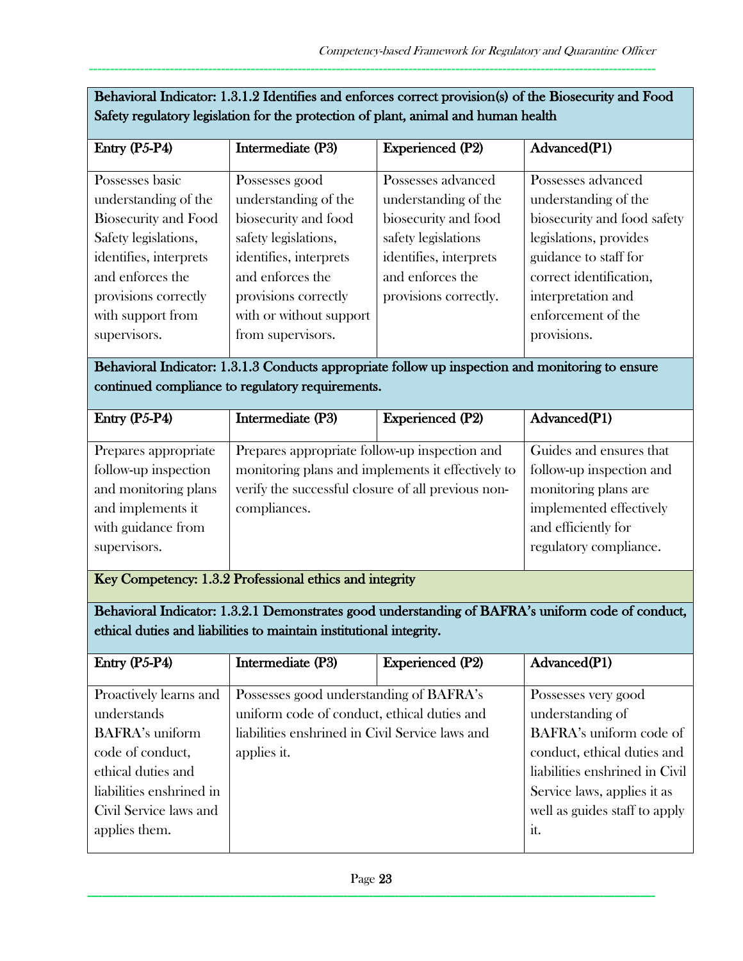| Behavioral Indicator: 1.3.1.2 Identifies and enforces correct provision(s) of the Biosecurity and Food |
|--------------------------------------------------------------------------------------------------------|
| Safety regulatory legislation for the protection of plant, animal and human health                     |

| Entry (P5-P4)               | Intermediate (P3)       | <b>Experienced (P2)</b> | Advanced(P1)                |
|-----------------------------|-------------------------|-------------------------|-----------------------------|
|                             |                         |                         |                             |
| Possesses basic             | Possesses good          | Possesses advanced      | Possesses advanced          |
| understanding of the        | understanding of the    | understanding of the    | understanding of the        |
| <b>Biosecurity and Food</b> | biosecurity and food    | biosecurity and food    | biosecurity and food safety |
| Safety legislations,        | safety legislations,    | safety legislations     | legislations, provides      |
| identifies, interprets      | identifies, interprets  | identifies, interprets  | guidance to staff for       |
| and enforces the            | and enforces the        | and enforces the        | correct identification,     |
| provisions correctly        | provisions correctly    | provisions correctly.   | interpretation and          |
| with support from           | with or without support |                         | enforcement of the          |
| supervisors.                | from supervisors.       |                         | provisions.                 |
|                             |                         |                         |                             |

## Behavioral Indicator: 1.3.1.3 Conducts appropriate follow up inspection and monitoring to ensure continued compliance to regulatory requirements.

| Entry $(P5-P4)$      | Intermediate (P3)                                  | <b>Experienced (P2)</b> | Advanced(P1)             |
|----------------------|----------------------------------------------------|-------------------------|--------------------------|
|                      |                                                    |                         |                          |
| Prepares appropriate | Prepares appropriate follow-up inspection and      |                         | Guides and ensures that  |
| follow-up inspection | monitoring plans and implements it effectively to  |                         | follow-up inspection and |
| and monitoring plans | verify the successful closure of all previous non- |                         | monitoring plans are     |
| and implements it    | compliances.                                       |                         | implemented effectively  |
| with guidance from   |                                                    |                         | and efficiently for      |
| supervisors.         |                                                    |                         | regulatory compliance.   |
|                      |                                                    |                         |                          |

Key Competency: 1.3.2 Professional ethics and integrity

Behavioral Indicator: 1.3.2.1 Demonstrates good understanding of BAFRA's uniform code of conduct, ethical duties and liabilities to maintain institutional integrity.

| Entry $(P5-P4)$          | Intermediate (P3)                               | <b>Experienced (P2)</b> | Advanced(P1)                   |
|--------------------------|-------------------------------------------------|-------------------------|--------------------------------|
|                          |                                                 |                         |                                |
| Proactively learns and   | Possesses good understanding of BAFRA's         |                         | Possesses very good            |
| understands              | uniform code of conduct, ethical duties and     |                         | understanding of               |
| <b>BAFRA's uniform</b>   | liabilities enshrined in Civil Service laws and |                         | BAFRA's uniform code of        |
| code of conduct,         | applies it.                                     |                         | conduct, ethical duties and    |
| ethical duties and       |                                                 |                         | liabilities enshrined in Civil |
| liabilities enshrined in |                                                 |                         | Service laws, applies it as    |
| Civil Service laws and   |                                                 |                         | well as guides staff to apply  |
| applies them.            |                                                 |                         | it.                            |
|                          |                                                 |                         |                                |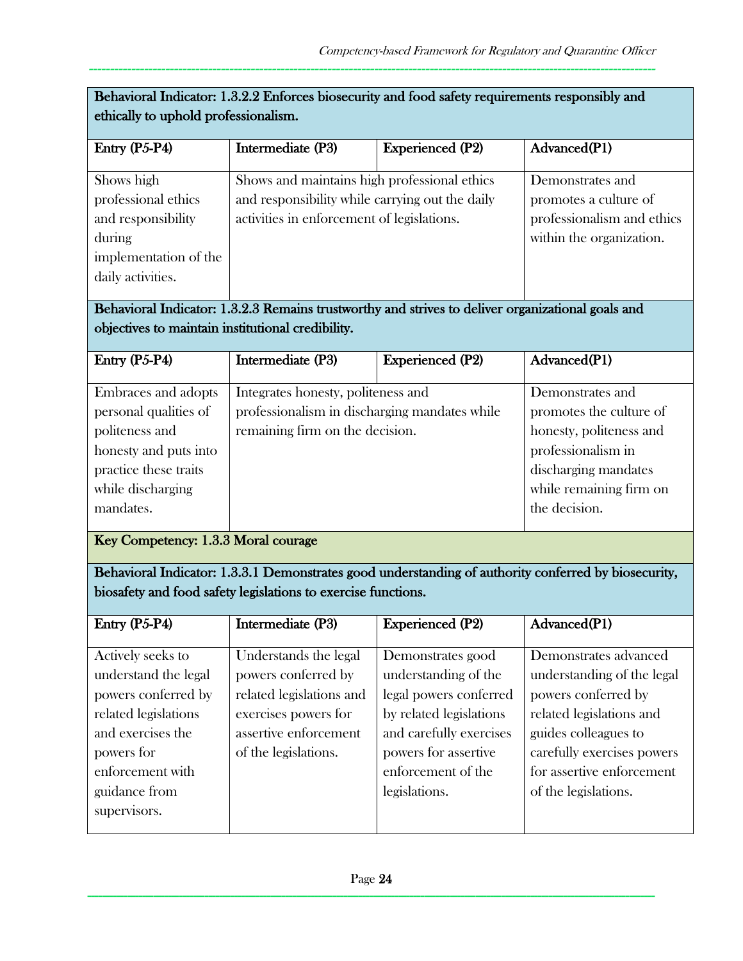| Behavioral Indicator: 1.3.2.2 Enforces biosecurity and food safety requirements responsibly and<br>ethically to uphold professionalism. |                                                                                                                                               |                         |                                                                                                     |  |
|-----------------------------------------------------------------------------------------------------------------------------------------|-----------------------------------------------------------------------------------------------------------------------------------------------|-------------------------|-----------------------------------------------------------------------------------------------------|--|
| $Entry (P5-P4)$                                                                                                                         | Intermediate (P3)                                                                                                                             | <b>Experienced (P2)</b> | Advanced(P1)                                                                                        |  |
| Shows high<br>professional ethics<br>and responsibility<br>during<br>implementation of the<br>daily activities.                         | Shows and maintains high professional ethics<br>and responsibility while carrying out the daily<br>activities in enforcement of legislations. |                         | Demonstrates and<br>promotes a culture of<br>professionalism and ethics<br>within the organization. |  |

Behavioral Indicator: 1.3.2.3 Remains trustworthy and strives to deliver organizational goals and objectives to maintain institutional credibility.

| Entry $(P5-P4)$       | Intermediate (P3)                             | <b>Experienced (P2)</b> | Advanced(P1)            |
|-----------------------|-----------------------------------------------|-------------------------|-------------------------|
|                       |                                               |                         |                         |
| Embraces and adopts   | Integrates honesty, politeness and            |                         | Demonstrates and        |
| personal qualities of | professionalism in discharging mandates while |                         | promotes the culture of |
| politeness and        | remaining firm on the decision.               |                         | honesty, politeness and |
| honesty and puts into |                                               |                         | professionalism in      |
| practice these traits |                                               |                         | discharging mandates    |
| while discharging     |                                               |                         | while remaining firm on |
| mandates.             |                                               |                         | the decision.           |
|                       |                                               |                         |                         |

Key Competency: 1.3.3 Moral courage

Behavioral Indicator: 1.3.3.1 Demonstrates good understanding of authority conferred by biosecurity, biosafety and food safety legislations to exercise functions.

| $Entry (P5-P4)$      | Intermediate (P3)        | <b>Experienced (P2)</b> | Advanced(P1)               |
|----------------------|--------------------------|-------------------------|----------------------------|
|                      |                          |                         |                            |
| Actively seeks to    | Understands the legal    | Demonstrates good       | Demonstrates advanced      |
| understand the legal | powers conferred by      | understanding of the    | understanding of the legal |
| powers conferred by  | related legislations and | legal powers conferred  | powers conferred by        |
| related legislations | exercises powers for     | by related legislations | related legislations and   |
| and exercises the    | assertive enforcement    | and carefully exercises | guides colleagues to       |
| powers for           | of the legislations.     | powers for assertive    | carefully exercises powers |
| enforcement with     |                          | enforcement of the      | for assertive enforcement  |
| guidance from        |                          | legislations.           | of the legislations.       |
| supervisors.         |                          |                         |                            |
|                      |                          |                         |                            |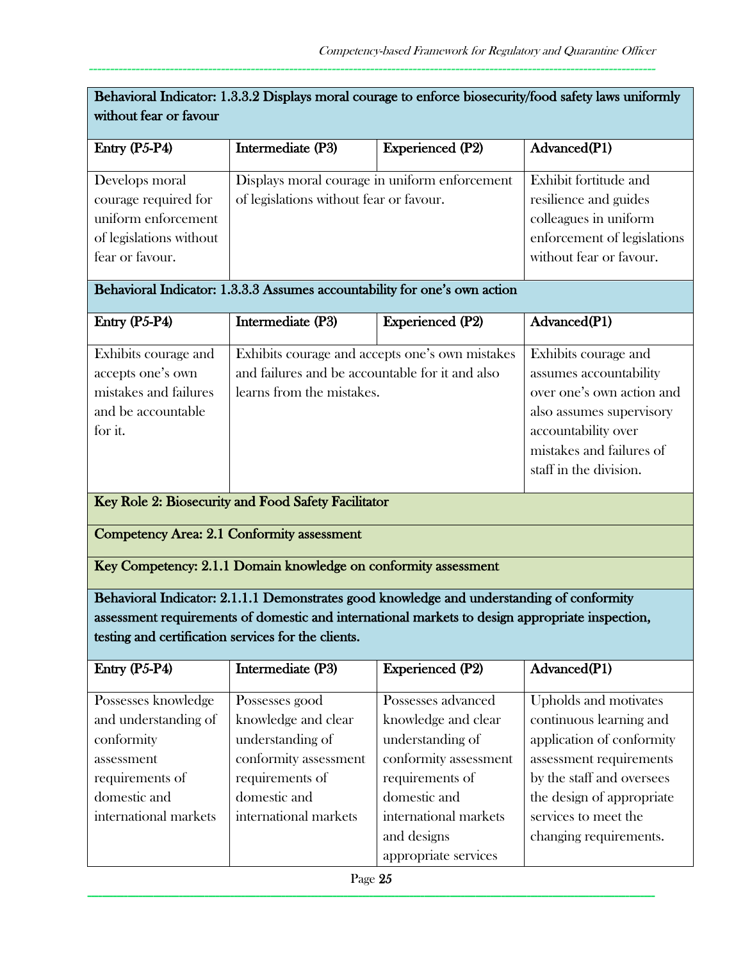| Behavioral Indicator: 1.3.3.2 Displays moral courage to enforce biosecurity/food safety laws uniformly                              |                                                                                                                                                |                                                                                                                                                                                              |                                                                                                                                                                                            |  |
|-------------------------------------------------------------------------------------------------------------------------------------|------------------------------------------------------------------------------------------------------------------------------------------------|----------------------------------------------------------------------------------------------------------------------------------------------------------------------------------------------|--------------------------------------------------------------------------------------------------------------------------------------------------------------------------------------------|--|
| without fear or favour                                                                                                              |                                                                                                                                                |                                                                                                                                                                                              |                                                                                                                                                                                            |  |
| Entry (P5-P4)                                                                                                                       | Intermediate (P3)                                                                                                                              | <b>Experienced (P2)</b>                                                                                                                                                                      | Advanced(P1)                                                                                                                                                                               |  |
| Develops moral<br>courage required for<br>uniform enforcement<br>of legislations without<br>fear or favour.                         | Displays moral courage in uniform enforcement<br>of legislations without fear or favour.                                                       |                                                                                                                                                                                              | Exhibit fortitude and<br>resilience and guides<br>colleagues in uniform<br>enforcement of legislations<br>without fear or favour.                                                          |  |
|                                                                                                                                     | Behavioral Indicator: 1.3.3.3 Assumes accountability for one's own action                                                                      |                                                                                                                                                                                              |                                                                                                                                                                                            |  |
| Entry (P5-P4)                                                                                                                       | Intermediate (P3)                                                                                                                              | <b>Experienced (P2)</b>                                                                                                                                                                      | Advanced(P1)                                                                                                                                                                               |  |
| Exhibits courage and<br>accepts one's own<br>mistakes and failures<br>and be accountable<br>for it.                                 | and failures and be accountable for it and also<br>learns from the mistakes.                                                                   | Exhibits courage and accepts one's own mistakes                                                                                                                                              | Exhibits courage and<br>assumes accountability<br>over one's own action and<br>also assumes supervisory<br>accountability over<br>mistakes and failures of<br>staff in the division.       |  |
|                                                                                                                                     | Key Role 2: Biosecurity and Food Safety Facilitator                                                                                            |                                                                                                                                                                                              |                                                                                                                                                                                            |  |
|                                                                                                                                     | Competency Area: 2.1 Conformity assessment                                                                                                     |                                                                                                                                                                                              |                                                                                                                                                                                            |  |
|                                                                                                                                     | Key Competency: 2.1.1 Domain knowledge on conformity assessment                                                                                |                                                                                                                                                                                              |                                                                                                                                                                                            |  |
| testing and certification services for the clients.                                                                                 |                                                                                                                                                | Behavioral Indicator: 2.1.1.1 Demonstrates good knowledge and understanding of conformity<br>assessment requirements of domestic and international markets to design appropriate inspection, |                                                                                                                                                                                            |  |
| Entry (P5-P4)                                                                                                                       | Intermediate (P3)                                                                                                                              | <b>Experienced (P2)</b>                                                                                                                                                                      | Advanced(P1)                                                                                                                                                                               |  |
| Possesses knowledge<br>and understanding of<br>conformity<br>assessment<br>requirements of<br>domestic and<br>international markets | Possesses good<br>knowledge and clear<br>understanding of<br>conformity assessment<br>requirements of<br>domestic and<br>international markets | Possesses advanced<br>knowledge and clear<br>understanding of<br>conformity assessment<br>requirements of<br>domestic and<br>international markets                                           | Upholds and motivates<br>continuous learning and<br>application of conformity<br>assessment requirements<br>by the staff and oversees<br>the design of appropriate<br>services to meet the |  |

and designs

appropriate services

changing requirements.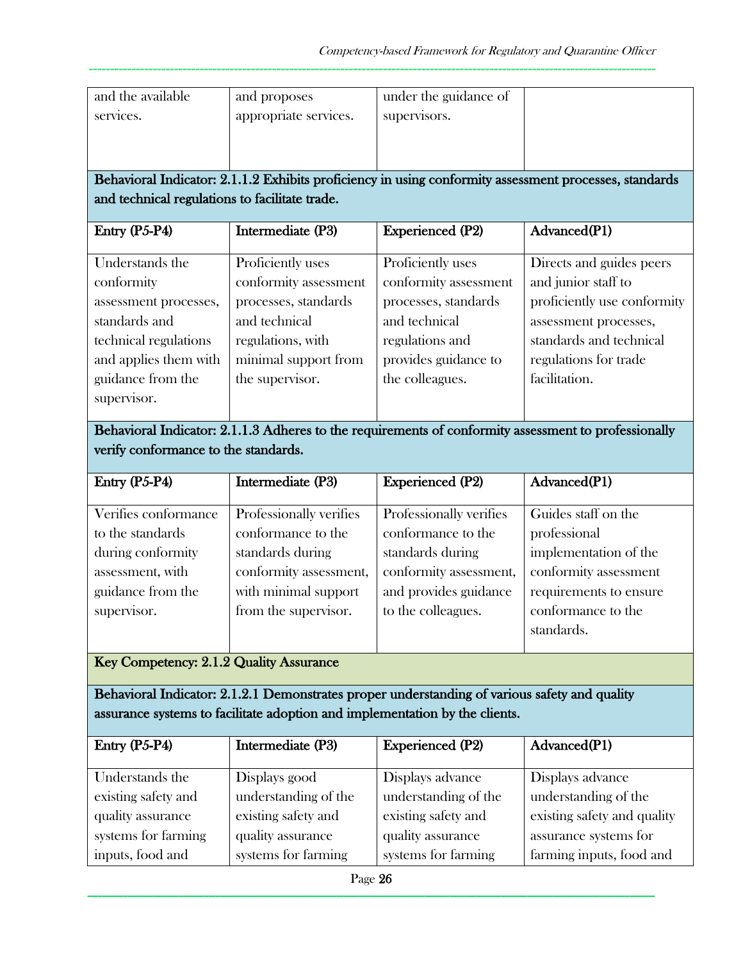| and the available                              | and proposes                                                                                  | under the guidance of   |                                                                                                        |
|------------------------------------------------|-----------------------------------------------------------------------------------------------|-------------------------|--------------------------------------------------------------------------------------------------------|
| services.                                      | appropriate services.                                                                         | supervisors.            |                                                                                                        |
|                                                |                                                                                               |                         |                                                                                                        |
|                                                |                                                                                               |                         |                                                                                                        |
|                                                |                                                                                               |                         | Behavioral Indicator: 2.1.1.2 Exhibits proficiency in using conformity assessment processes, standards |
| and technical regulations to facilitate trade. |                                                                                               |                         |                                                                                                        |
|                                                |                                                                                               |                         |                                                                                                        |
| Entry (P5-P4)                                  | Intermediate (P3)                                                                             | <b>Experienced (P2)</b> | Advanced(P1)                                                                                           |
| Understands the                                | Proficiently uses                                                                             | Proficiently uses       | Directs and guides peers                                                                               |
| conformity                                     | conformity assessment                                                                         | conformity assessment   | and junior staff to                                                                                    |
| assessment processes,                          | processes, standards                                                                          | processes, standards    | proficiently use conformity                                                                            |
| standards and                                  | and technical                                                                                 | and technical           | assessment processes,                                                                                  |
| technical regulations                          | regulations, with                                                                             | regulations and         | standards and technical                                                                                |
| and applies them with                          | minimal support from                                                                          | provides guidance to    | regulations for trade                                                                                  |
| guidance from the                              | the supervisor.                                                                               | the colleagues.         | facilitation.                                                                                          |
|                                                |                                                                                               |                         |                                                                                                        |
| supervisor.                                    |                                                                                               |                         |                                                                                                        |
|                                                |                                                                                               |                         | Behavioral Indicator: 2.1.1.3 Adheres to the requirements of conformity assessment to professionally   |
| verify conformance to the standards.           |                                                                                               |                         |                                                                                                        |
|                                                |                                                                                               |                         |                                                                                                        |
|                                                |                                                                                               |                         |                                                                                                        |
| Entry (P5-P4)                                  | Intermediate (P3)                                                                             | <b>Experienced (P2)</b> | Advanced(P1)                                                                                           |
| Verifies conformance                           | Professionally verifies                                                                       | Professionally verifies | Guides staff on the                                                                                    |
| to the standards                               | conformance to the                                                                            | conformance to the      | professional                                                                                           |
| during conformity                              | standards during                                                                              | standards during        | implementation of the                                                                                  |
| assessment, with                               | conformity assessment,                                                                        | conformity assessment,  | conformity assessment                                                                                  |
| guidance from the                              |                                                                                               | and provides guidance   |                                                                                                        |
|                                                | with minimal support                                                                          |                         | requirements to ensure                                                                                 |
| supervisor.                                    | from the supervisor.                                                                          | to the colleagues.      | conformance to the                                                                                     |
|                                                |                                                                                               |                         | standards.                                                                                             |
| Key Competency: 2.1.2 Quality Assurance        |                                                                                               |                         |                                                                                                        |
|                                                | Behavioral Indicator: 2.1.2.1 Demonstrates proper understanding of various safety and quality |                         |                                                                                                        |
|                                                | assurance systems to facilitate adoption and implementation by the clients.                   |                         |                                                                                                        |
| Entry (P5-P4)                                  | Intermediate (P3)                                                                             | <b>Experienced (P2)</b> | Advanced(P1)                                                                                           |
| Understands the                                | Displays good                                                                                 | Displays advance        | Displays advance                                                                                       |
| existing safety and                            | understanding of the                                                                          | understanding of the    | understanding of the                                                                                   |
| quality assurance                              | existing safety and                                                                           | existing safety and     | existing safety and quality                                                                            |
| systems for farming                            | quality assurance                                                                             | quality assurance       | assurance systems for                                                                                  |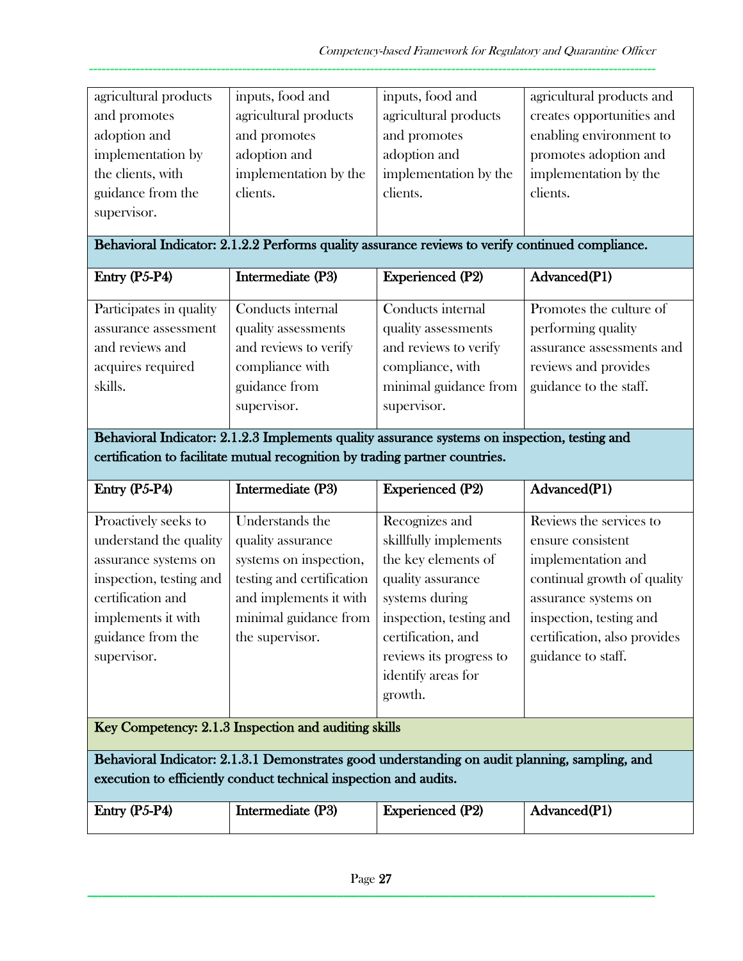| agricultural products                                                        | inputs, food and                                                  | inputs, food and                                                                                 | agricultural products and    |  |
|------------------------------------------------------------------------------|-------------------------------------------------------------------|--------------------------------------------------------------------------------------------------|------------------------------|--|
| and promotes                                                                 | agricultural products                                             | agricultural products                                                                            | creates opportunities and    |  |
| adoption and                                                                 | and promotes                                                      | and promotes                                                                                     | enabling environment to      |  |
| implementation by                                                            | adoption and                                                      | adoption and                                                                                     | promotes adoption and        |  |
| the clients, with                                                            |                                                                   |                                                                                                  |                              |  |
|                                                                              | implementation by the                                             | implementation by the                                                                            | implementation by the        |  |
| guidance from the                                                            | clients.                                                          | clients.                                                                                         | clients.                     |  |
| supervisor.                                                                  |                                                                   |                                                                                                  |                              |  |
|                                                                              |                                                                   | Behavioral Indicator: 2.1.2.2 Performs quality assurance reviews to verify continued compliance. |                              |  |
| Entry (P5-P4)                                                                | Intermediate (P3)                                                 | <b>Experienced (P2)</b>                                                                          | Advanced(P1)                 |  |
|                                                                              |                                                                   |                                                                                                  |                              |  |
| Participates in quality                                                      | Conducts internal                                                 | Conducts internal                                                                                | Promotes the culture of      |  |
| assurance assessment                                                         | quality assessments                                               | quality assessments                                                                              | performing quality           |  |
| and reviews and                                                              | and reviews to verify                                             | and reviews to verify                                                                            | assurance assessments and    |  |
| acquires required                                                            | compliance with                                                   | compliance, with                                                                                 | reviews and provides         |  |
| skills.                                                                      | guidance from                                                     | minimal guidance from                                                                            | guidance to the staff.       |  |
|                                                                              | supervisor.                                                       | supervisor.                                                                                      |                              |  |
|                                                                              |                                                                   | Behavioral Indicator: 2.1.2.3 Implements quality assurance systems on inspection, testing and    |                              |  |
|                                                                              |                                                                   |                                                                                                  |                              |  |
| certification to facilitate mutual recognition by trading partner countries. |                                                                   |                                                                                                  |                              |  |
|                                                                              |                                                                   |                                                                                                  |                              |  |
| Entry (P5-P4)                                                                | Intermediate (P3)                                                 | <b>Experienced (P2)</b>                                                                          | Advanced(P1)                 |  |
|                                                                              |                                                                   |                                                                                                  |                              |  |
| Proactively seeks to                                                         | Understands the                                                   | Recognizes and                                                                                   | Reviews the services to      |  |
| understand the quality                                                       | quality assurance                                                 | skillfully implements                                                                            | ensure consistent            |  |
| assurance systems on                                                         | systems on inspection,                                            | the key elements of                                                                              | implementation and           |  |
| inspection, testing and                                                      | testing and certification                                         | quality assurance                                                                                | continual growth of quality  |  |
| certification and                                                            | and implements it with                                            | systems during                                                                                   | assurance systems on         |  |
| implements it with                                                           | minimal guidance from                                             | inspection, testing and                                                                          | inspection, testing and      |  |
| guidance from the                                                            | the supervisor.                                                   | certification, and                                                                               | certification, also provides |  |
| supervisor.                                                                  |                                                                   | reviews its progress to                                                                          | guidance to staff.           |  |
|                                                                              |                                                                   | identify areas for                                                                               |                              |  |
|                                                                              |                                                                   | growth.                                                                                          |                              |  |
|                                                                              | Key Competency: 2.1.3 Inspection and auditing skills              |                                                                                                  |                              |  |
|                                                                              |                                                                   | Behavioral Indicator: 2.1.3.1 Demonstrates good understanding on audit planning, sampling, and   |                              |  |
|                                                                              | execution to efficiently conduct technical inspection and audits. |                                                                                                  |                              |  |
| Entry (P5-P4)                                                                | Intermediate (P3)                                                 | <b>Experienced (P2)</b>                                                                          | Advanced(P1)                 |  |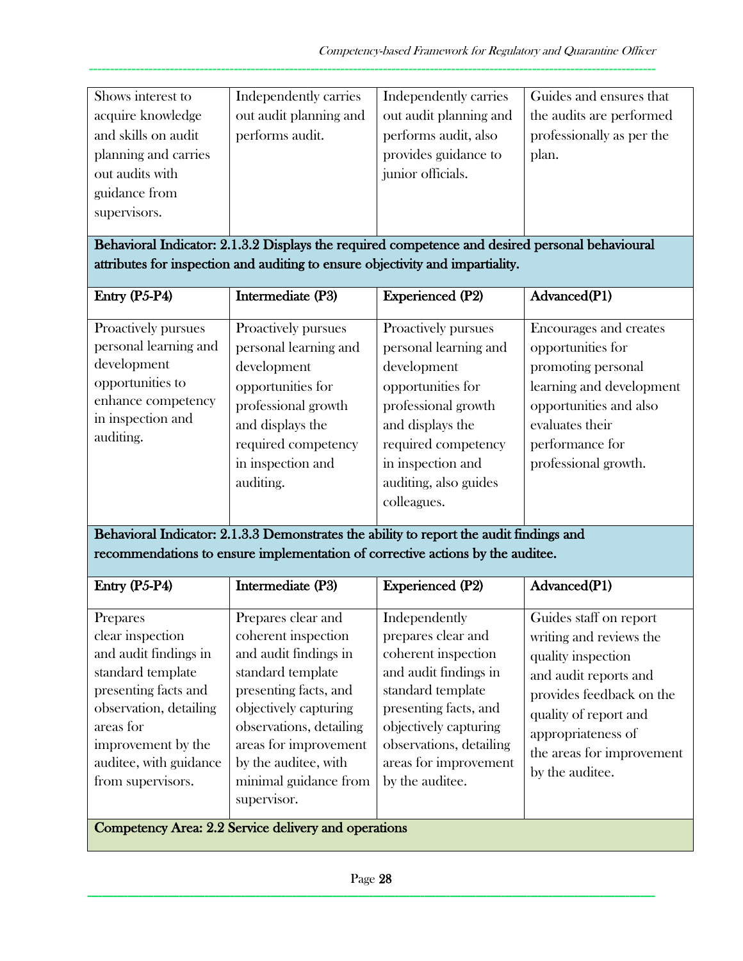| Shows interest to    | Independently carries  | Independently carries  | Guides and ensures that   |
|----------------------|------------------------|------------------------|---------------------------|
| acquire knowledge    | out audit planning and | out audit planning and | the audits are performed  |
| and skills on audit  | performs audit.        | performs audit, also   | professionally as per the |
| planning and carries |                        | provides guidance to   | plan.                     |
| out audits with      |                        | junior officials.      |                           |
| guidance from        |                        |                        |                           |
| supervisors.         |                        |                        |                           |
|                      |                        |                        |                           |

Behavioral Indicator: 2.1.3.2 Displays the required competence and desired personal behavioural attributes for inspection and auditing to ensure objectivity and impartiality.

| Intermediate (P3)     | <b>Experienced (P2)</b> | Advanced(P1)             |
|-----------------------|-------------------------|--------------------------|
|                       |                         |                          |
| Proactively pursues   | Proactively pursues     | Encourages and creates   |
| personal learning and | personal learning and   | opportunities for        |
| development           | development             | promoting personal       |
| opportunities for     | opportunities for       | learning and development |
| professional growth   | professional growth     | opportunities and also   |
| and displays the      | and displays the        | evaluates their          |
| required competency   | required competency     | performance for          |
| in inspection and     | in inspection and       | professional growth.     |
| auditing.             | auditing, also guides   |                          |
|                       | colleagues.             |                          |
|                       |                         |                          |

Behavioral Indicator: 2.1.3.3 Demonstrates the ability to report the audit findings and recommendations to ensure implementation of corrective actions by the auditee.

| Entry $(P5-P4)$                                                                                                                                                                                                | Intermediate (P3)                                                                                                                                                                                                                                             | <b>Experienced (P2)</b>                                                                                                                                                                                                           | Advanced(P1)                                                                                                                                                                                                                |
|----------------------------------------------------------------------------------------------------------------------------------------------------------------------------------------------------------------|---------------------------------------------------------------------------------------------------------------------------------------------------------------------------------------------------------------------------------------------------------------|-----------------------------------------------------------------------------------------------------------------------------------------------------------------------------------------------------------------------------------|-----------------------------------------------------------------------------------------------------------------------------------------------------------------------------------------------------------------------------|
| Prepares<br>clear inspection<br>and audit findings in<br>standard template<br>presenting facts and<br>observation, detailing<br>areas for<br>improvement by the<br>auditee, with guidance<br>from supervisors. | Prepares clear and<br>coherent inspection<br>and audit findings in<br>standard template<br>presenting facts, and<br>objectively capturing<br>observations, detailing<br>areas for improvement<br>by the auditee, with<br>minimal guidance from<br>supervisor. | Independently<br>prepares clear and<br>coherent inspection<br>and audit findings in<br>standard template<br>presenting facts, and<br>objectively capturing<br>observations, detailing<br>areas for improvement<br>by the auditee. | Guides staff on report<br>writing and reviews the<br>quality inspection<br>and audit reports and<br>provides feedback on the<br>quality of report and<br>appropriateness of<br>the areas for improvement<br>by the auditee. |
| $C$ and the set $\Lambda$ and $\Omega$ $\Omega$ $\Omega$ $\Omega$ and $\Omega$ and $\Omega$ and $\Omega$ and $\Omega$                                                                                          |                                                                                                                                                                                                                                                               |                                                                                                                                                                                                                                   |                                                                                                                                                                                                                             |

Competency Area: 2.2 Service delivery and operations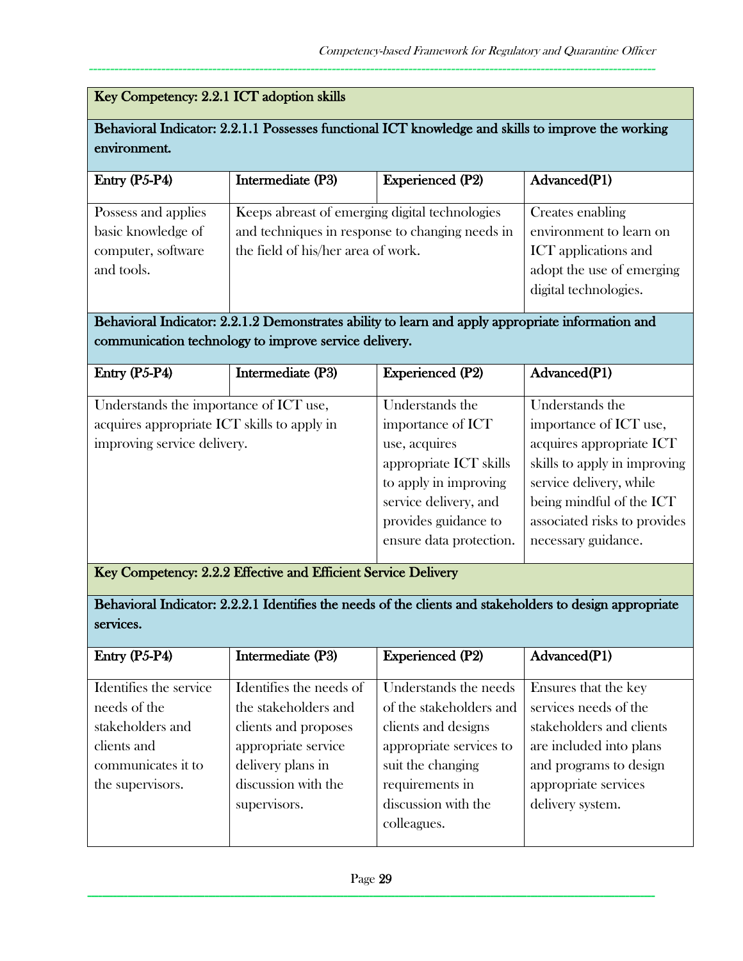# Key Competency: 2.2.1 ICT adoption skills

## Behavioral Indicator: 2.2.1.1 Possesses functional ICT knowledge and skills to improve the working environment.

-------------------------------------------------------------------------------------------------------------------------------------

| Entry $(P5-P4)$     | Intermediate (P3)                               | <b>Experienced (P2)</b> | Advanced(P1)                |
|---------------------|-------------------------------------------------|-------------------------|-----------------------------|
| Possess and applies | Keeps abreast of emerging digital technologies  |                         | Creates enabling            |
| basic knowledge of  | and techniques in response to changing needs in |                         | environment to learn on     |
| computer, software  | the field of his/her area of work.              |                         | <b>ICT</b> applications and |
| and tools.          |                                                 |                         | adopt the use of emerging   |
|                     |                                                 |                         | digital technologies.       |
|                     |                                                 |                         |                             |

Behavioral Indicator: 2.2.1.2 Demonstrates ability to learn and apply appropriate information and communication technology to improve service delivery.

| Entry $(P5-P4)$                             | Intermediate (P3) | <b>Experienced (P2)</b> | Advanced(P1)                 |
|---------------------------------------------|-------------------|-------------------------|------------------------------|
|                                             |                   |                         |                              |
| Understands the importance of ICT use,      |                   | Understands the         | Understands the              |
| acquires appropriate ICT skills to apply in |                   | importance of ICT       | importance of ICT use,       |
| improving service delivery.                 |                   | use, acquires           | acquires appropriate ICT     |
|                                             |                   | appropriate ICT skills  | skills to apply in improving |
|                                             |                   | to apply in improving   | service delivery, while      |
|                                             |                   | service delivery, and   | being mindful of the ICT     |
|                                             |                   | provides guidance to    | associated risks to provides |
|                                             |                   | ensure data protection. | necessary guidance.          |
|                                             |                   |                         |                              |

Key Competency: 2.2.2 Effective and Efficient Service Delivery

Behavioral Indicator: 2.2.2.1 Identifies the needs of the clients and stakeholders to design appropriate services.

| Entry $(P5-P4)$        | Intermediate (P3)       | <b>Experienced (P2)</b> | Advanced(P1)             |
|------------------------|-------------------------|-------------------------|--------------------------|
|                        |                         |                         |                          |
| Identifies the service | Identifies the needs of | Understands the needs   | Ensures that the key     |
| needs of the           | the stakeholders and    | of the stakeholders and | services needs of the    |
| stakeholders and       | clients and proposes    | clients and designs     | stakeholders and clients |
| clients and            | appropriate service     | appropriate services to | are included into plans  |
| communicates it to     | delivery plans in       | suit the changing       | and programs to design   |
| the supervisors.       | discussion with the     | requirements in         | appropriate services     |
|                        | supervisors.            | discussion with the     | delivery system.         |
|                        |                         | colleagues.             |                          |
|                        |                         |                         |                          |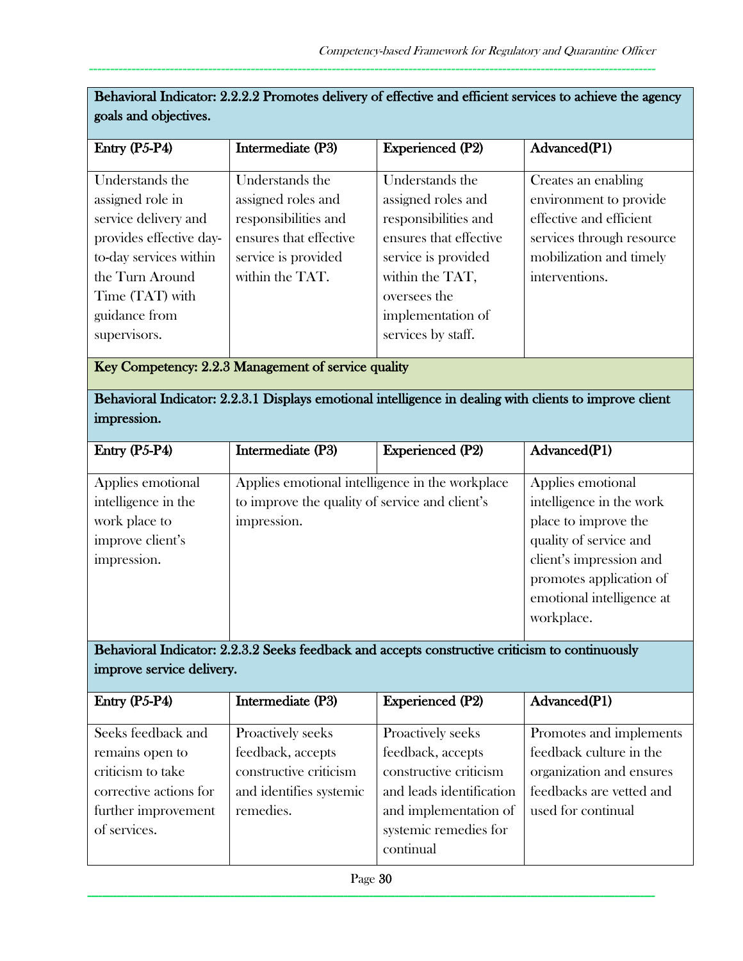| <b>Experienced (P2)</b><br>Entry (P5-P4)<br>Intermediate (P3)<br>Advanced(P1)<br>Understands the<br>Understands the<br>Understands the<br>Creates an enabling<br>assigned role in<br>assigned roles and<br>assigned roles and<br>environment to provide<br>service delivery and<br>effective and efficient<br>responsibilities and<br>responsibilities and<br>provides effective day-<br>ensures that effective<br>ensures that effective<br>services through resource<br>to-day services within<br>service is provided<br>mobilization and timely<br>service is provided<br>within the TAT.<br>the Turn Around<br>interventions.<br>within the TAT,<br>Time (TAT) with<br>oversees the<br>guidance from<br>implementation of<br>services by staff.<br>supervisors.<br>Key Competency: 2.2.3 Management of service quality<br>Behavioral Indicator: 2.2.3.1 Displays emotional intelligence in dealing with clients to improve client<br>impression.<br><b>Experienced (P2)</b><br>Entry (P5-P4)<br>Intermediate (P3)<br>Advanced(P1)<br>Applies emotional intelligence in the workplace<br>Applies emotional<br>Applies emotional<br>intelligence in the<br>to improve the quality of service and client's<br>intelligence in the work<br>impression.<br>place to improve the<br>work place to<br>quality of service and<br>improve client's<br>client's impression and<br>impression.<br>promotes application of<br>emotional intelligence at<br>workplace.<br>Behavioral Indicator: 2.2.3.2 Seeks feedback and accepts constructive criticism to continuously<br>improve service delivery.<br>Intermediate (P3)<br><b>Experienced (P2)</b><br>Advanced(P1)<br>Entry (P5-P4)<br>Seeks feedback and<br>Proactively seeks<br>Promotes and implements<br>Proactively seeks<br>feedback culture in the<br>feedback, accepts<br>feedback, accepts<br>remains open to<br>constructive criticism<br>constructive criticism<br>criticism to take<br>organization and ensures<br>feedbacks are vetted and<br>and leads identification<br>corrective actions for<br>and identifies systemic<br>used for continual<br>further improvement<br>remedies.<br>and implementation of<br>of services.<br>systemic remedies for<br>continual | goals and objectives. |  |  |  |  |
|------------------------------------------------------------------------------------------------------------------------------------------------------------------------------------------------------------------------------------------------------------------------------------------------------------------------------------------------------------------------------------------------------------------------------------------------------------------------------------------------------------------------------------------------------------------------------------------------------------------------------------------------------------------------------------------------------------------------------------------------------------------------------------------------------------------------------------------------------------------------------------------------------------------------------------------------------------------------------------------------------------------------------------------------------------------------------------------------------------------------------------------------------------------------------------------------------------------------------------------------------------------------------------------------------------------------------------------------------------------------------------------------------------------------------------------------------------------------------------------------------------------------------------------------------------------------------------------------------------------------------------------------------------------------------------------------------------------------------------------------------------------------------------------------------------------------------------------------------------------------------------------------------------------------------------------------------------------------------------------------------------------------------------------------------------------------------------------------------------------------------------------------------------------------------------------------------------------------------|-----------------------|--|--|--|--|
|                                                                                                                                                                                                                                                                                                                                                                                                                                                                                                                                                                                                                                                                                                                                                                                                                                                                                                                                                                                                                                                                                                                                                                                                                                                                                                                                                                                                                                                                                                                                                                                                                                                                                                                                                                                                                                                                                                                                                                                                                                                                                                                                                                                                                              |                       |  |  |  |  |
|                                                                                                                                                                                                                                                                                                                                                                                                                                                                                                                                                                                                                                                                                                                                                                                                                                                                                                                                                                                                                                                                                                                                                                                                                                                                                                                                                                                                                                                                                                                                                                                                                                                                                                                                                                                                                                                                                                                                                                                                                                                                                                                                                                                                                              |                       |  |  |  |  |
|                                                                                                                                                                                                                                                                                                                                                                                                                                                                                                                                                                                                                                                                                                                                                                                                                                                                                                                                                                                                                                                                                                                                                                                                                                                                                                                                                                                                                                                                                                                                                                                                                                                                                                                                                                                                                                                                                                                                                                                                                                                                                                                                                                                                                              |                       |  |  |  |  |
|                                                                                                                                                                                                                                                                                                                                                                                                                                                                                                                                                                                                                                                                                                                                                                                                                                                                                                                                                                                                                                                                                                                                                                                                                                                                                                                                                                                                                                                                                                                                                                                                                                                                                                                                                                                                                                                                                                                                                                                                                                                                                                                                                                                                                              |                       |  |  |  |  |
|                                                                                                                                                                                                                                                                                                                                                                                                                                                                                                                                                                                                                                                                                                                                                                                                                                                                                                                                                                                                                                                                                                                                                                                                                                                                                                                                                                                                                                                                                                                                                                                                                                                                                                                                                                                                                                                                                                                                                                                                                                                                                                                                                                                                                              |                       |  |  |  |  |
|                                                                                                                                                                                                                                                                                                                                                                                                                                                                                                                                                                                                                                                                                                                                                                                                                                                                                                                                                                                                                                                                                                                                                                                                                                                                                                                                                                                                                                                                                                                                                                                                                                                                                                                                                                                                                                                                                                                                                                                                                                                                                                                                                                                                                              |                       |  |  |  |  |
|                                                                                                                                                                                                                                                                                                                                                                                                                                                                                                                                                                                                                                                                                                                                                                                                                                                                                                                                                                                                                                                                                                                                                                                                                                                                                                                                                                                                                                                                                                                                                                                                                                                                                                                                                                                                                                                                                                                                                                                                                                                                                                                                                                                                                              |                       |  |  |  |  |
|                                                                                                                                                                                                                                                                                                                                                                                                                                                                                                                                                                                                                                                                                                                                                                                                                                                                                                                                                                                                                                                                                                                                                                                                                                                                                                                                                                                                                                                                                                                                                                                                                                                                                                                                                                                                                                                                                                                                                                                                                                                                                                                                                                                                                              |                       |  |  |  |  |
|                                                                                                                                                                                                                                                                                                                                                                                                                                                                                                                                                                                                                                                                                                                                                                                                                                                                                                                                                                                                                                                                                                                                                                                                                                                                                                                                                                                                                                                                                                                                                                                                                                                                                                                                                                                                                                                                                                                                                                                                                                                                                                                                                                                                                              |                       |  |  |  |  |
|                                                                                                                                                                                                                                                                                                                                                                                                                                                                                                                                                                                                                                                                                                                                                                                                                                                                                                                                                                                                                                                                                                                                                                                                                                                                                                                                                                                                                                                                                                                                                                                                                                                                                                                                                                                                                                                                                                                                                                                                                                                                                                                                                                                                                              |                       |  |  |  |  |
|                                                                                                                                                                                                                                                                                                                                                                                                                                                                                                                                                                                                                                                                                                                                                                                                                                                                                                                                                                                                                                                                                                                                                                                                                                                                                                                                                                                                                                                                                                                                                                                                                                                                                                                                                                                                                                                                                                                                                                                                                                                                                                                                                                                                                              |                       |  |  |  |  |
|                                                                                                                                                                                                                                                                                                                                                                                                                                                                                                                                                                                                                                                                                                                                                                                                                                                                                                                                                                                                                                                                                                                                                                                                                                                                                                                                                                                                                                                                                                                                                                                                                                                                                                                                                                                                                                                                                                                                                                                                                                                                                                                                                                                                                              |                       |  |  |  |  |
|                                                                                                                                                                                                                                                                                                                                                                                                                                                                                                                                                                                                                                                                                                                                                                                                                                                                                                                                                                                                                                                                                                                                                                                                                                                                                                                                                                                                                                                                                                                                                                                                                                                                                                                                                                                                                                                                                                                                                                                                                                                                                                                                                                                                                              |                       |  |  |  |  |
|                                                                                                                                                                                                                                                                                                                                                                                                                                                                                                                                                                                                                                                                                                                                                                                                                                                                                                                                                                                                                                                                                                                                                                                                                                                                                                                                                                                                                                                                                                                                                                                                                                                                                                                                                                                                                                                                                                                                                                                                                                                                                                                                                                                                                              |                       |  |  |  |  |
|                                                                                                                                                                                                                                                                                                                                                                                                                                                                                                                                                                                                                                                                                                                                                                                                                                                                                                                                                                                                                                                                                                                                                                                                                                                                                                                                                                                                                                                                                                                                                                                                                                                                                                                                                                                                                                                                                                                                                                                                                                                                                                                                                                                                                              |                       |  |  |  |  |
|                                                                                                                                                                                                                                                                                                                                                                                                                                                                                                                                                                                                                                                                                                                                                                                                                                                                                                                                                                                                                                                                                                                                                                                                                                                                                                                                                                                                                                                                                                                                                                                                                                                                                                                                                                                                                                                                                                                                                                                                                                                                                                                                                                                                                              |                       |  |  |  |  |
|                                                                                                                                                                                                                                                                                                                                                                                                                                                                                                                                                                                                                                                                                                                                                                                                                                                                                                                                                                                                                                                                                                                                                                                                                                                                                                                                                                                                                                                                                                                                                                                                                                                                                                                                                                                                                                                                                                                                                                                                                                                                                                                                                                                                                              |                       |  |  |  |  |
|                                                                                                                                                                                                                                                                                                                                                                                                                                                                                                                                                                                                                                                                                                                                                                                                                                                                                                                                                                                                                                                                                                                                                                                                                                                                                                                                                                                                                                                                                                                                                                                                                                                                                                                                                                                                                                                                                                                                                                                                                                                                                                                                                                                                                              |                       |  |  |  |  |
|                                                                                                                                                                                                                                                                                                                                                                                                                                                                                                                                                                                                                                                                                                                                                                                                                                                                                                                                                                                                                                                                                                                                                                                                                                                                                                                                                                                                                                                                                                                                                                                                                                                                                                                                                                                                                                                                                                                                                                                                                                                                                                                                                                                                                              |                       |  |  |  |  |
|                                                                                                                                                                                                                                                                                                                                                                                                                                                                                                                                                                                                                                                                                                                                                                                                                                                                                                                                                                                                                                                                                                                                                                                                                                                                                                                                                                                                                                                                                                                                                                                                                                                                                                                                                                                                                                                                                                                                                                                                                                                                                                                                                                                                                              |                       |  |  |  |  |
|                                                                                                                                                                                                                                                                                                                                                                                                                                                                                                                                                                                                                                                                                                                                                                                                                                                                                                                                                                                                                                                                                                                                                                                                                                                                                                                                                                                                                                                                                                                                                                                                                                                                                                                                                                                                                                                                                                                                                                                                                                                                                                                                                                                                                              |                       |  |  |  |  |
|                                                                                                                                                                                                                                                                                                                                                                                                                                                                                                                                                                                                                                                                                                                                                                                                                                                                                                                                                                                                                                                                                                                                                                                                                                                                                                                                                                                                                                                                                                                                                                                                                                                                                                                                                                                                                                                                                                                                                                                                                                                                                                                                                                                                                              |                       |  |  |  |  |
|                                                                                                                                                                                                                                                                                                                                                                                                                                                                                                                                                                                                                                                                                                                                                                                                                                                                                                                                                                                                                                                                                                                                                                                                                                                                                                                                                                                                                                                                                                                                                                                                                                                                                                                                                                                                                                                                                                                                                                                                                                                                                                                                                                                                                              |                       |  |  |  |  |
|                                                                                                                                                                                                                                                                                                                                                                                                                                                                                                                                                                                                                                                                                                                                                                                                                                                                                                                                                                                                                                                                                                                                                                                                                                                                                                                                                                                                                                                                                                                                                                                                                                                                                                                                                                                                                                                                                                                                                                                                                                                                                                                                                                                                                              |                       |  |  |  |  |
|                                                                                                                                                                                                                                                                                                                                                                                                                                                                                                                                                                                                                                                                                                                                                                                                                                                                                                                                                                                                                                                                                                                                                                                                                                                                                                                                                                                                                                                                                                                                                                                                                                                                                                                                                                                                                                                                                                                                                                                                                                                                                                                                                                                                                              |                       |  |  |  |  |
|                                                                                                                                                                                                                                                                                                                                                                                                                                                                                                                                                                                                                                                                                                                                                                                                                                                                                                                                                                                                                                                                                                                                                                                                                                                                                                                                                                                                                                                                                                                                                                                                                                                                                                                                                                                                                                                                                                                                                                                                                                                                                                                                                                                                                              |                       |  |  |  |  |
|                                                                                                                                                                                                                                                                                                                                                                                                                                                                                                                                                                                                                                                                                                                                                                                                                                                                                                                                                                                                                                                                                                                                                                                                                                                                                                                                                                                                                                                                                                                                                                                                                                                                                                                                                                                                                                                                                                                                                                                                                                                                                                                                                                                                                              |                       |  |  |  |  |
|                                                                                                                                                                                                                                                                                                                                                                                                                                                                                                                                                                                                                                                                                                                                                                                                                                                                                                                                                                                                                                                                                                                                                                                                                                                                                                                                                                                                                                                                                                                                                                                                                                                                                                                                                                                                                                                                                                                                                                                                                                                                                                                                                                                                                              |                       |  |  |  |  |
|                                                                                                                                                                                                                                                                                                                                                                                                                                                                                                                                                                                                                                                                                                                                                                                                                                                                                                                                                                                                                                                                                                                                                                                                                                                                                                                                                                                                                                                                                                                                                                                                                                                                                                                                                                                                                                                                                                                                                                                                                                                                                                                                                                                                                              |                       |  |  |  |  |
|                                                                                                                                                                                                                                                                                                                                                                                                                                                                                                                                                                                                                                                                                                                                                                                                                                                                                                                                                                                                                                                                                                                                                                                                                                                                                                                                                                                                                                                                                                                                                                                                                                                                                                                                                                                                                                                                                                                                                                                                                                                                                                                                                                                                                              |                       |  |  |  |  |
|                                                                                                                                                                                                                                                                                                                                                                                                                                                                                                                                                                                                                                                                                                                                                                                                                                                                                                                                                                                                                                                                                                                                                                                                                                                                                                                                                                                                                                                                                                                                                                                                                                                                                                                                                                                                                                                                                                                                                                                                                                                                                                                                                                                                                              |                       |  |  |  |  |

Behavioral Indicator: 2.2.2.2 Promotes delivery of effective and efficient services to achieve the agency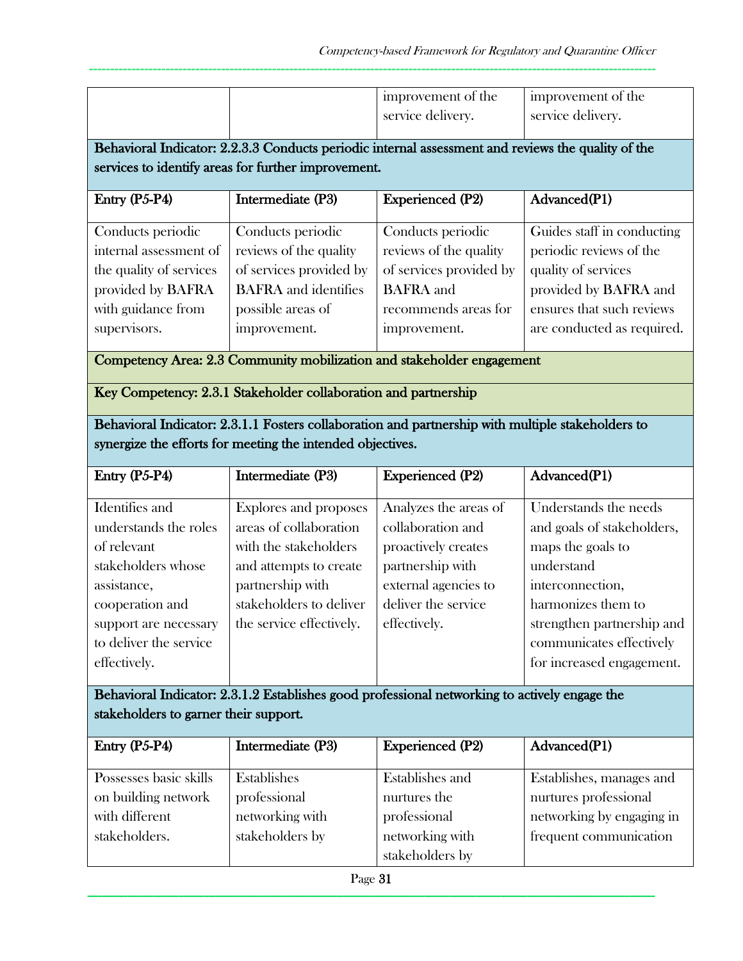| I improvement of the | I improvement of the |
|----------------------|----------------------|
| service delivery.    | service delivery.    |

Behavioral Indicator: 2.2.3.3 Conducts periodic internal assessment and reviews the quality of the services to identify areas for further improvement.

-------------------------------------------------------------------------------------------------------------------------------------

| Entry $(P5-P4)$         | Intermediate (P3)           | <b>Experienced (P2)</b> | Advanced(P1)               |
|-------------------------|-----------------------------|-------------------------|----------------------------|
|                         |                             |                         |                            |
| Conducts periodic       | Conducts periodic           | Conducts periodic       | Guides staff in conducting |
| internal assessment of  | reviews of the quality      | reviews of the quality  | periodic reviews of the    |
| the quality of services | of services provided by     | of services provided by | quality of services        |
| provided by BAFRA       | <b>BAFRA</b> and identifies | <b>BAFRA</b> and        | provided by BAFRA and      |
| with guidance from      | possible areas of           | recommends areas for    | ensures that such reviews  |
| supervisors.            | improvement.                | improvement.            | are conducted as required. |
|                         |                             |                         |                            |

Competency Area: 2.3 Community mobilization and stakeholder engagement

Key Competency: 2.3.1 Stakeholder collaboration and partnership

Behavioral Indicator: 2.3.1.1 Fosters collaboration and partnership with multiple stakeholders to synergize the efforts for meeting the intended objectives.

| Entry $(P5-P4)$        | Intermediate (P3)        | <b>Experienced (P2)</b> | Advanced(P1)               |
|------------------------|--------------------------|-------------------------|----------------------------|
|                        |                          |                         |                            |
| Identifies and         | Explores and proposes    | Analyzes the areas of   | Understands the needs      |
| understands the roles  | areas of collaboration   | collaboration and       | and goals of stakeholders, |
| of relevant            | with the stakeholders    | proactively creates     | maps the goals to          |
| stakeholders whose     | and attempts to create   | partnership with        | understand                 |
| assistance,            | partnership with         | external agencies to    | interconnection,           |
| cooperation and        | stakeholders to deliver  | deliver the service     | harmonizes them to         |
| support are necessary  | the service effectively. | effectively.            | strengthen partnership and |
| to deliver the service |                          |                         | communicates effectively   |
| effectively.           |                          |                         | for increased engagement.  |
|                        |                          |                         |                            |

Behavioral Indicator: 2.3.1.2 Establishes good professional networking to actively engage the stakeholders to garner their support.

| Entry $(P5-P4)$        | Intermediate (P3) | <b>Experienced (P2)</b> | Advanced(P1)              |
|------------------------|-------------------|-------------------------|---------------------------|
| Possesses basic skills | Establishes       | Establishes and         | Establishes, manages and  |
| on building network    | professional      | nurtures the            | nurtures professional     |
| with different         | networking with   | professional            | networking by engaging in |
| stakeholders.          | stakeholders by   | networking with         | frequent communication    |
|                        |                   | stakeholders by         |                           |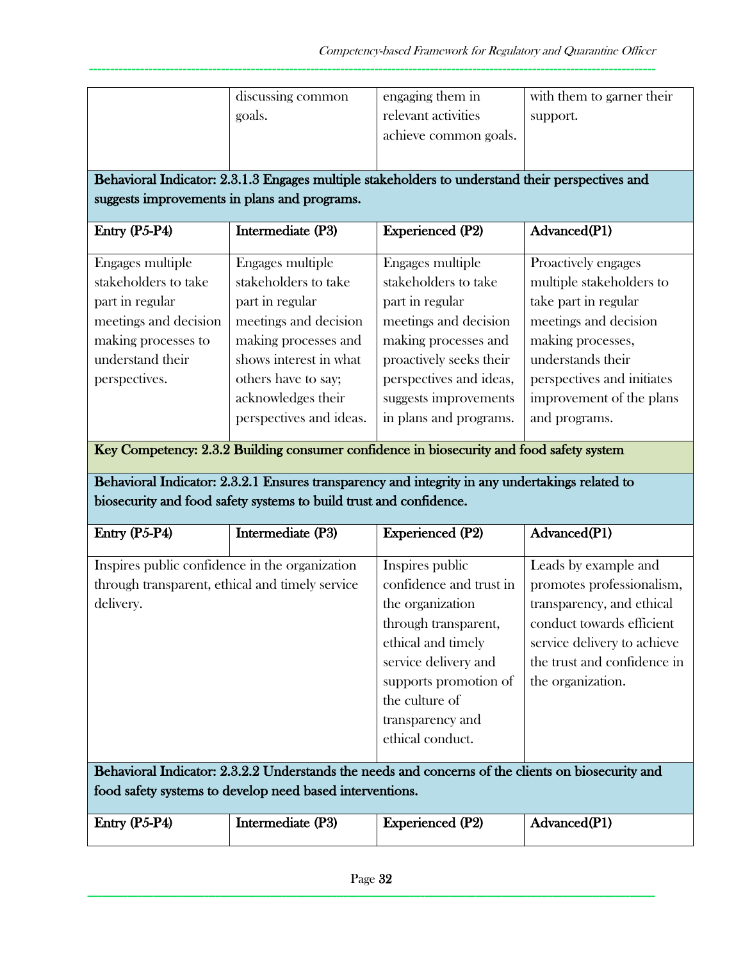|                                                                                                                                                  | discussing common<br>goals.                                                                                                                                                                                                                                                                                | engaging them in<br>relevant activities<br>achieve common goals.                                                                                                                                                      | with them to garner their<br>support.                                                                                                                                                                                 |  |  |
|--------------------------------------------------------------------------------------------------------------------------------------------------|------------------------------------------------------------------------------------------------------------------------------------------------------------------------------------------------------------------------------------------------------------------------------------------------------------|-----------------------------------------------------------------------------------------------------------------------------------------------------------------------------------------------------------------------|-----------------------------------------------------------------------------------------------------------------------------------------------------------------------------------------------------------------------|--|--|
|                                                                                                                                                  | Behavioral Indicator: 2.3.1.3 Engages multiple stakeholders to understand their perspectives and<br>suggests improvements in plans and programs.                                                                                                                                                           |                                                                                                                                                                                                                       |                                                                                                                                                                                                                       |  |  |
| Entry (P5-P4)                                                                                                                                    | Intermediate (P3)                                                                                                                                                                                                                                                                                          | <b>Experienced (P2)</b>                                                                                                                                                                                               | Advanced(P1)                                                                                                                                                                                                          |  |  |
| Engages multiple<br>stakeholders to take<br>part in regular<br>meetings and decision<br>making processes to<br>understand their<br>perspectives. | Engages multiple<br>stakeholders to take<br>part in regular<br>meetings and decision<br>making processes and<br>shows interest in what<br>others have to say;<br>acknowledges their<br>perspectives and ideas.<br>Key Competency: 2.3.2 Building consumer confidence in biosecurity and food safety system | Engages multiple<br>stakeholders to take<br>part in regular<br>meetings and decision<br>making processes and<br>proactively seeks their<br>perspectives and ideas,<br>suggests improvements<br>in plans and programs. | Proactively engages<br>multiple stakeholders to<br>take part in regular<br>meetings and decision<br>making processes,<br>understands their<br>perspectives and initiates<br>improvement of the plans<br>and programs. |  |  |
|                                                                                                                                                  | Behavioral Indicator: 2.3.2.1 Ensures transparency and integrity in any undertakings related to<br>biosecurity and food safety systems to build trust and confidence.                                                                                                                                      |                                                                                                                                                                                                                       |                                                                                                                                                                                                                       |  |  |
| Entry (P5-P4)                                                                                                                                    | Intermediate (P3)                                                                                                                                                                                                                                                                                          | <b>Experienced (P2)</b>                                                                                                                                                                                               | Advanced(P1)                                                                                                                                                                                                          |  |  |
| Inspires public confidence in the organization<br>through transparent, ethical and timely service                                                |                                                                                                                                                                                                                                                                                                            | Inspires public                                                                                                                                                                                                       | Leads by example and                                                                                                                                                                                                  |  |  |
| delivery.                                                                                                                                        |                                                                                                                                                                                                                                                                                                            | confidence and trust in<br>the organization<br>through transparent,<br>ethical and timely<br>service delivery and<br>supports promotion of<br>the culture of<br>transparency and<br>ethical conduct.                  | promotes professionalism,<br>transparency, and ethical<br>conduct towards efficient<br>service delivery to achieve<br>the trust and confidence in<br>the organization.                                                |  |  |
|                                                                                                                                                  | Behavioral Indicator: 2.3.2.2 Understands the needs and concerns of the clients on biosecurity and<br>food safety systems to develop need based interventions.                                                                                                                                             |                                                                                                                                                                                                                       |                                                                                                                                                                                                                       |  |  |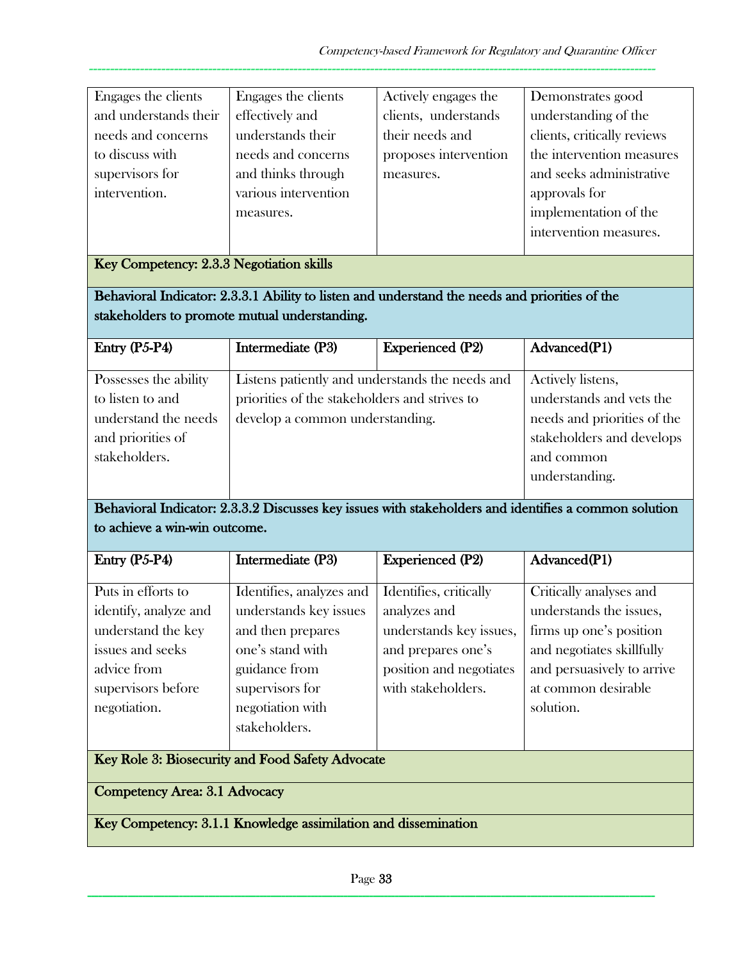| Engages the clients   | Engages the clients  | Actively engages the  | Demonstrates good           |
|-----------------------|----------------------|-----------------------|-----------------------------|
| and understands their | effectively and      | clients, understands  | understanding of the        |
| needs and concerns    | understands their    | their needs and       | clients, critically reviews |
| to discuss with       | needs and concerns   | proposes intervention | the intervention measures   |
| supervisors for       | and thinks through   | measures.             | and seeks administrative    |
| intervention.         | various intervention |                       | approvals for               |
|                       | measures.            |                       | implementation of the       |
|                       |                      |                       | intervention measures.      |

## Key Competency: 2.3.3 Negotiation skills

Behavioral Indicator: 2.3.3.1 Ability to listen and understand the needs and priorities of the stakeholders to promote mutual understanding.

| $Entry (P5-P4)$       | Intermediate (P3)                               | <b>Experienced (P2)</b> | Advanced(P1)                |
|-----------------------|-------------------------------------------------|-------------------------|-----------------------------|
|                       |                                                 |                         |                             |
| Possesses the ability | Listens patiently and understands the needs and |                         | Actively listens,           |
| to listen to and      | priorities of the stakeholders and strives to   |                         | understands and vets the    |
| understand the needs  | develop a common understanding.                 |                         | needs and priorities of the |
| and priorities of     |                                                 |                         | stakeholders and develops   |
| stakeholders.         |                                                 |                         | and common                  |
|                       |                                                 |                         | understanding.              |

## Behavioral Indicator: 2.3.3.2 Discusses key issues with stakeholders and identifies a common solution to achieve a win-win outcome.

| Entry (P5-P4)         | Intermediate (P3)                                | <b>Experienced (P2)</b> | Advanced(P1)               |
|-----------------------|--------------------------------------------------|-------------------------|----------------------------|
|                       |                                                  |                         |                            |
| Puts in efforts to    | Identifies, analyzes and                         | Identifies, critically  | Critically analyses and    |
| identify, analyze and | understands key issues                           | analyzes and            | understands the issues,    |
| understand the key    | and then prepares                                | understands key issues, | firms up one's position    |
| issues and seeks      | one's stand with                                 | and prepares one's      | and negotiates skillfully  |
| advice from           | guidance from                                    | position and negotiates | and persuasively to arrive |
| supervisors before    | supervisors for                                  | with stakeholders.      | at common desirable        |
| negotiation.          | negotiation with                                 |                         | solution.                  |
|                       | stakeholders.                                    |                         |                            |
|                       |                                                  |                         |                            |
|                       | Key Role 3: Biosecurity and Food Safety Advocate |                         |                            |

Competency Area: 3.1 Advocacy

Key Competency: 3.1.1 Knowledge assimilation and dissemination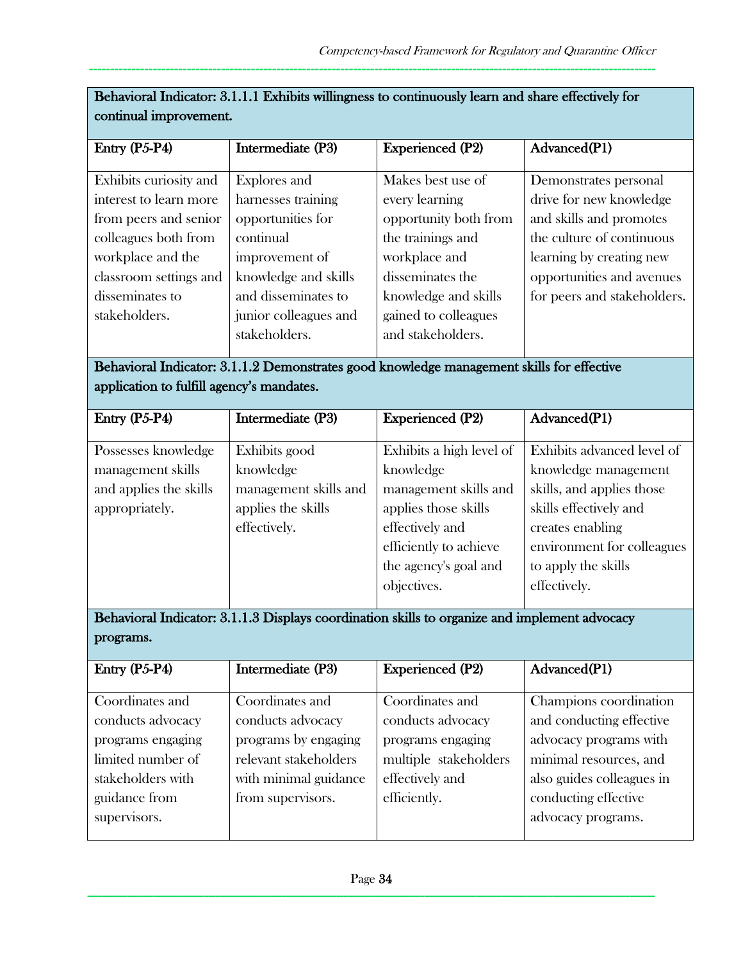| condition improvements                                                                    |                       |                         |                             |
|-------------------------------------------------------------------------------------------|-----------------------|-------------------------|-----------------------------|
| Entry $(P5-P4)$                                                                           | Intermediate (P3)     | <b>Experienced (P2)</b> | Advanced(P1)                |
|                                                                                           |                       |                         |                             |
| Exhibits curiosity and                                                                    | Explores and          | Makes best use of       | Demonstrates personal       |
| interest to learn more                                                                    | harnesses training    | every learning          | drive for new knowledge     |
| from peers and senior                                                                     | opportunities for     | opportunity both from   | and skills and promotes     |
| colleagues both from                                                                      | continual             | the trainings and       | the culture of continuous   |
| workplace and the                                                                         | improvement of        | workplace and           | learning by creating new    |
| classroom settings and                                                                    | knowledge and skills  | disseminates the        | opportunities and avenues   |
| disseminates to                                                                           | and disseminates to   | knowledge and skills    | for peers and stakeholders. |
| stakeholders.                                                                             | junior colleagues and | gained to colleagues    |                             |
|                                                                                           | stakeholders.         | and stakeholders.       |                             |
|                                                                                           |                       |                         |                             |
| Behavioral Indicator: 3.1.1.2 Demonstrates good knowledge management skills for effective |                       |                         |                             |
| application to fulfill agency's mandates.                                                 |                       |                         |                             |
|                                                                                           |                       |                         |                             |

| Behavioral Indicator: 3.1.1.1 Exhibits willingness to continuously learn and share effectively for |  |
|----------------------------------------------------------------------------------------------------|--|
| continual improvement.                                                                             |  |

| Entry $(P5-P4)$        | Intermediate (P3)     | <b>Experienced (P2)</b>  | Advanced(P1)               |
|------------------------|-----------------------|--------------------------|----------------------------|
|                        |                       |                          |                            |
| Possesses knowledge    | Exhibits good         | Exhibits a high level of | Exhibits advanced level of |
| management skills      | knowledge             | knowledge                | knowledge management       |
| and applies the skills | management skills and | management skills and    | skills, and applies those  |
| appropriately.         | applies the skills    | applies those skills     | skills effectively and     |
|                        | effectively.          | effectively and          | creates enabling           |
|                        |                       | efficiently to achieve   | environment for colleagues |
|                        |                       | the agency's goal and    | to apply the skills        |
|                        |                       | objectives.              | effectively.               |
|                        |                       |                          |                            |

Behavioral Indicator: 3.1.1.3 Displays coordination skills to organize and implement advocacy programs.

| Entry $(P5-P4)$   | Intermediate (P3)     | <b>Experienced (P2)</b> | Advanced(P1)              |
|-------------------|-----------------------|-------------------------|---------------------------|
|                   |                       |                         |                           |
| Coordinates and   | Coordinates and       | Coordinates and         | Champions coordination    |
| conducts advocacy | conducts advocacy     | conducts advocacy       | and conducting effective  |
| programs engaging | programs by engaging  | programs engaging       | advocacy programs with    |
| limited number of | relevant stakeholders | multiple stakeholders   | minimal resources, and    |
| stakeholders with | with minimal guidance | effectively and         | also guides colleagues in |
| guidance from     | from supervisors.     | efficiently.            | conducting effective      |
| supervisors.      |                       |                         | advocacy programs.        |
|                   |                       |                         |                           |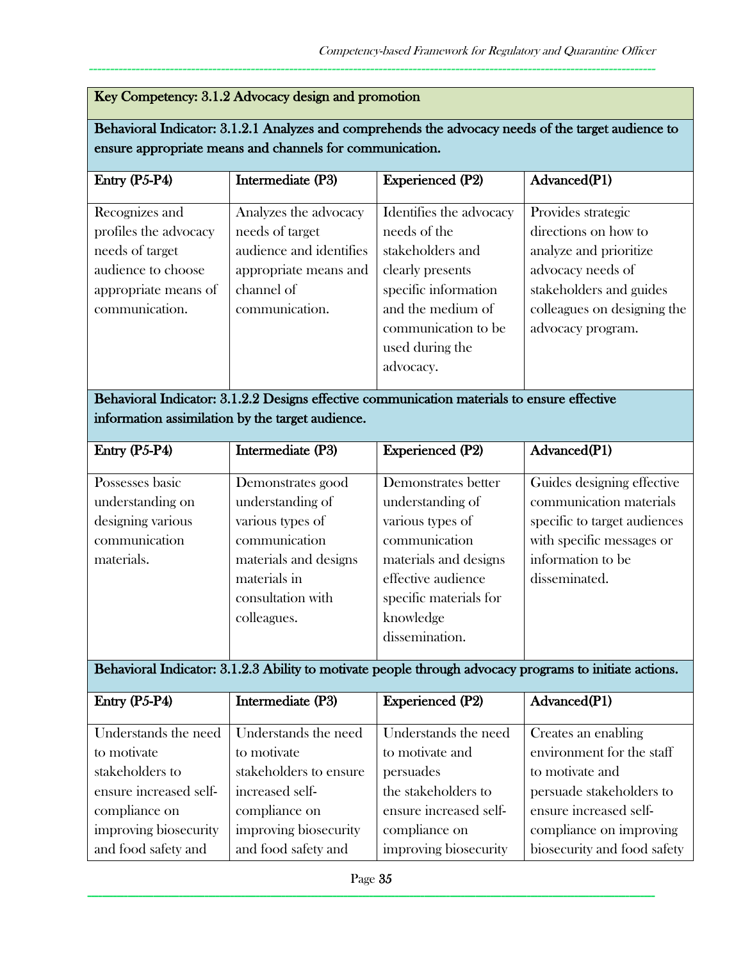## Key Competency: 3.1.2 Advocacy design and promotion

Behavioral Indicator: 3.1.2.1 Analyzes and comprehends the advocacy needs of the target audience to ensure appropriate means and channels for communication.

-------------------------------------------------------------------------------------------------------------------------------------

| $Entry (P5-P4)$                                                                                                            | Intermediate (P3)                                                                                                            | <b>Experienced (P2)</b>                                                                                                                                                             | Advanced(P1)                                                                                                                                                             |
|----------------------------------------------------------------------------------------------------------------------------|------------------------------------------------------------------------------------------------------------------------------|-------------------------------------------------------------------------------------------------------------------------------------------------------------------------------------|--------------------------------------------------------------------------------------------------------------------------------------------------------------------------|
| Recognizes and<br>profiles the advocacy<br>needs of target<br>audience to choose<br>appropriate means of<br>communication. | Analyzes the advocacy<br>needs of target<br>audience and identifies<br>appropriate means and<br>channel of<br>communication. | Identifies the advocacy<br>needs of the<br>stakeholders and<br>clearly presents<br>specific information<br>and the medium of<br>communication to be<br>used during the<br>advocacy. | Provides strategic<br>directions on how to<br>analyze and prioritize<br>advocacy needs of<br>stakeholders and guides<br>colleagues on designing the<br>advocacy program. |
|                                                                                                                            |                                                                                                                              |                                                                                                                                                                                     |                                                                                                                                                                          |

## Behavioral Indicator: 3.1.2.2 Designs effective communication materials to ensure effective information assimilation by the target audience.

| Entry (P5-P4)     | Intermediate (P3)     | <b>Experienced (P2)</b> | Advanced(P1)                 |
|-------------------|-----------------------|-------------------------|------------------------------|
|                   |                       |                         |                              |
| Possesses basic   | Demonstrates good     | Demonstrates better     | Guides designing effective   |
| understanding on  | understanding of      | understanding of        | communication materials      |
| designing various | various types of      | various types of        | specific to target audiences |
| communication     | communication         | communication           | with specific messages or    |
| materials.        | materials and designs | materials and designs   | information to be            |
|                   | materials in          | effective audience      | disseminated.                |
|                   | consultation with     | specific materials for  |                              |
|                   | colleagues.           | knowledge               |                              |
|                   |                       | dissemination.          |                              |
|                   |                       |                         |                              |

# Behavioral Indicator: 3.1.2.3 Ability to motivate people through advocacy programs to initiate actions.

| Entry $(P5-P4)$        | Intermediate (P3)      | <b>Experienced (P2)</b> | Advanced(P1)                |
|------------------------|------------------------|-------------------------|-----------------------------|
|                        |                        |                         |                             |
| Understands the need   | Understands the need   | Understands the need    | Creates an enabling         |
| to motivate            | to motivate            | to motivate and         | environment for the staff   |
| stakeholders to        | stakeholders to ensure | persuades               | to motivate and             |
| ensure increased self- | increased self-        | the stakeholders to     | persuade stakeholders to    |
| compliance on          | compliance on          | ensure increased self-  | ensure increased self-      |
| improving biosecurity  | improving biosecurity  | compliance on           | compliance on improving     |
| and food safety and    | and food safety and    | improving biosecurity   | biosecurity and food safety |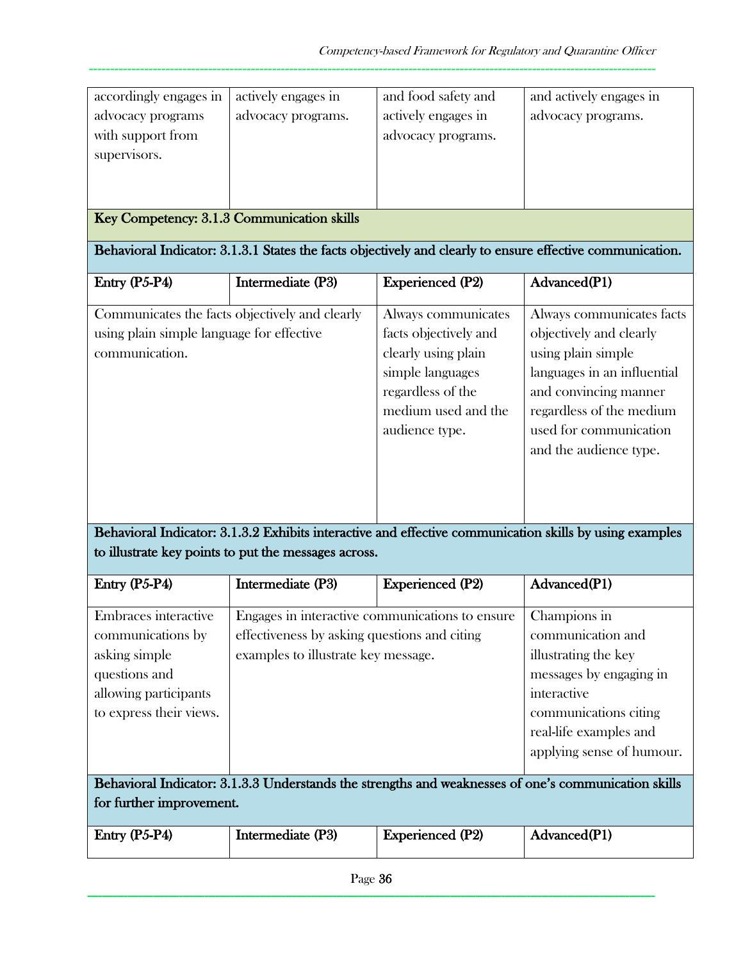| Entry (P5-P4)                                                                                                                                    | Intermediate (P3)                                                                                                                                           | <b>Experienced (P2)</b>                                                                                                                               | Advanced(P1)                                                                                                                                                                                                                                                                                                                  |
|--------------------------------------------------------------------------------------------------------------------------------------------------|-------------------------------------------------------------------------------------------------------------------------------------------------------------|-------------------------------------------------------------------------------------------------------------------------------------------------------|-------------------------------------------------------------------------------------------------------------------------------------------------------------------------------------------------------------------------------------------------------------------------------------------------------------------------------|
| for further improvement.                                                                                                                         |                                                                                                                                                             |                                                                                                                                                       | Behavioral Indicator: 3.1.3.3 Understands the strengths and weaknesses of one's communication skills                                                                                                                                                                                                                          |
| Entry (P5-P4)<br>Embraces interactive<br>communications by<br>asking simple<br>questions and<br>allowing participants<br>to express their views. | Intermediate (P3)<br>Engages in interactive communications to ensure<br>effectiveness by asking questions and citing<br>examples to illustrate key message. | <b>Experienced (P2)</b>                                                                                                                               | Advanced(P1)<br>Champions in<br>communication and<br>illustrating the key<br>messages by engaging in<br>interactive<br>communications citing<br>real-life examples and<br>applying sense of humour.                                                                                                                           |
| using plain simple language for effective<br>communication.                                                                                      | Communicates the facts objectively and clearly<br>to illustrate key points to put the messages across.                                                      | Always communicates<br>facts objectively and<br>clearly using plain<br>simple languages<br>regardless of the<br>medium used and the<br>audience type. | Always communicates facts<br>objectively and clearly<br>using plain simple<br>languages in an influential<br>and convincing manner<br>regardless of the medium<br>used for communication<br>and the audience type.<br>Behavioral Indicator: 3.1.3.2 Exhibits interactive and effective communication skills by using examples |
| Entry (P5-P4)                                                                                                                                    | Intermediate (P3)                                                                                                                                           | <b>Experienced (P2)</b>                                                                                                                               | Behavioral Indicator: 3.1.3.1 States the facts objectively and clearly to ensure effective communication.<br>Advanced(P1)                                                                                                                                                                                                     |
| Key Competency: 3.1.3 Communication skills                                                                                                       |                                                                                                                                                             |                                                                                                                                                       |                                                                                                                                                                                                                                                                                                                               |
| with support from<br>supervisors.                                                                                                                |                                                                                                                                                             | advocacy programs.                                                                                                                                    |                                                                                                                                                                                                                                                                                                                               |
| accordingly engages in<br>advocacy programs                                                                                                      | actively engages in<br>advocacy programs.                                                                                                                   | and food safety and<br>actively engages in                                                                                                            | and actively engages in<br>advocacy programs.                                                                                                                                                                                                                                                                                 |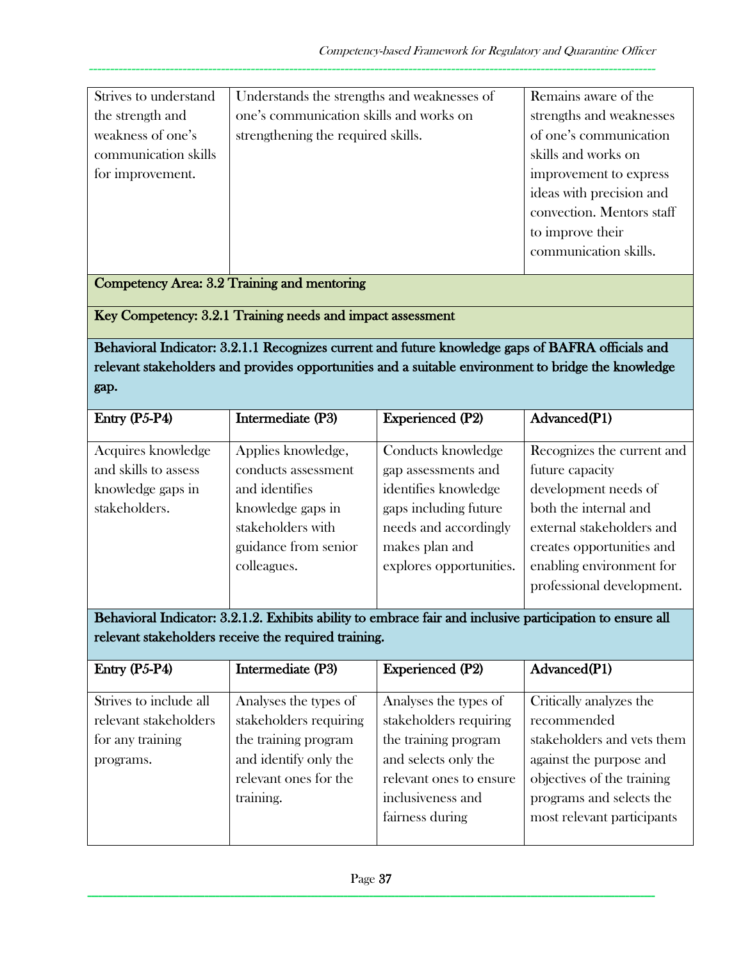| Strives to understand | Understands the strengths and weaknesses of | Remains aware of the      |
|-----------------------|---------------------------------------------|---------------------------|
| the strength and      | one's communication skills and works on     | strengths and weaknesses  |
| weakness of one's     | strengthening the required skills.          | of one's communication    |
| communication skills  |                                             | skills and works on       |
| for improvement.      |                                             | improvement to express    |
|                       |                                             | ideas with precision and  |
|                       |                                             | convection. Mentors staff |
|                       |                                             | to improve their          |
|                       |                                             | communication skills.     |
|                       |                                             |                           |

Competency Area: 3.2 Training and mentoring

Key Competency: 3.2.1 Training needs and impact assessment

Behavioral Indicator: 3.2.1.1 Recognizes current and future knowledge gaps of BAFRA officials and relevant stakeholders and provides opportunities and a suitable environment to bridge the knowledge gap.

| Intermediate (P3)                                                                                                             | <b>Experienced (P2)</b>                                                                                                               | Advanced(P1)                                                                                                                                             |
|-------------------------------------------------------------------------------------------------------------------------------|---------------------------------------------------------------------------------------------------------------------------------------|----------------------------------------------------------------------------------------------------------------------------------------------------------|
| Applies knowledge,<br>conducts assessment<br>and identifies<br>knowledge gaps in<br>stakeholders with<br>guidance from senior | Conducts knowledge<br>gap assessments and<br>identifies knowledge<br>gaps including future<br>needs and accordingly<br>makes plan and | Recognizes the current and<br>future capacity<br>development needs of<br>both the internal and<br>external stakeholders and<br>creates opportunities and |
| colleagues.                                                                                                                   | explores opportunities.                                                                                                               | enabling environment for<br>professional development.                                                                                                    |
|                                                                                                                               |                                                                                                                                       |                                                                                                                                                          |

Behavioral Indicator: 3.2.1.2. Exhibits ability to embrace fair and inclusive participation to ensure all relevant stakeholders receive the required training.

| Entry (P5-P4)          | Intermediate (P3)      | <b>Experienced (P2)</b> | Advanced(P1)               |
|------------------------|------------------------|-------------------------|----------------------------|
|                        |                        |                         |                            |
| Strives to include all | Analyses the types of  | Analyses the types of   | Critically analyzes the    |
| relevant stakeholders  | stakeholders requiring | stakeholders requiring  | recommended                |
| for any training       | the training program   | the training program    | stakeholders and vets them |
| programs.              | and identify only the  | and selects only the    | against the purpose and    |
|                        | relevant ones for the  | relevant ones to ensure | objectives of the training |
|                        | training.              | inclusiveness and       | programs and selects the   |
|                        |                        | fairness during         | most relevant participants |
|                        |                        |                         |                            |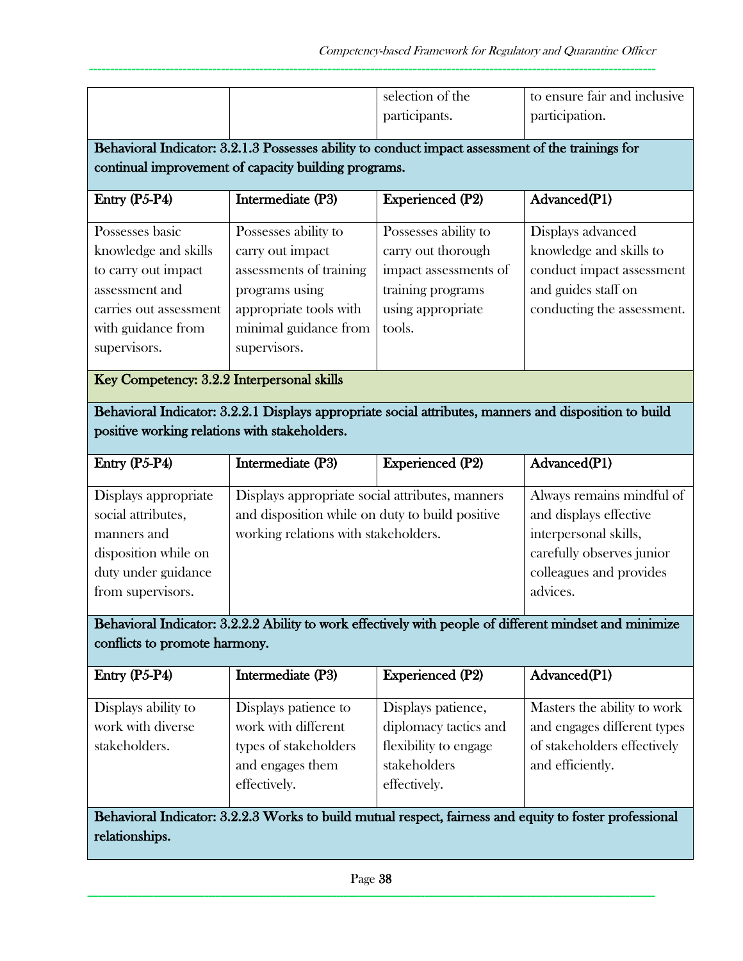|                                                                                                                                                         |                                                                                                                                                          | selection of the                                                                                                        | to ensure fair and inclusive                                                                                                   |
|---------------------------------------------------------------------------------------------------------------------------------------------------------|----------------------------------------------------------------------------------------------------------------------------------------------------------|-------------------------------------------------------------------------------------------------------------------------|--------------------------------------------------------------------------------------------------------------------------------|
|                                                                                                                                                         |                                                                                                                                                          | participants.                                                                                                           | participation.                                                                                                                 |
|                                                                                                                                                         |                                                                                                                                                          |                                                                                                                         |                                                                                                                                |
|                                                                                                                                                         | Behavioral Indicator: 3.2.1.3 Possesses ability to conduct impact assessment of the trainings for                                                        |                                                                                                                         |                                                                                                                                |
|                                                                                                                                                         | continual improvement of capacity building programs.                                                                                                     |                                                                                                                         |                                                                                                                                |
| Entry (P5-P4)                                                                                                                                           | Intermediate (P3)                                                                                                                                        | <b>Experienced (P2)</b>                                                                                                 | Advanced(P1)                                                                                                                   |
| Possesses basic<br>knowledge and skills<br>to carry out impact<br>assessment and<br>carries out assessment<br>with guidance from<br>supervisors.        | Possesses ability to<br>carry out impact<br>assessments of training<br>programs using<br>appropriate tools with<br>minimal guidance from<br>supervisors. | Possesses ability to<br>carry out thorough<br>impact assessments of<br>training programs<br>using appropriate<br>tools. | Displays advanced<br>knowledge and skills to<br>conduct impact assessment<br>and guides staff on<br>conducting the assessment. |
| Key Competency: 3.2.2 Interpersonal skills                                                                                                              |                                                                                                                                                          |                                                                                                                         |                                                                                                                                |
| Behavioral Indicator: 3.2.2.1 Displays appropriate social attributes, manners and disposition to build<br>positive working relations with stakeholders. |                                                                                                                                                          |                                                                                                                         |                                                                                                                                |
| Entry (P5-P4)                                                                                                                                           | Intermediate (P3)                                                                                                                                        | <b>Experienced (P2)</b>                                                                                                 | Advanced(P1)                                                                                                                   |
| Displays appropriate                                                                                                                                    | Displays appropriate social attributes, manners                                                                                                          |                                                                                                                         | Always remains mindful of                                                                                                      |
| social attributes,                                                                                                                                      | and disposition while on duty to build positive                                                                                                          |                                                                                                                         | and displays effective                                                                                                         |
| manners and                                                                                                                                             | working relations with stakeholders.                                                                                                                     |                                                                                                                         | interpersonal skills,                                                                                                          |
| disposition while on                                                                                                                                    |                                                                                                                                                          |                                                                                                                         | carefully observes junior                                                                                                      |
| duty under guidance                                                                                                                                     |                                                                                                                                                          |                                                                                                                         | colleagues and provides                                                                                                        |
| from supervisors.                                                                                                                                       |                                                                                                                                                          |                                                                                                                         | advices.                                                                                                                       |
|                                                                                                                                                         |                                                                                                                                                          |                                                                                                                         | Behavioral Indicator: 3.2.2.2 Ability to work effectively with people of different mindset and minimize                        |
| conflicts to promote harmony.                                                                                                                           |                                                                                                                                                          |                                                                                                                         |                                                                                                                                |
| Entry (P5-P4)                                                                                                                                           | Intermediate (P3)                                                                                                                                        | <b>Experienced (P2)</b>                                                                                                 | Advanced(P1)                                                                                                                   |
| Displays ability to                                                                                                                                     | Displays patience to                                                                                                                                     | Displays patience,                                                                                                      | Masters the ability to work                                                                                                    |
| work with diverse                                                                                                                                       | work with different                                                                                                                                      | diplomacy tactics and                                                                                                   | and engages different types                                                                                                    |
| stakeholders.                                                                                                                                           | types of stakeholders                                                                                                                                    | flexibility to engage                                                                                                   | of stakeholders effectively                                                                                                    |
|                                                                                                                                                         | and engages them<br>effectively.                                                                                                                         | stakeholders<br>effectively.                                                                                            | and efficiently.                                                                                                               |
|                                                                                                                                                         |                                                                                                                                                          |                                                                                                                         | Behavioral Indicator: 3.2.2.3 Works to build mutual respect, fairness and equity to foster professional                        |
| relationships.                                                                                                                                          |                                                                                                                                                          |                                                                                                                         |                                                                                                                                |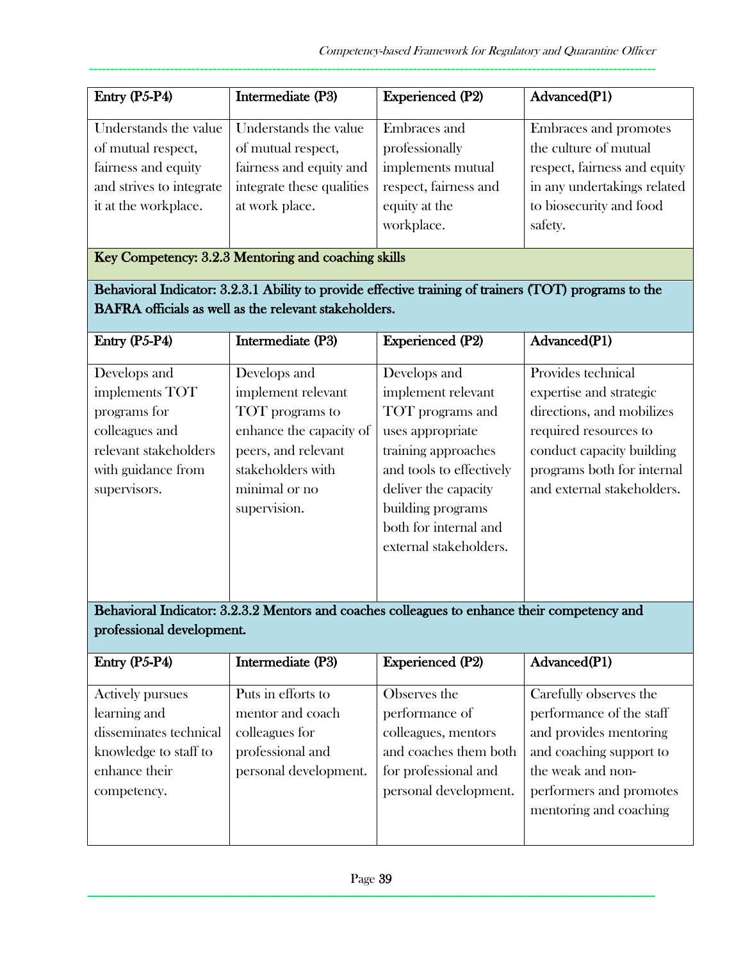| Entry $(P5-P4)$          | Intermediate (P3)         | <b>Experienced (P2)</b> | Advanced(P1)                 |
|--------------------------|---------------------------|-------------------------|------------------------------|
| Understands the value    | Understands the value     | Embraces and            | Embraces and promotes        |
| of mutual respect,       | of mutual respect,        | professionally          | the culture of mutual        |
| fairness and equity      | fairness and equity and   | implements mutual       | respect, fairness and equity |
| and strives to integrate | integrate these qualities | respect, fairness and   | in any undertakings related  |
| it at the workplace.     | at work place.            | equity at the           | to biosecurity and food      |
|                          |                           | workplace.              | safety.                      |

Key Competency: 3.2.3 Mentoring and coaching skills

Behavioral Indicator: 3.2.3.1 Ability to provide effective training of trainers (TOT) programs to the BAFRA officials as well as the relevant stakeholders.

| Entry $(P5-P4)$       | Intermediate (P3)       | <b>Experienced (P2)</b>  | Advanced(P1)               |
|-----------------------|-------------------------|--------------------------|----------------------------|
|                       |                         |                          |                            |
| Develops and          | Develops and            | Develops and             | Provides technical         |
| implements TOT        | implement relevant      | implement relevant       | expertise and strategic    |
| programs for          | TOT programs to         | TOT programs and         | directions, and mobilizes  |
| colleagues and        | enhance the capacity of | uses appropriate         | required resources to      |
| relevant stakeholders | peers, and relevant     | training approaches      | conduct capacity building  |
| with guidance from    | stakeholders with       | and tools to effectively | programs both for internal |
| supervisors.          | minimal or no           | deliver the capacity     | and external stakeholders. |
|                       | supervision.            | building programs        |                            |
|                       |                         | both for internal and    |                            |
|                       |                         | external stakeholders.   |                            |
|                       |                         |                          |                            |
|                       |                         |                          |                            |

Behavioral Indicator: 3.2.3.2 Mentors and coaches colleagues to enhance their competency and professional development.

|                         | Intermediate (P3)     | <b>Experienced (P2)</b> | Advanced(P1)             |
|-------------------------|-----------------------|-------------------------|--------------------------|
| Entry $(P5-P4)$         |                       |                         |                          |
| <b>Actively pursues</b> | Puts in efforts to    | Observes the            | Carefully observes the   |
| learning and            | mentor and coach      | performance of          | performance of the staff |
| disseminates technical  | colleagues for        | colleagues, mentors     | and provides mentoring   |
| knowledge to staff to   | professional and      | and coaches them both   | and coaching support to  |
| enhance their           | personal development. | for professional and    | the weak and non-        |
| competency.             |                       | personal development.   | performers and promotes  |
|                         |                       |                         | mentoring and coaching   |
|                         |                       |                         |                          |
|                         |                       |                         |                          |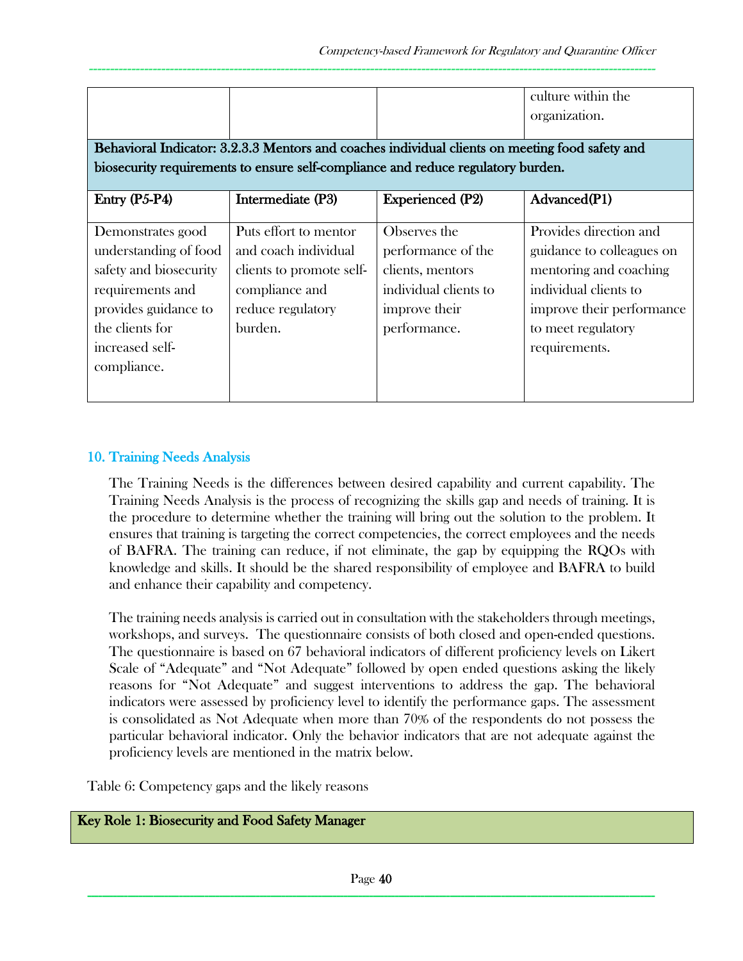|                                                                                                                                                                                     |                                                                                                                             |                                                                                                                  | culture within the<br>organization.                                                                                                                                        |
|-------------------------------------------------------------------------------------------------------------------------------------------------------------------------------------|-----------------------------------------------------------------------------------------------------------------------------|------------------------------------------------------------------------------------------------------------------|----------------------------------------------------------------------------------------------------------------------------------------------------------------------------|
| Behavioral Indicator: 3.2.3.3 Mentors and coaches individual clients on meeting food safety and<br>biosecurity requirements to ensure self-compliance and reduce regulatory burden. |                                                                                                                             |                                                                                                                  |                                                                                                                                                                            |
| Entry $(P5-P4)$                                                                                                                                                                     | Intermediate (P3)                                                                                                           | <b>Experienced</b> (P2)                                                                                          | Advanced(P1)                                                                                                                                                               |
| Demonstrates good<br>understanding of food<br>safety and biosecurity<br>requirements and<br>provides guidance to<br>the clients for<br>increased self-<br>compliance.               | Puts effort to mentor<br>and coach individual<br>clients to promote self-<br>compliance and<br>reduce regulatory<br>burden. | Observes the<br>performance of the<br>clients, mentors<br>individual clients to<br>improve their<br>performance. | Provides direction and<br>guidance to colleagues on<br>mentoring and coaching<br>individual clients to<br>improve their performance<br>to meet regulatory<br>requirements. |

### 10. Training Needs Analysis

The Training Needs is the differences between desired capability and current capability. The Training Needs Analysis is the process of recognizing the skills gap and needs of training. It is the procedure to determine whether the training will bring out the solution to the problem. It ensures that training is targeting the correct competencies, the correct employees and the needs of BAFRA. The training can reduce, if not eliminate, the gap by equipping the RQOs with knowledge and skills. It should be the shared responsibility of employee and BAFRA to build and enhance their capability and competency.

The training needs analysis is carried out in consultation with the stakeholders through meetings, workshops, and surveys. The questionnaire consists of both closed and open-ended questions. The questionnaire is based on 67 behavioral indicators of different proficiency levels on Likert Scale of "Adequate" and "Not Adequate" followed by open ended questions asking the likely reasons for "Not Adequate" and suggest interventions to address the gap. The behavioral indicators were assessed by proficiency level to identify the performance gaps. The assessment is consolidated as Not Adequate when more than 70% of the respondents do not possess the particular behavioral indicator. Only the behavior indicators that are not adequate against the proficiency levels are mentioned in the matrix below.

Table 6: Competency gaps and the likely reasons

### Key Role 1: Biosecurity and Food Safety Manager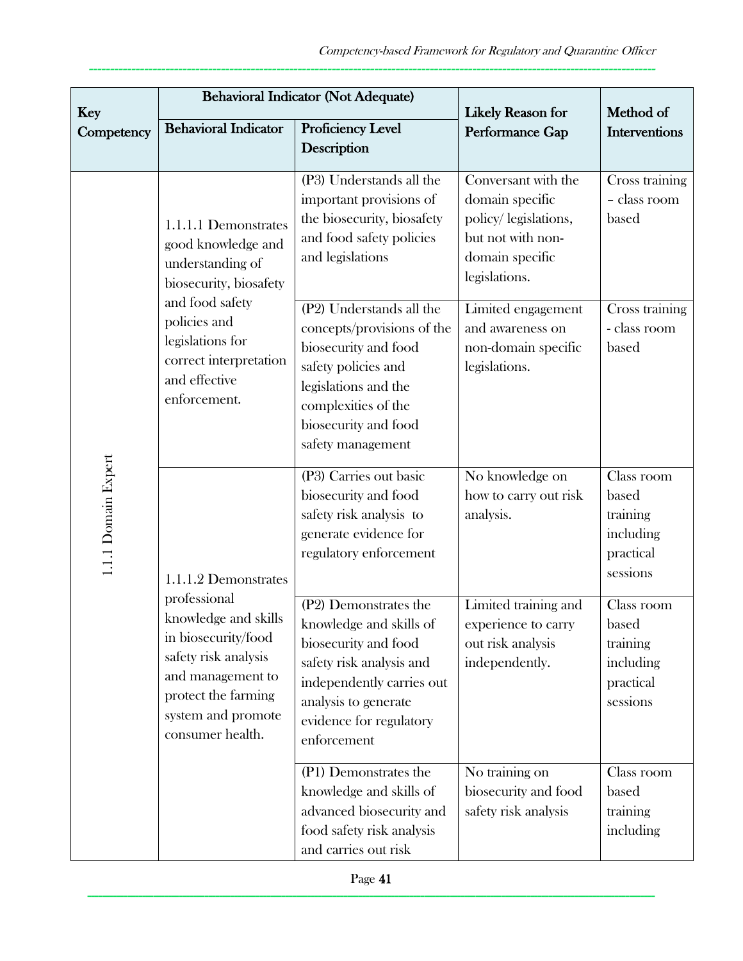| <b>Key</b>                                                                                                                                                                                                                                                     |                                                                      | <b>Behavioral Indicator (Not Adequate)</b>                                                                                                                                                          | <b>Likely Reason for</b>                                                                                                | Method of                                                             |
|----------------------------------------------------------------------------------------------------------------------------------------------------------------------------------------------------------------------------------------------------------------|----------------------------------------------------------------------|-----------------------------------------------------------------------------------------------------------------------------------------------------------------------------------------------------|-------------------------------------------------------------------------------------------------------------------------|-----------------------------------------------------------------------|
| Competency                                                                                                                                                                                                                                                     | <b>Behavioral Indicator</b>                                          | Proficiency Level<br>Description                                                                                                                                                                    | Performance Gap                                                                                                         | Interventions                                                         |
| understanding of<br>and food safety<br>policies and<br>legislations for<br>and effective<br>enforcement.<br>1.1.1 Domain Expert<br>professional<br>in biosecurity/food<br>safety risk analysis<br>and management to<br>protect the farming<br>consumer health. | 1.1.1.1 Demonstrates<br>good knowledge and<br>biosecurity, biosafety | (P3) Understands all the<br>important provisions of<br>the biosecurity, biosafety<br>and food safety policies<br>and legislations                                                                   | Conversant with the<br>domain specific<br>policy/legislations,<br>but not with non-<br>domain specific<br>legislations. | Cross training<br>- class room<br>based                               |
|                                                                                                                                                                                                                                                                | correct interpretation                                               | (P2) Understands all the<br>concepts/provisions of the<br>biosecurity and food<br>safety policies and<br>legislations and the<br>complexities of the<br>biosecurity and food<br>safety management   | Limited engagement<br>and awareness on<br>non-domain specific<br>legislations.                                          | Cross training<br>- class room<br>based                               |
|                                                                                                                                                                                                                                                                | 1.1.1.2 Demonstrates<br>knowledge and skills<br>system and promote   | (P3) Carries out basic<br>biosecurity and food<br>safety risk analysis to<br>generate evidence for<br>regulatory enforcement                                                                        | No knowledge on<br>how to carry out risk<br>analysis.                                                                   | Class room<br>based<br>training<br>including<br>practical<br>sessions |
|                                                                                                                                                                                                                                                                |                                                                      | (P2) Demonstrates the<br>knowledge and skills of<br>biosecurity and food<br>safety risk analysis and<br>independently carries out<br>analysis to generate<br>evidence for regulatory<br>enforcement | Limited training and<br>experience to carry<br>out risk analysis<br>independently.                                      | Class room<br>based<br>training<br>including<br>practical<br>sessions |
|                                                                                                                                                                                                                                                                |                                                                      | (P1) Demonstrates the<br>knowledge and skills of<br>advanced biosecurity and<br>food safety risk analysis<br>and carries out risk                                                                   | No training on<br>biosecurity and food<br>safety risk analysis                                                          | Class room<br>based<br>training<br>including                          |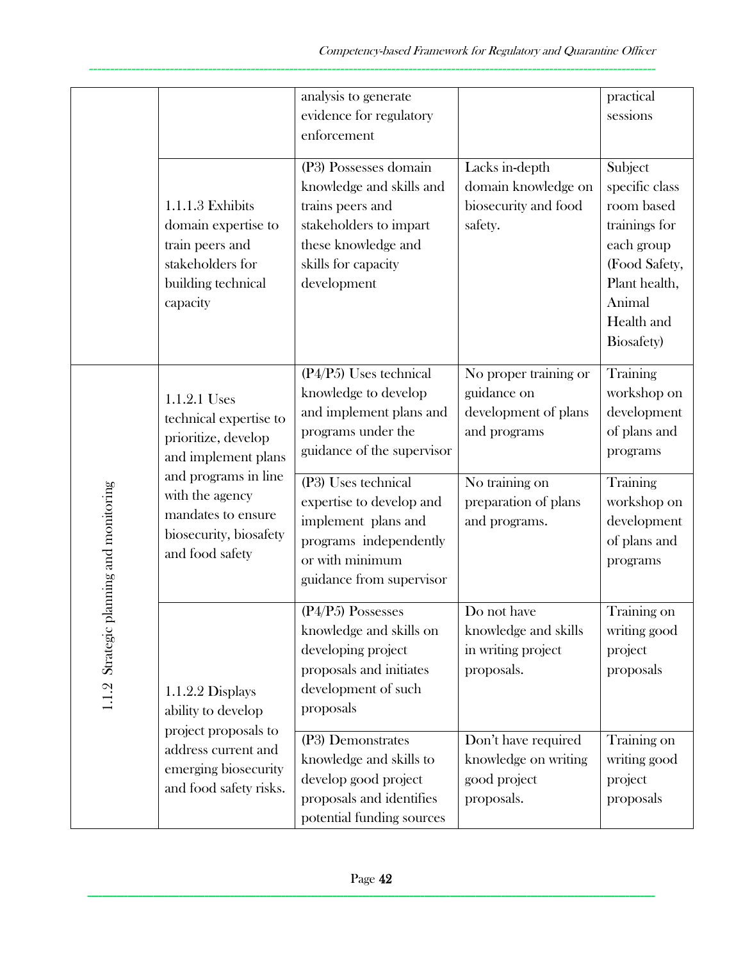|                                            |                                                                                                                  | analysis to generate<br>evidence for regulatory<br>enforcement                                                                                               |                                                                              | practical<br>sessions                                                                                                                          |
|--------------------------------------------|------------------------------------------------------------------------------------------------------------------|--------------------------------------------------------------------------------------------------------------------------------------------------------------|------------------------------------------------------------------------------|------------------------------------------------------------------------------------------------------------------------------------------------|
|                                            | 1.1.1.3 Exhibits<br>domain expertise to<br>train peers and<br>stakeholders for<br>building technical<br>capacity | (P3) Possesses domain<br>knowledge and skills and<br>trains peers and<br>stakeholders to impart<br>these knowledge and<br>skills for capacity<br>development | Lacks in-depth<br>domain knowledge on<br>biosecurity and food<br>safety.     | Subject<br>specific class<br>room based<br>trainings for<br>each group<br>(Food Safety,<br>Plant health,<br>Animal<br>Health and<br>Biosafety) |
|                                            | 1.1.2.1 Uses<br>technical expertise to<br>prioritize, develop<br>and implement plans                             | (P4/P5) Uses technical<br>knowledge to develop<br>and implement plans and<br>programs under the<br>guidance of the supervisor                                | No proper training or<br>guidance on<br>development of plans<br>and programs | Training<br>workshop on<br>development<br>of plans and<br>programs                                                                             |
| planning and monitoring<br>1.1.2 Strategic | and programs in line<br>with the agency<br>mandates to ensure<br>biosecurity, biosafety<br>and food safety       | (P3) Uses technical<br>expertise to develop and<br>implement plans and<br>programs independently<br>or with minimum<br>guidance from supervisor              | No training on<br>preparation of plans<br>and programs.                      | Training<br>workshop on<br>development<br>of plans and<br>programs                                                                             |
|                                            | 1.1.2.2 Displays<br>ability to develop<br>project proposals to                                                   | (P4/P5) Possesses<br>knowledge and skills on<br>developing project<br>proposals and initiates<br>development of such<br>proposals                            | Do not have<br>knowledge and skills<br>in writing project<br>proposals.      | Training on<br>writing good<br>project<br>proposals                                                                                            |
|                                            | address current and<br>emerging biosecurity<br>and food safety risks.                                            | (P3) Demonstrates<br>knowledge and skills to<br>develop good project<br>proposals and identifies<br>potential funding sources                                | Don't have required<br>knowledge on writing<br>good project<br>proposals.    | Training on<br>writing good<br>project<br>proposals                                                                                            |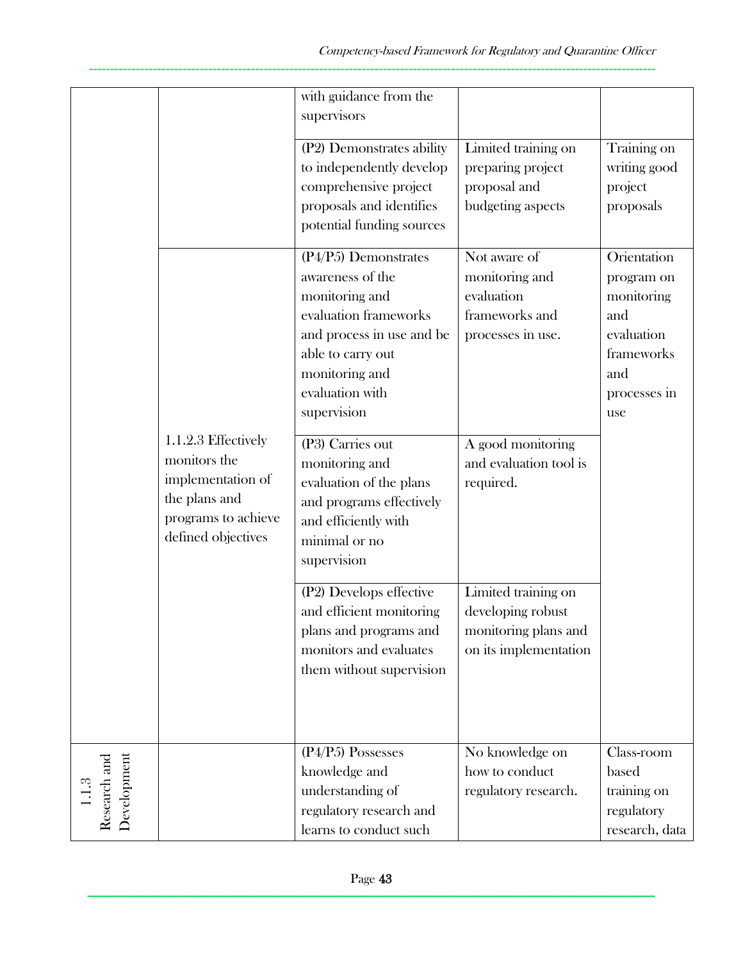|                             |                                                                                                                        | with guidance from the<br>supervisors                                                                                                                                                     |                                                                                           |                                                                                                          |
|-----------------------------|------------------------------------------------------------------------------------------------------------------------|-------------------------------------------------------------------------------------------------------------------------------------------------------------------------------------------|-------------------------------------------------------------------------------------------|----------------------------------------------------------------------------------------------------------|
|                             |                                                                                                                        | (P2) Demonstrates ability<br>to independently develop<br>comprehensive project<br>proposals and identifies<br>potential funding sources                                                   | Limited training on<br>preparing project<br>proposal and<br>budgeting aspects             | Training on<br>writing good<br>project<br>proposals                                                      |
|                             |                                                                                                                        | (P4/P5) Demonstrates<br>awareness of the<br>monitoring and<br>evaluation frameworks<br>and process in use and be<br>able to carry out<br>monitoring and<br>evaluation with<br>supervision | Not aware of<br>monitoring and<br>evaluation<br>frameworks and<br>processes in use.       | Orientation<br>program on<br>monitoring<br>and<br>evaluation<br>frameworks<br>and<br>processes in<br>use |
|                             | 1.1.2.3 Effectively<br>monitors the<br>implementation of<br>the plans and<br>programs to achieve<br>defined objectives | (P3) Carries out<br>monitoring and<br>evaluation of the plans<br>and programs effectively<br>and efficiently with<br>minimal or no<br>supervision                                         | A good monitoring<br>and evaluation tool is<br>required.                                  |                                                                                                          |
|                             |                                                                                                                        | $\overline{(P2)}$ Develops effective<br>and efficient monitoring<br>plans and programs and<br>monitors and evaluates<br>them without supervision                                          | Limited training on<br>developing robust<br>monitoring plans and<br>on its implementation |                                                                                                          |
| Research and<br>Development |                                                                                                                        | $(P4/P5)$ Possesses<br>knowledge and<br>understanding of<br>regulatory research and<br>learns to conduct such                                                                             | No knowledge on<br>how to conduct<br>regulatory research.                                 | Class-room<br>based<br>training on<br>regulatory<br>research, data                                       |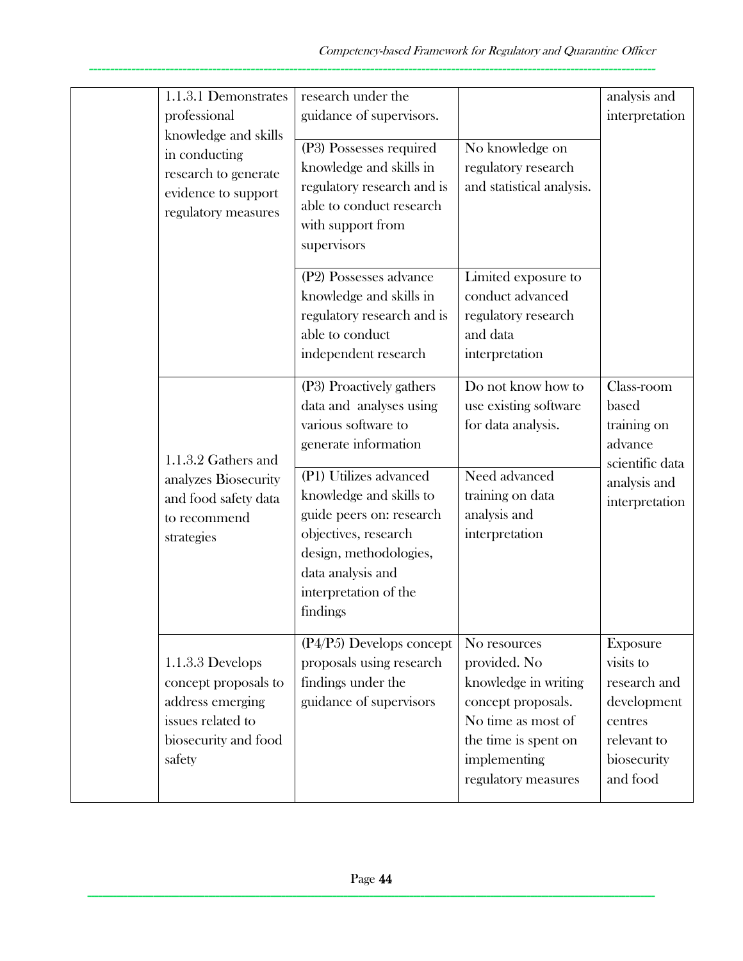|                                                                            | 1.1.3.1 Demonstrates<br>professional<br>knowledge and skills                                                                                                                              | research under the<br>guidance of supervisors.                                                                                                   |                                                                                                                                                                 | analysis and<br>interpretation                                                                                   |
|----------------------------------------------------------------------------|-------------------------------------------------------------------------------------------------------------------------------------------------------------------------------------------|--------------------------------------------------------------------------------------------------------------------------------------------------|-----------------------------------------------------------------------------------------------------------------------------------------------------------------|------------------------------------------------------------------------------------------------------------------|
|                                                                            | in conducting<br>research to generate<br>evidence to support<br>regulatory measures                                                                                                       | (P3) Possesses required<br>knowledge and skills in<br>regulatory research and is<br>able to conduct research<br>with support from<br>supervisors | No knowledge on<br>regulatory research<br>and statistical analysis.                                                                                             |                                                                                                                  |
|                                                                            |                                                                                                                                                                                           | (P2) Possesses advance<br>knowledge and skills in<br>regulatory research and is<br>able to conduct<br>independent research                       | Limited exposure to<br>conduct advanced<br>regulatory research<br>and data<br>interpretation                                                                    |                                                                                                                  |
|                                                                            | 1.1.3.2 Gathers and                                                                                                                                                                       | (P3) Proactively gathers<br>data and analyses using<br>various software to<br>generate information                                               | Do not know how to<br>use existing software<br>for data analysis.                                                                                               | Class-room<br>based<br>training on<br>advance<br>scientific data                                                 |
| analyzes Biosecurity<br>and food safety data<br>to recommend<br>strategies | (P1) Utilizes advanced<br>knowledge and skills to<br>guide peers on: research<br>objectives, research<br>design, methodologies,<br>data analysis and<br>interpretation of the<br>findings | Need advanced<br>training on data<br>analysis and<br>interpretation                                                                              | analysis and<br>interpretation                                                                                                                                  |                                                                                                                  |
|                                                                            | 1.1.3.3 Develops<br>concept proposals to<br>address emerging<br>issues related to<br>biosecurity and food<br>safety                                                                       | $(P4/P5)$ Develops concept<br>proposals using research<br>findings under the<br>guidance of supervisors                                          | No resources<br>provided. No<br>knowledge in writing<br>concept proposals.<br>No time as most of<br>the time is spent on<br>implementing<br>regulatory measures | <b>Exposure</b><br>visits to<br>research and<br>development<br>centres<br>relevant to<br>biosecurity<br>and food |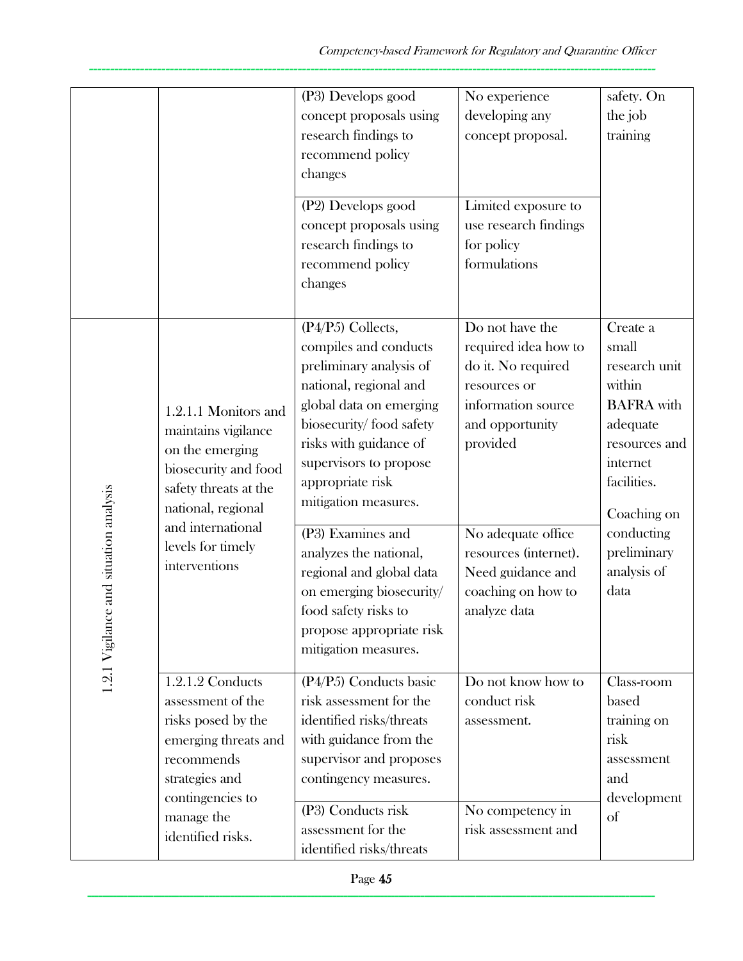|                                        |                                                                                                                                                                                                  | (P3) Develops good<br>concept proposals using<br>research findings to<br>recommend policy<br>changes                                                                                                                                                                                                                                                                                                                                     | No experience<br>developing any<br>concept proposal.                                                                                                                                                                                         | safety. On<br>the job<br>training                                                                                                                                                            |
|----------------------------------------|--------------------------------------------------------------------------------------------------------------------------------------------------------------------------------------------------|------------------------------------------------------------------------------------------------------------------------------------------------------------------------------------------------------------------------------------------------------------------------------------------------------------------------------------------------------------------------------------------------------------------------------------------|----------------------------------------------------------------------------------------------------------------------------------------------------------------------------------------------------------------------------------------------|----------------------------------------------------------------------------------------------------------------------------------------------------------------------------------------------|
|                                        |                                                                                                                                                                                                  | (P2) Develops good<br>concept proposals using<br>research findings to<br>recommend policy<br>changes                                                                                                                                                                                                                                                                                                                                     | Limited exposure to<br>use research findings<br>for policy<br>formulations                                                                                                                                                                   |                                                                                                                                                                                              |
| 1.2.1 Vigilance and situation analysis | 1.2.1.1 Monitors and<br>maintains vigilance<br>on the emerging<br>biosecurity and food<br>safety threats at the<br>national, regional<br>and international<br>levels for timely<br>interventions | (P4/P5) Collects,<br>compiles and conducts<br>preliminary analysis of<br>national, regional and<br>global data on emerging<br>biosecurity/food safety<br>risks with guidance of<br>supervisors to propose<br>appropriate risk<br>mitigation measures.<br>(P3) Examines and<br>analyzes the national,<br>regional and global data<br>on emerging biosecurity/<br>food safety risks to<br>propose appropriate risk<br>mitigation measures. | Do not have the<br>required idea how to<br>do it. No required<br>resources or<br>information source<br>and opportunity<br>provided<br>No adequate office<br>resources (internet).<br>Need guidance and<br>coaching on how to<br>analyze data | Create a<br>small<br>research unit<br>within<br><b>BAFRA</b> with<br>adequate<br>resources and<br>internet<br>facilities.<br>Coaching on<br>conducting<br>preliminary<br>analysis of<br>data |
|                                        | 1.2.1.2 Conducts<br>assessment of the<br>risks posed by the<br>emerging threats and<br>recommends<br>strategies and<br>contingencies to<br>manage the<br>identified risks.                       | (P4/P5) Conducts basic<br>risk assessment for the<br>identified risks/threats<br>with guidance from the<br>supervisor and proposes<br>contingency measures.<br>(P3) Conducts risk<br>assessment for the<br>identified risks/threats                                                                                                                                                                                                      | Do not know how to<br>conduct risk<br>assessment.<br>No competency in<br>risk assessment and                                                                                                                                                 | Class-room<br>based<br>training on<br>risk<br>assessment<br>and<br>development<br>of                                                                                                         |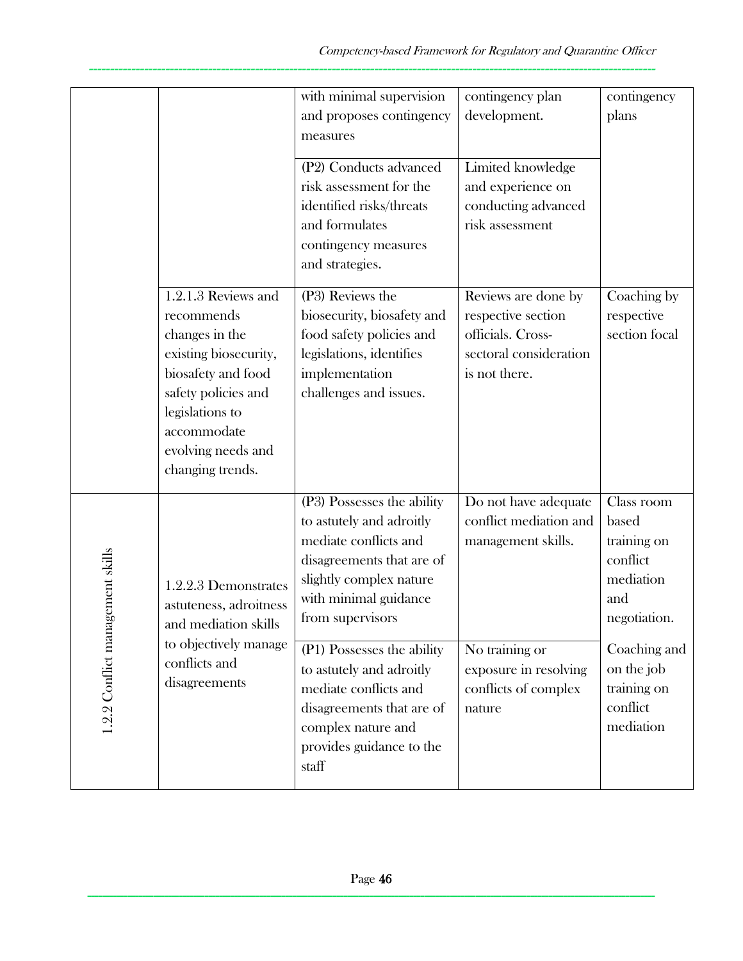|                                  |                                                                                                                                                                                                       | with minimal supervision<br>and proposes contingency<br>measures                                                                                                                     | contingency plan<br>development.                                                                          | contingency<br>plans                                                               |
|----------------------------------|-------------------------------------------------------------------------------------------------------------------------------------------------------------------------------------------------------|--------------------------------------------------------------------------------------------------------------------------------------------------------------------------------------|-----------------------------------------------------------------------------------------------------------|------------------------------------------------------------------------------------|
|                                  |                                                                                                                                                                                                       | (P2) Conducts advanced<br>risk assessment for the<br>identified risks/threats<br>and formulates<br>contingency measures<br>and strategies.                                           | Limited knowledge<br>and experience on<br>conducting advanced<br>risk assessment                          |                                                                                    |
|                                  | 1.2.1.3 Reviews and<br>recommends<br>changes in the<br>existing biosecurity,<br>biosafety and food<br>safety policies and<br>legislations to<br>accommodate<br>evolving needs and<br>changing trends. | (P3) Reviews the<br>biosecurity, biosafety and<br>food safety policies and<br>legislations, identifies<br>implementation<br>challenges and issues.                                   | Reviews are done by<br>respective section<br>officials. Cross-<br>sectoral consideration<br>is not there. | Coaching by<br>respective<br>section focal                                         |
| 1.2.2 Conflict management skills | 1.2.2.3 Demonstrates<br>astuteness, adroitness<br>and mediation skills                                                                                                                                | (P3) Possesses the ability<br>to astutely and adroitly<br>mediate conflicts and<br>disagreements that are of<br>slightly complex nature<br>with minimal guidance<br>from supervisors | Do not have adequate<br>conflict mediation and<br>management skills.                                      | Class room<br>based<br>training on<br>conflict<br>mediation<br>and<br>negotiation. |
|                                  | to objectively manage<br>conflicts and<br>disagreements                                                                                                                                               | (P1) Possesses the ability<br>to astutely and adroitly<br>mediate conflicts and<br>disagreements that are of<br>complex nature and<br>provides guidance to the<br>staff              | No training or<br>exposure in resolving<br>conflicts of complex<br>nature                                 | Coaching and<br>on the job<br>training on<br>conflict<br>mediation                 |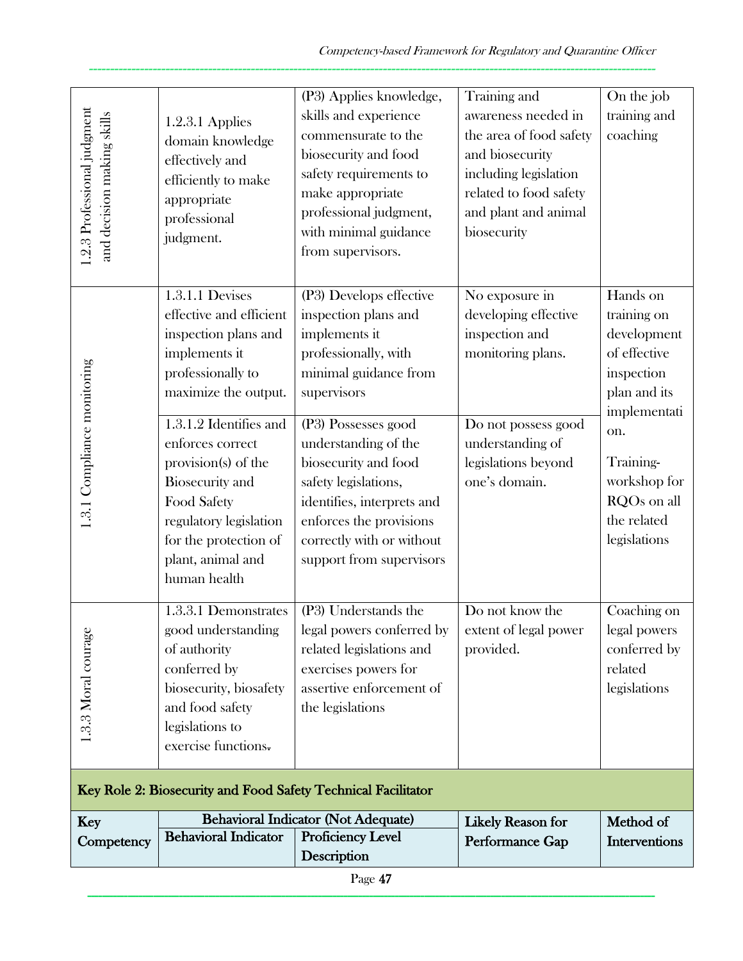| Page 47                                                   |                                                                                                                                                                                                                                                                                                                     |                                                                                                                                                                                                                                                                                                                        |                                                                                                                                                                                               |                                                                                                                                                                            |  |
|-----------------------------------------------------------|---------------------------------------------------------------------------------------------------------------------------------------------------------------------------------------------------------------------------------------------------------------------------------------------------------------------|------------------------------------------------------------------------------------------------------------------------------------------------------------------------------------------------------------------------------------------------------------------------------------------------------------------------|-----------------------------------------------------------------------------------------------------------------------------------------------------------------------------------------------|----------------------------------------------------------------------------------------------------------------------------------------------------------------------------|--|
| Competency                                                | <b>Behavioral Indicator</b>                                                                                                                                                                                                                                                                                         | <b>Proficiency Level</b><br>Description                                                                                                                                                                                                                                                                                | Performance Gap                                                                                                                                                                               | Interventions                                                                                                                                                              |  |
| Key                                                       |                                                                                                                                                                                                                                                                                                                     | Key Role 2: Biosecurity and Food Safety Technical Facilitator<br><b>Behavioral Indicator (Not Adequate)</b>                                                                                                                                                                                                            | <b>Likely Reason for</b>                                                                                                                                                                      | Method of                                                                                                                                                                  |  |
| 1.3.3 Moral courage                                       | 1.3.3.1 Demonstrates<br>good understanding<br>of authority<br>conferred by<br>biosecurity, biosafety<br>and food safety<br>legislations to<br>exercise functions.                                                                                                                                                   | (P3) Understands the<br>legal powers conferred by<br>related legislations and<br>exercises powers for<br>assertive enforcement of<br>the legislations                                                                                                                                                                  | Do not know the<br>extent of legal power<br>provided.                                                                                                                                         | Coaching on<br>legal powers<br>conferred by<br>related<br>legislations                                                                                                     |  |
| 1.3.1 Compliance monitoring                               | effective and efficient<br>inspection plans and<br>implements it<br>professionally to<br>maximize the output.<br>1.3.1.2 Identifies and<br>enforces correct<br>provision(s) of the<br><b>Biosecurity</b> and<br>Food Safety<br>regulatory legislation<br>for the protection of<br>plant, animal and<br>human health | inspection plans and<br>implements it<br>professionally, with<br>minimal guidance from<br>supervisors<br>(P3) Possesses good<br>understanding of the<br>biosecurity and food<br>safety legislations,<br>identifies, interprets and<br>enforces the provisions<br>correctly with or without<br>support from supervisors | developing effective<br>inspection and<br>monitoring plans.<br>Do not possess good<br>understanding of<br>legislations beyond<br>one's domain.                                                | training on<br>development<br>of effective<br>inspection<br>plan and its<br>implementati<br>on.<br>Training-<br>workshop for<br>RQOs on all<br>the related<br>legislations |  |
| 1.2.3 Professional judgment<br>and decision making skills | 1.2.3.1 Applies<br>domain knowledge<br>effectively and<br>efficiently to make<br>appropriate<br>professional<br>judgment.<br>1.3.1.1 Devises                                                                                                                                                                        | (P3) Applies knowledge,<br>skills and experience<br>commensurate to the<br>biosecurity and food<br>safety requirements to<br>make appropriate<br>professional judgment,<br>with minimal guidance<br>from supervisors.<br>(P3) Develops effective                                                                       | Training and<br>awareness needed in<br>the area of food safety<br>and biosecurity<br>including legislation<br>related to food safety<br>and plant and animal<br>biosecurity<br>No exposure in | On the job<br>training and<br>coaching<br>Hands on                                                                                                                         |  |
|                                                           |                                                                                                                                                                                                                                                                                                                     |                                                                                                                                                                                                                                                                                                                        |                                                                                                                                                                                               |                                                                                                                                                                            |  |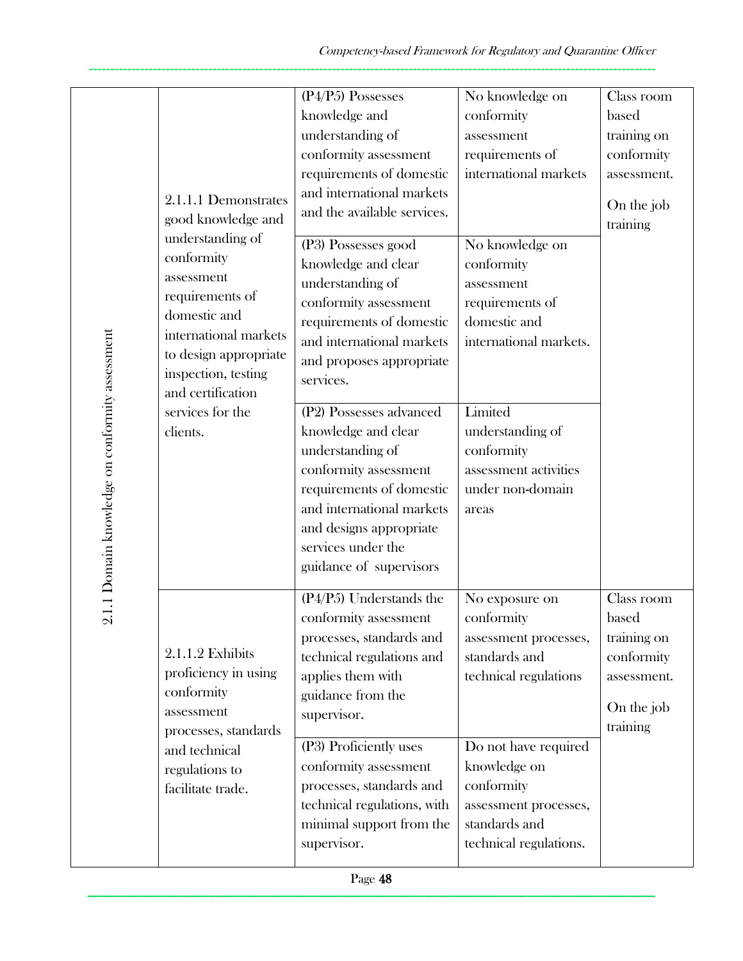| 2.1.1 Domain knowledge on conformity assessment | 2.1.1.1 Demonstrates<br>good knowledge and<br>understanding of<br>conformity<br>assessment<br>requirements of<br>domestic and<br>international markets<br>to design appropriate<br>inspection, testing<br>and certification<br>services for the<br>clients. | (P4/P5) Possesses<br>knowledge and<br>understanding of<br>conformity assessment<br>requirements of domestic<br>and international markets<br>and the available services.<br>(P3) Possesses good<br>knowledge and clear<br>understanding of<br>conformity assessment<br>requirements of domestic<br>and international markets<br>and proposes appropriate<br>services.<br>(P2) Possesses advanced<br>knowledge and clear<br>understanding of<br>conformity assessment<br>requirements of domestic<br>and international markets<br>and designs appropriate<br>services under the | No knowledge on<br>conformity<br>assessment<br>requirements of<br>international markets<br>No knowledge on<br>conformity<br>assessment<br>requirements of<br>domestic and<br>international markets.<br>Limited<br>understanding of<br>conformity<br>assessment activities<br>under non-domain<br>areas | Class room<br>based<br>training on<br>conformity<br>assessment.<br>On the job<br>training |
|-------------------------------------------------|-------------------------------------------------------------------------------------------------------------------------------------------------------------------------------------------------------------------------------------------------------------|-------------------------------------------------------------------------------------------------------------------------------------------------------------------------------------------------------------------------------------------------------------------------------------------------------------------------------------------------------------------------------------------------------------------------------------------------------------------------------------------------------------------------------------------------------------------------------|--------------------------------------------------------------------------------------------------------------------------------------------------------------------------------------------------------------------------------------------------------------------------------------------------------|-------------------------------------------------------------------------------------------|
|                                                 | 2.1.1.2 Exhibits<br>proficiency in using<br>conformity<br>assessment<br>processes, standards<br>and technical<br>regulations to<br>facilitate trade.                                                                                                        | guidance of supervisors<br>(P4/P5) Understands the<br>conformity assessment<br>processes, standards and<br>technical regulations and<br>applies them with<br>guidance from the<br>supervisor.<br>(P3) Proficiently uses<br>conformity assessment<br>processes, standards and<br>technical regulations, with<br>minimal support from the<br>supervisor.                                                                                                                                                                                                                        | No exposure on<br>conformity<br>assessment processes,<br>standards and<br>technical regulations<br>Do not have required<br>knowledge on<br>conformity<br>assessment processes,<br>standards and<br>technical regulations.                                                                              | Class room<br>based<br>training on<br>conformity<br>assessment.<br>On the job<br>training |
|                                                 |                                                                                                                                                                                                                                                             | Page 48                                                                                                                                                                                                                                                                                                                                                                                                                                                                                                                                                                       |                                                                                                                                                                                                                                                                                                        |                                                                                           |
|                                                 |                                                                                                                                                                                                                                                             |                                                                                                                                                                                                                                                                                                                                                                                                                                                                                                                                                                               |                                                                                                                                                                                                                                                                                                        |                                                                                           |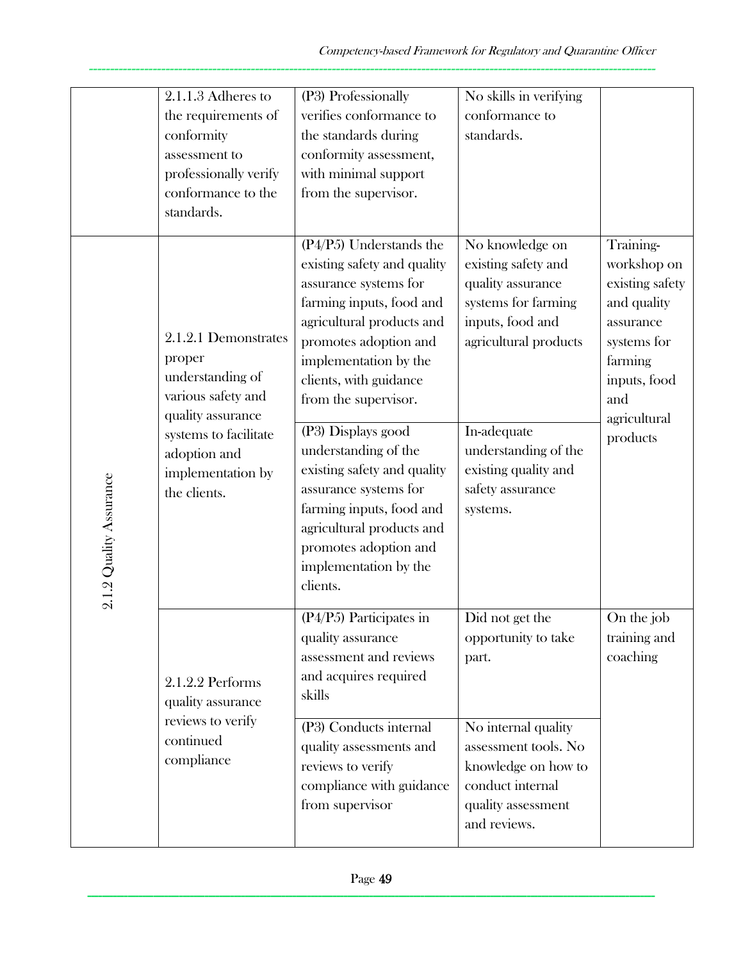|                         | 2.1.1.3 Adheres to<br>the requirements of<br>conformity<br>assessment to<br>professionally verify<br>conformance to the<br>standards.                                       | (P3) Professionally<br>verifies conformance to<br>the standards during<br>conformity assessment,<br>with minimal support<br>from the supervisor.                                                                                                                                                                                                                                                                                                                            | No skills in verifying<br>conformance to<br>standards.                                                                                                                                                                         |                                                                                                                                                      |
|-------------------------|-----------------------------------------------------------------------------------------------------------------------------------------------------------------------------|-----------------------------------------------------------------------------------------------------------------------------------------------------------------------------------------------------------------------------------------------------------------------------------------------------------------------------------------------------------------------------------------------------------------------------------------------------------------------------|--------------------------------------------------------------------------------------------------------------------------------------------------------------------------------------------------------------------------------|------------------------------------------------------------------------------------------------------------------------------------------------------|
| 2.1.2 Quality Assurance | 2.1.2.1 Demonstrates<br>proper<br>understanding of<br>various safety and<br>quality assurance<br>systems to facilitate<br>adoption and<br>implementation by<br>the clients. | $(P4/P5)$ Understands the<br>existing safety and quality<br>assurance systems for<br>farming inputs, food and<br>agricultural products and<br>promotes adoption and<br>implementation by the<br>clients, with guidance<br>from the supervisor.<br>(P3) Displays good<br>understanding of the<br>existing safety and quality<br>assurance systems for<br>farming inputs, food and<br>agricultural products and<br>promotes adoption and<br>implementation by the<br>clients. | No knowledge on<br>existing safety and<br>quality assurance<br>systems for farming<br>inputs, food and<br>agricultural products<br>In-adequate<br>understanding of the<br>existing quality and<br>safety assurance<br>systems. | Training-<br>workshop on<br>existing safety<br>and quality<br>assurance<br>systems for<br>farming<br>inputs, food<br>and<br>agricultural<br>products |
|                         | 2.1.2.2 Performs<br>quality assurance<br>reviews to verify<br>continued                                                                                                     | $(P4/P5)$ Participates in<br>quality assurance<br>assessment and reviews<br>and acquires required<br>skills<br>(P3) Conducts internal                                                                                                                                                                                                                                                                                                                                       | Did not get the<br>opportunity to take<br>part.<br>No internal quality                                                                                                                                                         | On the job<br>training and<br>coaching                                                                                                               |
|                         | compliance                                                                                                                                                                  | quality assessments and<br>reviews to verify<br>compliance with guidance<br>from supervisor                                                                                                                                                                                                                                                                                                                                                                                 | assessment tools. No<br>knowledge on how to<br>conduct internal<br>quality assessment<br>and reviews.                                                                                                                          |                                                                                                                                                      |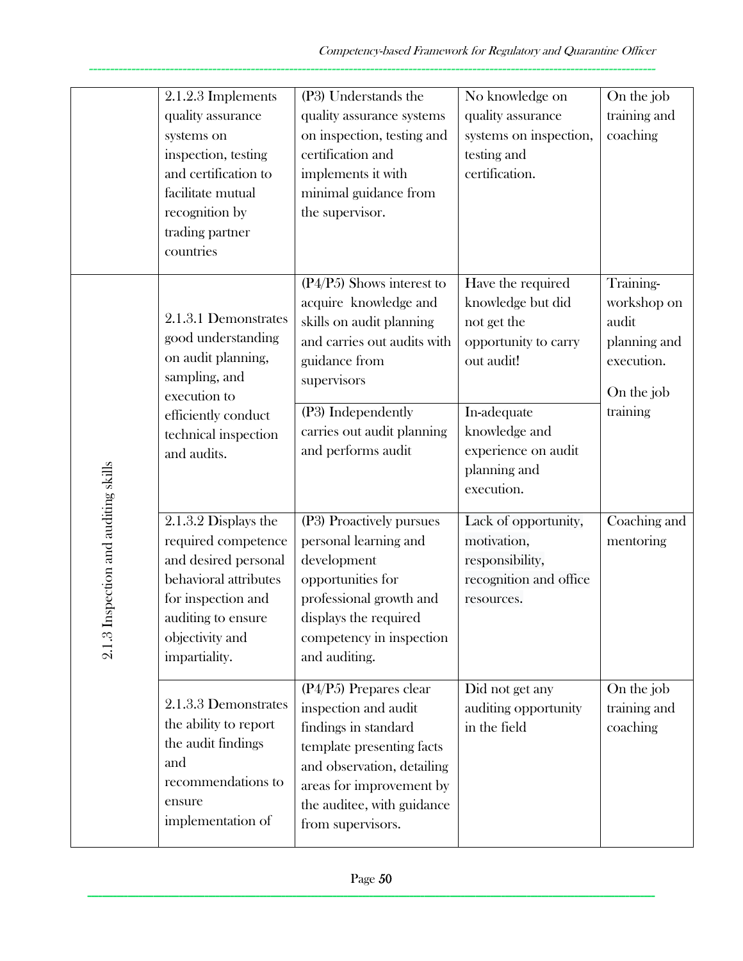|                                          | 2.1.2.3 Implements<br>quality assurance<br>systems on<br>inspection, testing<br>and certification to<br>facilitate mutual<br>recognition by<br>trading partner<br>countries  | (P3) Understands the<br>quality assurance systems<br>on inspection, testing and<br>certification and<br>implements it with<br>minimal guidance from<br>the supervisor.                                                    | No knowledge on<br>quality assurance<br>systems on inspection,<br>testing and<br>certification.                                                                                  | On the job<br>training and<br>coaching                                                    |
|------------------------------------------|------------------------------------------------------------------------------------------------------------------------------------------------------------------------------|---------------------------------------------------------------------------------------------------------------------------------------------------------------------------------------------------------------------------|----------------------------------------------------------------------------------------------------------------------------------------------------------------------------------|-------------------------------------------------------------------------------------------|
|                                          | 2.1.3.1 Demonstrates<br>good understanding<br>on audit planning,<br>sampling, and<br>execution to<br>efficiently conduct<br>technical inspection<br>and audits.              | $(P4/P5)$ Shows interest to<br>acquire knowledge and<br>skills on audit planning<br>and carries out audits with<br>guidance from<br>supervisors<br>(P3) Independently<br>carries out audit planning<br>and performs audit | Have the required<br>knowledge but did<br>not get the<br>opportunity to carry<br>out audit!<br>In-adequate<br>knowledge and<br>experience on audit<br>planning and<br>execution. | Training-<br>workshop on<br>audit<br>planning and<br>execution.<br>On the job<br>training |
| Inspection and auditing skills<br>2.1.31 | 2.1.3.2 Displays the<br>required competence<br>and desired personal<br>behavioral attributes<br>for inspection and<br>auditing to ensure<br>objectivity and<br>impartiality. | (P3) Proactively pursues<br>personal learning and<br>development<br>opportunities for<br>professional growth and<br>displays the required<br>competency in inspection<br>and auditing.                                    | Lack of opportunity,<br>motivation,<br>responsibility,<br>recognition and office<br>resources.                                                                                   | Coaching and<br>mentoring                                                                 |
|                                          | 2.1.3.3 Demonstrates<br>the ability to report<br>the audit findings<br>and<br>recommendations to<br>ensure<br>implementation of                                              | $(P4/P5)$ Prepares clear<br>inspection and audit<br>findings in standard<br>template presenting facts<br>and observation, detailing<br>areas for improvement by<br>the auditee, with guidance<br>from supervisors.        | Did not get any<br>auditing opportunity<br>in the field                                                                                                                          | On the job<br>training and<br>coaching                                                    |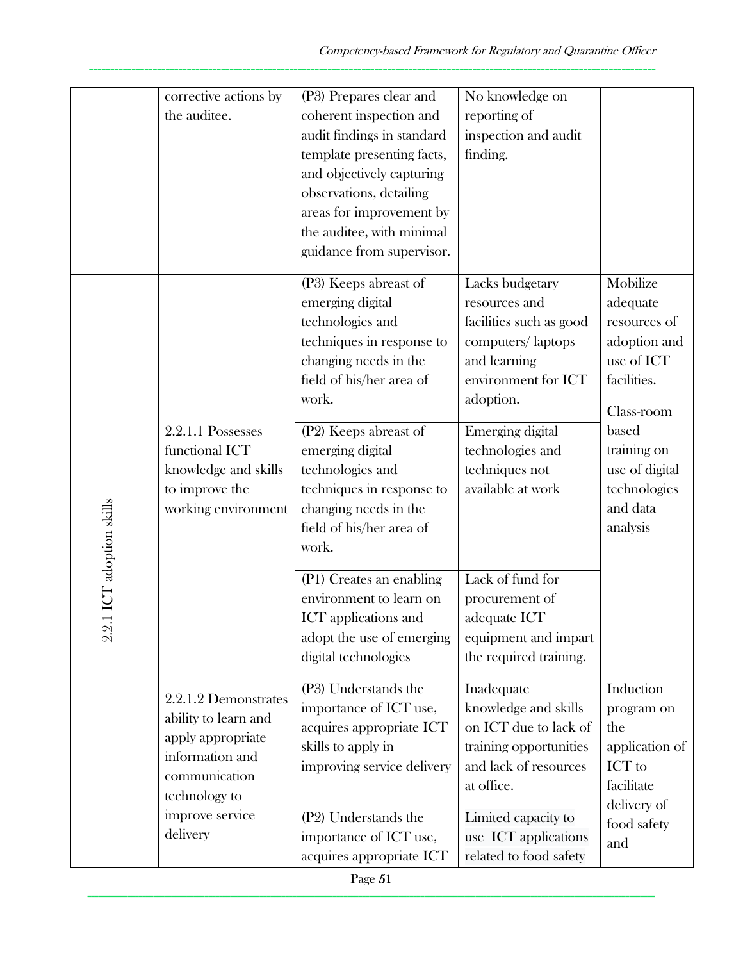|                               | corrective actions by<br>the auditee.                                                                                                                 | (P3) Prepares clear and<br>coherent inspection and<br>audit findings in standard<br>template presenting facts,<br>and objectively capturing<br>observations, detailing<br>areas for improvement by<br>the auditee, with minimal<br>guidance from supervisor.                                                                                                                                                                                                    | No knowledge on<br>reporting of<br>inspection and audit<br>finding.                                                                                                                                                                                                                                                         |                                                                                                                                                                                   |
|-------------------------------|-------------------------------------------------------------------------------------------------------------------------------------------------------|-----------------------------------------------------------------------------------------------------------------------------------------------------------------------------------------------------------------------------------------------------------------------------------------------------------------------------------------------------------------------------------------------------------------------------------------------------------------|-----------------------------------------------------------------------------------------------------------------------------------------------------------------------------------------------------------------------------------------------------------------------------------------------------------------------------|-----------------------------------------------------------------------------------------------------------------------------------------------------------------------------------|
| .1 ICT adoption skills<br>2.2 | 2.2.1.1 Possesses<br>functional ICT<br>knowledge and skills<br>to improve the<br>working environment                                                  | (P3) Keeps abreast of<br>emerging digital<br>technologies and<br>techniques in response to<br>changing needs in the<br>field of his/her area of<br>work.<br>(P2) Keeps abreast of<br>emerging digital<br>technologies and<br>techniques in response to<br>changing needs in the<br>field of his/her area of<br>work.<br>(P1) Creates an enabling<br>environment to learn on<br><b>ICT</b> applications and<br>adopt the use of emerging<br>digital technologies | Lacks budgetary<br>resources and<br>facilities such as good<br>computers/laptops<br>and learning<br>environment for ICT<br>adoption.<br>Emerging digital<br>technologies and<br>techniques not<br>available at work<br>Lack of fund for<br>procurement of<br>adequate ICT<br>equipment and impart<br>the required training. | Mobilize<br>adequate<br>resources of<br>adoption and<br>use of ICT<br>facilities.<br>Class-room<br>based<br>training on<br>use of digital<br>technologies<br>and data<br>analysis |
|                               | 2.2.1.2 Demonstrates<br>ability to learn and<br>apply appropriate<br>information and<br>communication<br>technology to<br>improve service<br>delivery | (P3) Understands the<br>importance of ICT use,<br>acquires appropriate ICT<br>skills to apply in<br>improving service delivery<br>(P2) Understands the<br>importance of ICT use,<br>acquires appropriate ICT                                                                                                                                                                                                                                                    | Inadequate<br>knowledge and skills<br>on ICT due to lack of<br>training opportunities<br>and lack of resources<br>at office.<br>Limited capacity to<br>use ICT applications<br>related to food safety                                                                                                                       | Induction<br>program on<br>the<br>application of<br>ICT to<br>facilitate<br>delivery of<br>food safety<br>and                                                                     |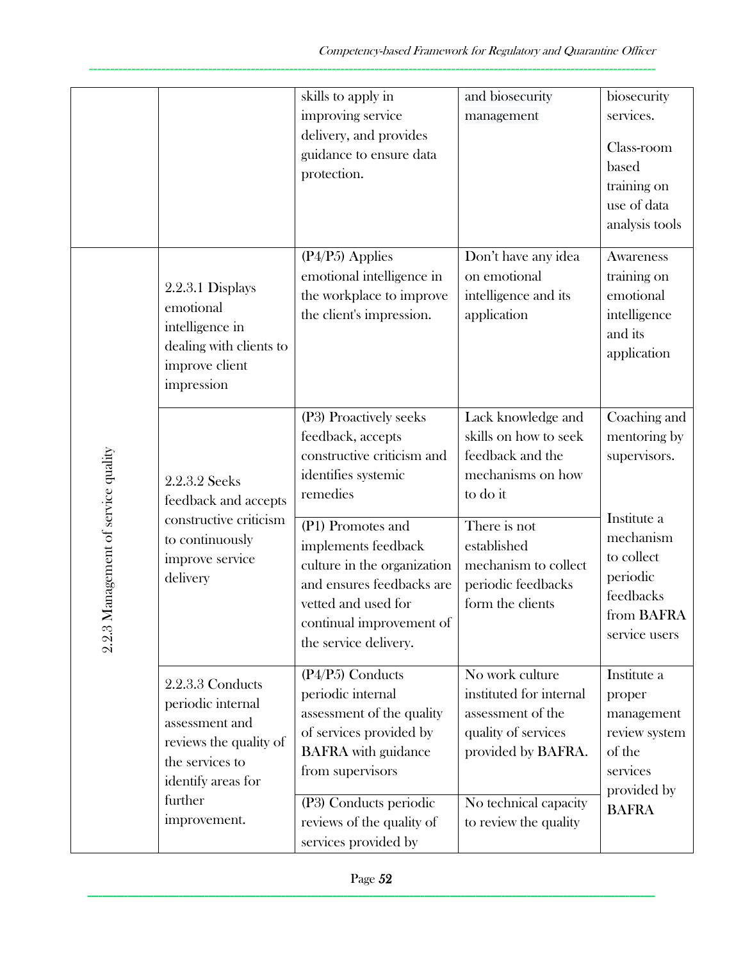|                                        |                                                                                                                                                       | skills to apply in<br>improving service<br>delivery, and provides<br>guidance to ensure data<br>protection.                                                                                                                                                                                      | and biosecurity<br>management                                                                                                                                                                     | biosecurity<br>services.<br>Class-room<br>based<br>training on<br>use of data<br>analysis tools                                                |
|----------------------------------------|-------------------------------------------------------------------------------------------------------------------------------------------------------|--------------------------------------------------------------------------------------------------------------------------------------------------------------------------------------------------------------------------------------------------------------------------------------------------|---------------------------------------------------------------------------------------------------------------------------------------------------------------------------------------------------|------------------------------------------------------------------------------------------------------------------------------------------------|
|                                        | 2.2.3.1 Displays<br>emotional<br>intelligence in<br>dealing with clients to<br>improve client<br>impression                                           | $(P4/P5)$ Applies<br>emotional intelligence in<br>the workplace to improve<br>the client's impression.                                                                                                                                                                                           | Don't have any idea<br>on emotional<br>intelligence and its<br>application                                                                                                                        | Awareness<br>training on<br>emotional<br>intelligence<br>and its<br>application                                                                |
| Management of service quality<br>2.2.3 | 2.2.3.2 Seeks<br>feedback and accepts<br>constructive criticism<br>to continuously<br>improve service<br>delivery                                     | (P3) Proactively seeks<br>feedback, accepts<br>constructive criticism and<br>identifies systemic<br>remedies<br>(P1) Promotes and<br>implements feedback<br>culture in the organization<br>and ensures feedbacks are<br>vetted and used for<br>continual improvement of<br>the service delivery. | Lack knowledge and<br>skills on how to seek<br>feedback and the<br>mechanisms on how<br>to do it<br>There is not<br>established<br>mechanism to collect<br>periodic feedbacks<br>form the clients | Coaching and<br>mentoring by<br>supervisors.<br>Institute a<br>mechanism<br>to collect<br>periodic<br>feedbacks<br>from BAFRA<br>service users |
|                                        | 2.2.3.3 Conducts<br>periodic internal<br>assessment and<br>reviews the quality of<br>the services to<br>identify areas for<br>further<br>improvement. | $(P4/P5)$ Conducts<br>periodic internal<br>assessment of the quality<br>of services provided by<br><b>BAFRA</b> with guidance<br>from supervisors<br>(P3) Conducts periodic<br>reviews of the quality of<br>services provided by                                                                 | No work culture<br>instituted for internal<br>assessment of the<br>quality of services<br>provided by BAFRA.<br>No technical capacity<br>to review the quality                                    | Institute a<br>proper<br>management<br>review system<br>of the<br>services<br>provided by<br><b>BAFRA</b>                                      |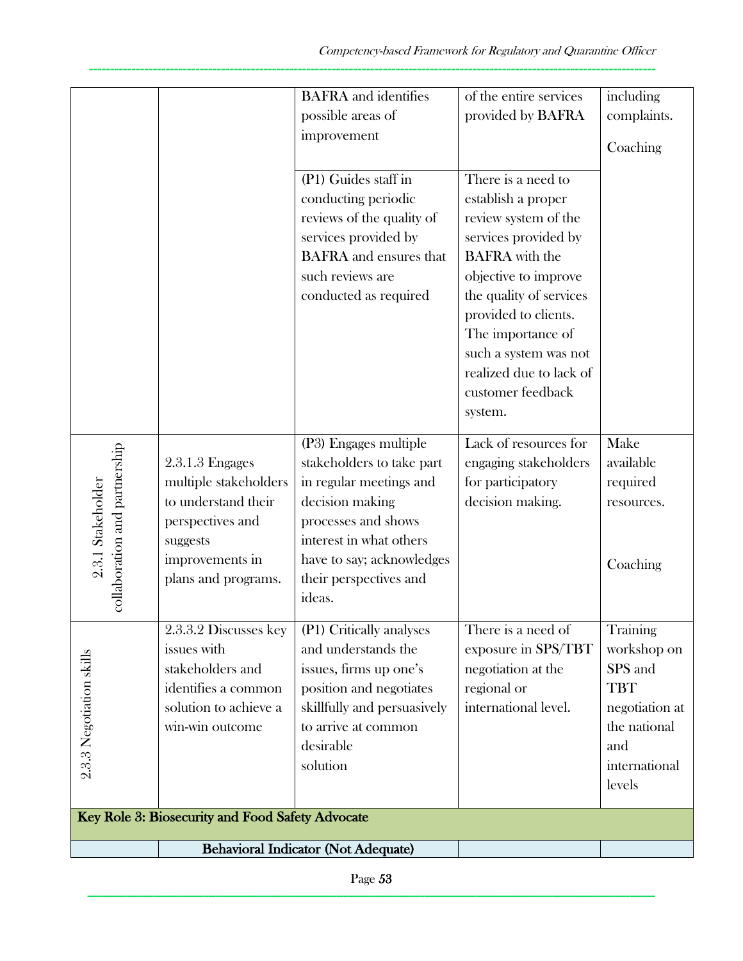| such reviews are<br>objective to improve<br>the quality of services<br>conducted as required<br>provided to clients.<br>The importance of<br>such a system was not<br>realized due to lack of<br>customer feedback<br>system.<br>(P3) Engages multiple<br>Lack of resources for<br>Make<br>collaboration and partnership<br>engaging stakeholders<br>$2.3.1.3$ Engages<br>stakeholders to take part<br>available<br>multiple stakeholders<br>2.3.1 Stakeholder<br>in regular meetings and<br>for participatory<br>required<br>to understand their<br>decision making<br>decision making.<br>resources.<br>processes and shows<br>perspectives and<br>interest in what others<br>suggests<br>improvements in<br>have to say; acknowledges<br>Coaching<br>plans and programs.<br>their perspectives and<br>ideas.<br>2.3.3.2 Discusses key<br>(P1) Critically analyses<br>There is a need of<br>Training<br>and understands the<br>issues with<br>exposure in SPS/TBT<br>workshop on<br>$2.3.3$ Negotiation skills<br>stakeholders and<br>negotiation at the<br>SPS and<br>issues, firms up one's<br>identifies a common<br>position and negotiates<br>regional or<br><b>TBT</b><br>solution to achieve a<br>skillfully and persuasively<br>international level.<br>negotiation at<br>to arrive at common<br>the national<br>win-win outcome<br>desirable<br>and<br>solution<br>international<br>levels<br>Key Role 3: Biosecurity and Food Safety Advocate |  | <b>BAFRA</b> and identifies<br>possible areas of<br>improvement<br>(P1) Guides staff in<br>conducting periodic<br>reviews of the quality of<br>services provided by<br><b>BAFRA</b> and ensures that | of the entire services<br>provided by BAFRA<br>There is a need to<br>establish a proper<br>review system of the<br>services provided by<br><b>BAFRA</b> with the | including<br>complaints.<br>Coaching |
|-----------------------------------------------------------------------------------------------------------------------------------------------------------------------------------------------------------------------------------------------------------------------------------------------------------------------------------------------------------------------------------------------------------------------------------------------------------------------------------------------------------------------------------------------------------------------------------------------------------------------------------------------------------------------------------------------------------------------------------------------------------------------------------------------------------------------------------------------------------------------------------------------------------------------------------------------------------------------------------------------------------------------------------------------------------------------------------------------------------------------------------------------------------------------------------------------------------------------------------------------------------------------------------------------------------------------------------------------------------------------------------------------------------------------------------------------------------|--|------------------------------------------------------------------------------------------------------------------------------------------------------------------------------------------------------|------------------------------------------------------------------------------------------------------------------------------------------------------------------|--------------------------------------|
|                                                                                                                                                                                                                                                                                                                                                                                                                                                                                                                                                                                                                                                                                                                                                                                                                                                                                                                                                                                                                                                                                                                                                                                                                                                                                                                                                                                                                                                           |  |                                                                                                                                                                                                      |                                                                                                                                                                  |                                      |
|                                                                                                                                                                                                                                                                                                                                                                                                                                                                                                                                                                                                                                                                                                                                                                                                                                                                                                                                                                                                                                                                                                                                                                                                                                                                                                                                                                                                                                                           |  |                                                                                                                                                                                                      |                                                                                                                                                                  |                                      |
|                                                                                                                                                                                                                                                                                                                                                                                                                                                                                                                                                                                                                                                                                                                                                                                                                                                                                                                                                                                                                                                                                                                                                                                                                                                                                                                                                                                                                                                           |  |                                                                                                                                                                                                      |                                                                                                                                                                  |                                      |
| <b>Behavioral Indicator (Not Adequate)</b>                                                                                                                                                                                                                                                                                                                                                                                                                                                                                                                                                                                                                                                                                                                                                                                                                                                                                                                                                                                                                                                                                                                                                                                                                                                                                                                                                                                                                |  |                                                                                                                                                                                                      |                                                                                                                                                                  |                                      |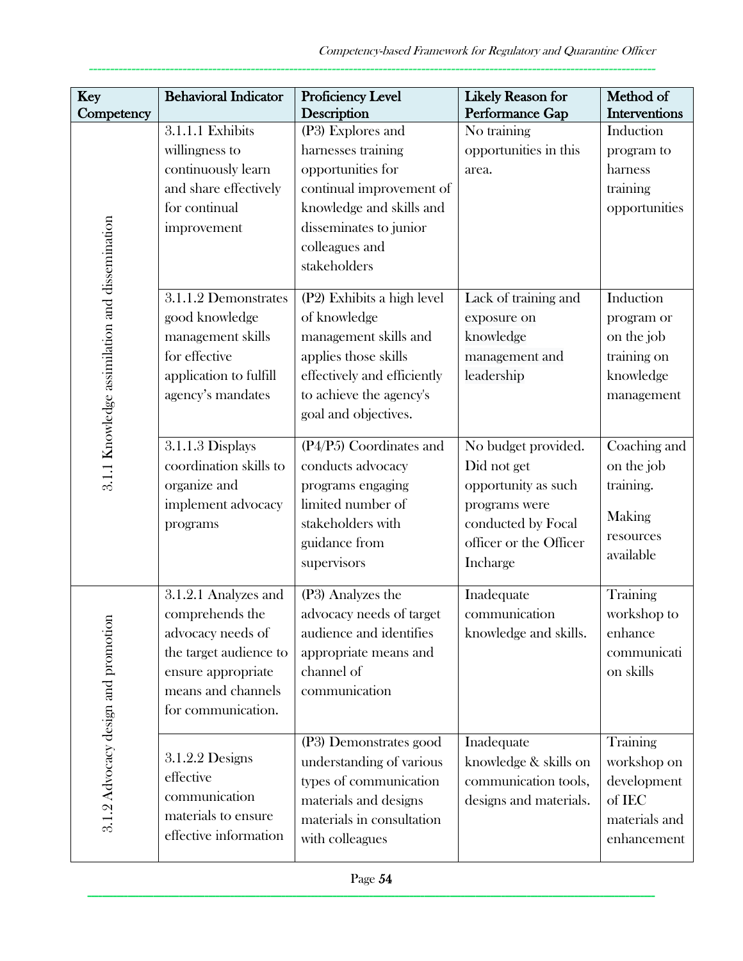| Key                                            | <b>Behavioral Indicator</b>                                                                                                                              | Proficiency Level<br>Description                                                                                                                                                 | Likely Reason for<br>Performance Gap                                                                                                   | Method of<br><b>Interventions</b>                                                |
|------------------------------------------------|----------------------------------------------------------------------------------------------------------------------------------------------------------|----------------------------------------------------------------------------------------------------------------------------------------------------------------------------------|----------------------------------------------------------------------------------------------------------------------------------------|----------------------------------------------------------------------------------|
| Competency                                     | 3.1.1.1 Exhibits<br>willingness to<br>continuously learn<br>and share effectively<br>for continual<br>improvement                                        | (P3) Explores and<br>harnesses training<br>opportunities for<br>continual improvement of<br>knowledge and skills and<br>disseminates to junior<br>colleagues and<br>stakeholders | No training<br>opportunities in this<br>area.                                                                                          | Induction<br>program to<br>harness<br>training<br>opportunities                  |
| 3.1.1 Knowledge assimilation and dissemination | 3.1.1.2 Demonstrates<br>good knowledge<br>management skills<br>for effective<br>application to fulfill<br>agency's mandates                              | (P2) Exhibits a high level<br>of knowledge<br>management skills and<br>applies those skills<br>effectively and efficiently<br>to achieve the agency's<br>goal and objectives.    | Lack of training and<br>exposure on<br>knowledge<br>management and<br>leadership                                                       | Induction<br>program or<br>on the job<br>training on<br>knowledge<br>management  |
|                                                | 3.1.1.3 Displays<br>coordination skills to<br>organize and<br>implement advocacy<br>programs                                                             | (P4/P5) Coordinates and<br>conducts advocacy<br>programs engaging<br>limited number of<br>stakeholders with<br>guidance from<br>supervisors                                      | No budget provided.<br>Did not get<br>opportunity as such<br>programs were<br>conducted by Focal<br>officer or the Officer<br>Incharge | Coaching and<br>on the job<br>training.<br>Making<br>resources<br>available      |
| 3.1.2 Advocacy design and promotion            | 3.1.2.1 Analyzes and<br>comprehends the<br>advocacy needs of<br>the target audience to<br>ensure appropriate<br>means and channels<br>for communication. | (P3) Analyzes the<br>advocacy needs of target<br>audience and identifies<br>appropriate means and<br>channel of<br>communication                                                 | Inadequate<br>communication<br>knowledge and skills.                                                                                   | Training<br>workshop to<br>enhance<br>communicati<br>on skills                   |
|                                                | 3.1.2.2 Designs<br>effective<br>communication<br>materials to ensure<br>effective information                                                            | (P3) Demonstrates good<br>understanding of various<br>types of communication<br>materials and designs<br>materials in consultation<br>with colleagues                            | Inadequate<br>knowledge & skills on<br>communication tools,<br>designs and materials.                                                  | Training<br>workshop on<br>development<br>of IEC<br>materials and<br>enhancement |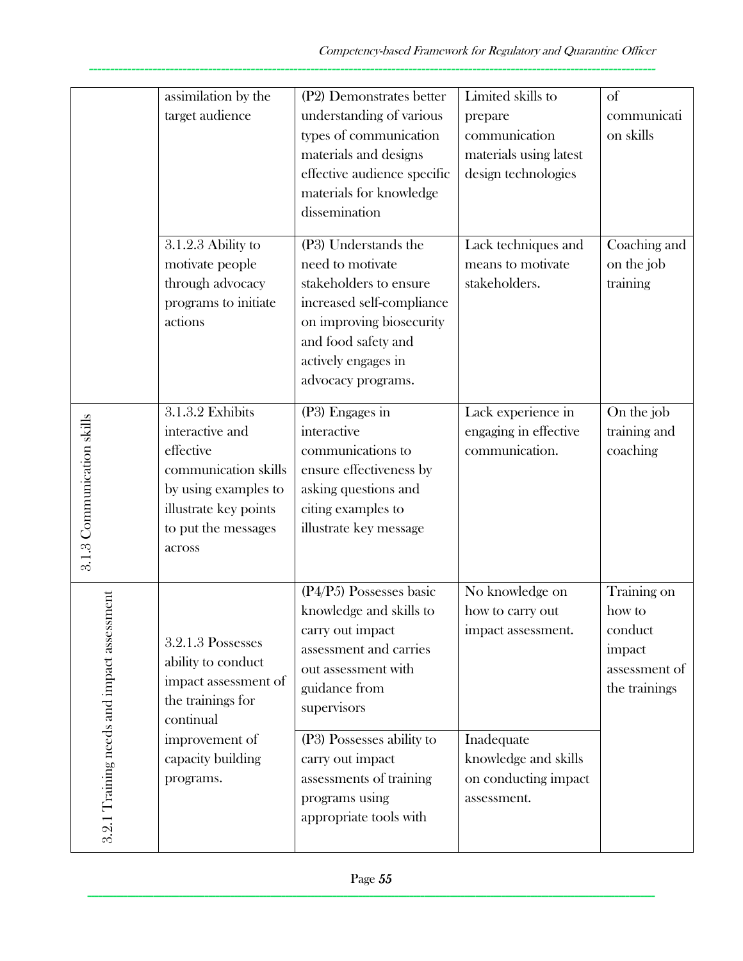|                                            | assimilation by the<br>target audience                                                                                                                     | (P2) Demonstrates better<br>understanding of various<br>types of communication<br>materials and designs<br>effective audience specific<br>materials for knowledge<br>dissemination                       | Limited skills to<br>prepare<br>communication<br>materials using latest<br>design technologies  | <sub>of</sub><br>communicati<br>on skills                                    |
|--------------------------------------------|------------------------------------------------------------------------------------------------------------------------------------------------------------|----------------------------------------------------------------------------------------------------------------------------------------------------------------------------------------------------------|-------------------------------------------------------------------------------------------------|------------------------------------------------------------------------------|
|                                            | 3.1.2.3 Ability to<br>motivate people<br>through advocacy<br>programs to initiate<br>actions                                                               | (P3) Understands the<br>need to motivate<br>stakeholders to ensure<br>increased self-compliance<br>on improving biosecurity<br>and food safety and<br>actively engages in<br>advocacy programs.          | Lack techniques and<br>means to motivate<br>stakeholders.                                       | Coaching and<br>on the job<br>training                                       |
| 3.1.3 Communication skills                 | 3.1.3.2 Exhibits<br>interactive and<br>effective<br>communication skills<br>by using examples to<br>illustrate key points<br>to put the messages<br>across | (P3) Engages in<br>interactive<br>communications to<br>ensure effectiveness by<br>asking questions and<br>citing examples to<br>illustrate key message                                                   | Lack experience in<br>engaging in effective<br>communication.                                   | On the job<br>training and<br>coaching                                       |
| 3.2.1 Training needs and impact assessment | 3.2.1.3 Possesses<br>ability to conduct<br>impact assessment of<br>the trainings for<br>continual<br>improvement of<br>capacity building                   | (P4/P5) Possesses basic<br>knowledge and skills to<br>carry out impact<br>assessment and carries<br>out assessment with<br>guidance from<br>supervisors<br>(P3) Possesses ability to<br>carry out impact | No knowledge on<br>how to carry out<br>impact assessment.<br>Inadequate<br>knowledge and skills | Training on<br>how to<br>conduct<br>impact<br>assessment of<br>the trainings |
|                                            | programs.                                                                                                                                                  | assessments of training<br>programs using<br>appropriate tools with                                                                                                                                      | on conducting impact<br>assessment.                                                             |                                                                              |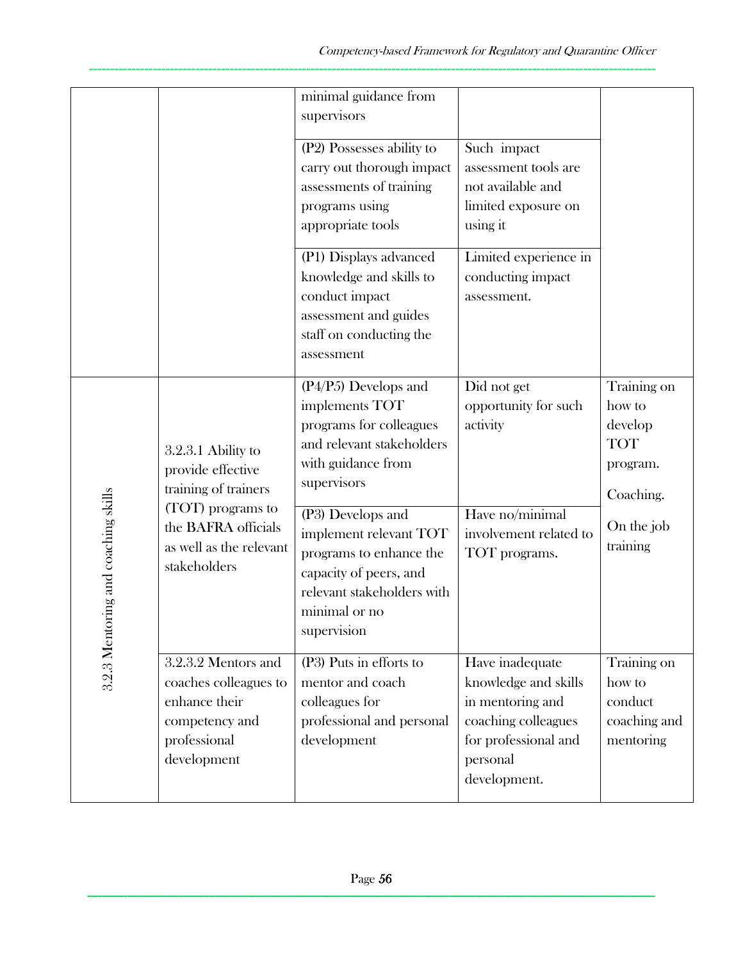|                                     |                                                                                                                | minimal guidance from<br>supervisors                                                                                                                                                 |                                                                                                                                        |                                                                                       |
|-------------------------------------|----------------------------------------------------------------------------------------------------------------|--------------------------------------------------------------------------------------------------------------------------------------------------------------------------------------|----------------------------------------------------------------------------------------------------------------------------------------|---------------------------------------------------------------------------------------|
|                                     |                                                                                                                | (P2) Possesses ability to<br>carry out thorough impact<br>assessments of training<br>programs using<br>appropriate tools                                                             | Such impact<br>assessment tools are<br>not available and<br>limited exposure on<br>using it                                            |                                                                                       |
|                                     |                                                                                                                | (P1) Displays advanced<br>knowledge and skills to<br>conduct impact<br>assessment and guides<br>staff on conducting the<br>assessment                                                | Limited experience in<br>conducting impact<br>assessment.                                                                              |                                                                                       |
|                                     | 3.2.3.1 Ability to<br>provide effective<br>training of trainers<br>(TOT) programs to<br>the BAFRA officials    | $(P4/P5)$ Develops and<br>implements TOT<br>programs for colleagues<br>and relevant stakeholders<br>with guidance from<br>supervisors<br>(P3) Develops and<br>implement relevant TOT | Did not get<br>opportunity for such<br>activity<br>Have no/minimal<br>involvement related to                                           | Training on<br>how to<br>develop<br><b>TOT</b><br>program.<br>Coaching.<br>On the job |
| 3.2.3 Mentoring and coaching skills | as well as the relevant<br>stakeholders                                                                        | programs to enhance the<br>capacity of peers, and<br>relevant stakeholders with<br>minimal or no<br>supervision                                                                      | TOT programs.                                                                                                                          | training                                                                              |
|                                     | 3.2.3.2 Mentors and<br>coaches colleagues to<br>enhance their<br>competency and<br>professional<br>development | (P3) Puts in efforts to<br>mentor and coach<br>colleagues for<br>professional and personal<br>development                                                                            | Have inadequate<br>knowledge and skills<br>in mentoring and<br>coaching colleagues<br>for professional and<br>personal<br>development. | Training on<br>how to<br>conduct<br>coaching and<br>mentoring                         |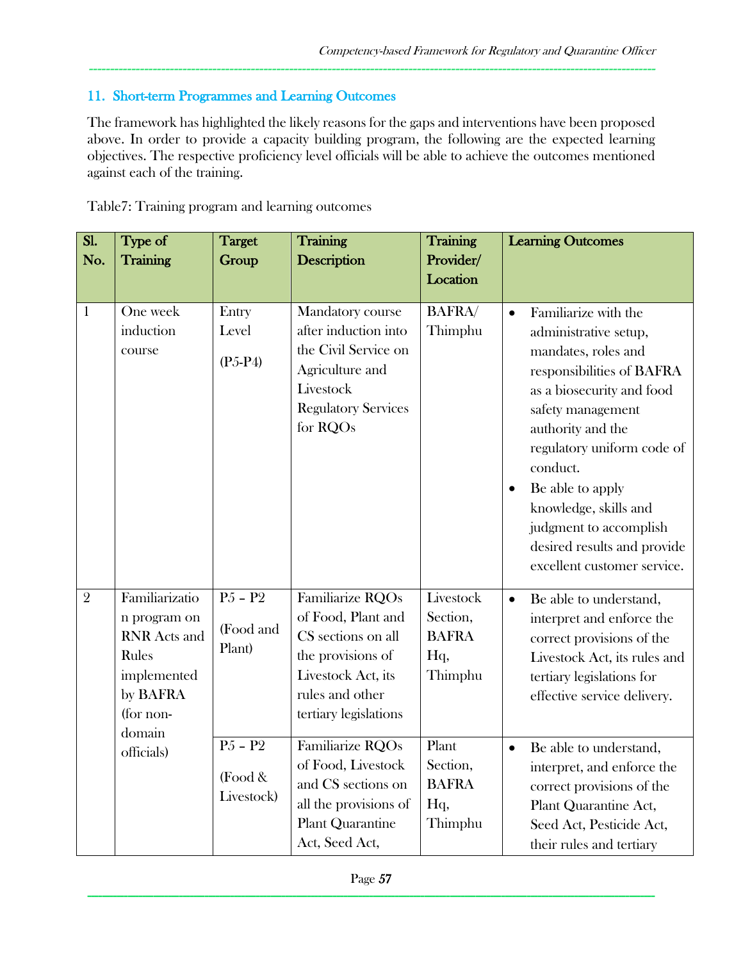### 11. Short-term Programmes and Learning Outcomes

The framework has highlighted the likely reasons for the gaps and interventions have been proposed above. In order to provide a capacity building program, the following are the expected learning objectives. The respective proficiency level officials will be able to achieve the outcomes mentioned against each of the training.

-------------------------------------------------------------------------------------------------------------------------------------

| Sl.<br>No.     | Type of<br>Training                                                                                                            | <b>Target</b><br>Group                                                                       | Training<br>Description                                                                                                                                                                                                                                                            | Training<br>Provider/<br>Location                                                                              | <b>Learning Outcomes</b>                                                                                                                                                                                                                                                                                                                                                     |
|----------------|--------------------------------------------------------------------------------------------------------------------------------|----------------------------------------------------------------------------------------------|------------------------------------------------------------------------------------------------------------------------------------------------------------------------------------------------------------------------------------------------------------------------------------|----------------------------------------------------------------------------------------------------------------|------------------------------------------------------------------------------------------------------------------------------------------------------------------------------------------------------------------------------------------------------------------------------------------------------------------------------------------------------------------------------|
| $\mathbf{1}$   | One week<br>induction<br>course                                                                                                | Entry<br>Level<br>$(P5-P4)$                                                                  | Mandatory course<br>after induction into<br>the Civil Service on<br>Agriculture and<br>Livestock<br><b>Regulatory Services</b><br>for RQOs                                                                                                                                         | <b>BAFRA</b> /<br>Thimphu                                                                                      | Familiarize with the<br>$\bullet$<br>administrative setup,<br>mandates, roles and<br>responsibilities of BAFRA<br>as a biosecurity and food<br>safety management<br>authority and the<br>regulatory uniform code of<br>conduct.<br>Be able to apply<br>knowledge, skills and<br>judgment to accomplish<br>desired results and provide<br>excellent customer service.         |
| $\overline{2}$ | Familiarizatio<br>n program on<br><b>RNR</b> Acts and<br>Rules<br>implemented<br>by BAFRA<br>(for non-<br>domain<br>officials) | $\overline{P5 - P2}$<br>(Food and<br>Plant)<br>$\overline{P5 - P2}$<br>(Food &<br>Livestock) | Familiarize RQOs<br>of Food, Plant and<br>CS sections on all<br>the provisions of<br>Livestock Act, its<br>rules and other<br>tertiary legislations<br>Familiarize RQOs<br>of Food, Livestock<br>and CS sections on<br>all the provisions of<br>Plant Quarantine<br>Act, Seed Act, | Livestock<br>Section,<br><b>BAFRA</b><br>Hq,<br>Thimphu<br>Plant<br>Section,<br><b>BAFRA</b><br>Hq,<br>Thimphu | Be able to understand,<br>$\bullet$<br>interpret and enforce the<br>correct provisions of the<br>Livestock Act, its rules and<br>tertiary legislations for<br>effective service delivery.<br>Be able to understand,<br>$\bullet$<br>interpret, and enforce the<br>correct provisions of the<br>Plant Quarantine Act,<br>Seed Act, Pesticide Act,<br>their rules and tertiary |

Table7: Training program and learning outcomes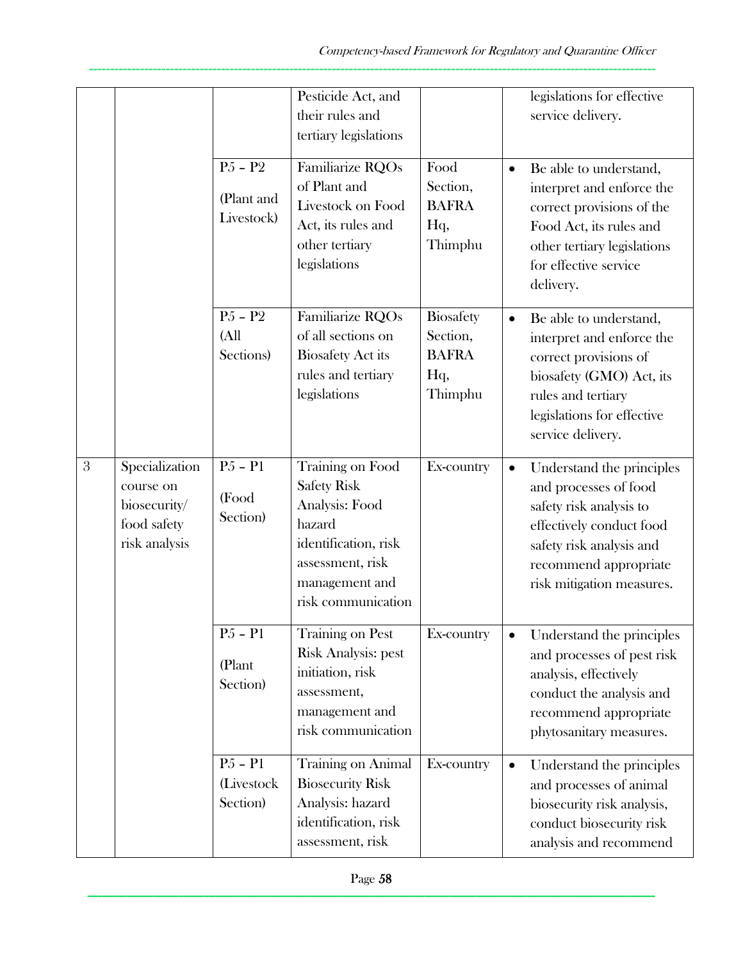|   |                                                                             |                                            | Pesticide Act, and<br>their rules and<br>tertiary legislations                                                                                         |                                                                |           | legislations for effective<br>service delivery.                                                                                                                                             |
|---|-----------------------------------------------------------------------------|--------------------------------------------|--------------------------------------------------------------------------------------------------------------------------------------------------------|----------------------------------------------------------------|-----------|---------------------------------------------------------------------------------------------------------------------------------------------------------------------------------------------|
|   |                                                                             | $P5 - P2$<br>(Plant and<br>Livestock)      | Familiarize RQOs<br>of Plant and<br>Livestock on Food<br>Act, its rules and<br>other tertiary<br>legislations                                          | Food<br>Section,<br><b>BAFRA</b><br>Hq,<br>Thimphu             | $\bullet$ | Be able to understand,<br>interpret and enforce the<br>correct provisions of the<br>Food Act, its rules and<br>other tertiary legislations<br>for effective service<br>delivery.            |
|   |                                                                             | $P5 - P2$<br>(All<br>Sections)             | Familiarize RQOs<br>of all sections on<br><b>Biosafety Act its</b><br>rules and tertiary<br>legislations                                               | <b>Biosafety</b><br>Section,<br><b>BAFRA</b><br>Hq,<br>Thimphu | $\bullet$ | Be able to understand,<br>interpret and enforce the<br>correct provisions of<br>biosafety (GMO) Act, its<br>rules and tertiary<br>legislations for effective<br>service delivery.           |
| 3 | Specialization<br>course on<br>biosecurity/<br>food safety<br>risk analysis | $P5 - P1$<br>(Food<br>Section)             | Training on Food<br><b>Safety Risk</b><br>Analysis: Food<br>hazard<br>identification, risk<br>assessment, risk<br>management and<br>risk communication | Ex-country                                                     |           | Understand the principles<br>and processes of food<br>safety risk analysis to<br>effectively conduct food<br>safety risk analysis and<br>recommend appropriate<br>risk mitigation measures. |
|   |                                                                             | $\overline{P5 - P1}$<br>(Plant<br>Section) | <b>Training on Pest</b><br><b>Risk Analysis: pest</b><br>initiation, risk<br>assessment,<br>management and<br>risk communication                       | Ex-country                                                     |           | Understand the principles<br>and processes of pest risk<br>analysis, effectively<br>conduct the analysis and<br>recommend appropriate<br>phytosanitary measures.                            |
|   |                                                                             | $P5 - P1$<br>(Livestock<br>Section)        | Training on Animal<br><b>Biosecurity Risk</b><br>Analysis: hazard<br>identification, risk<br>assessment, risk                                          | Ex-country                                                     | $\bullet$ | Understand the principles<br>and processes of animal<br>biosecurity risk analysis,<br>conduct biosecurity risk<br>analysis and recommend                                                    |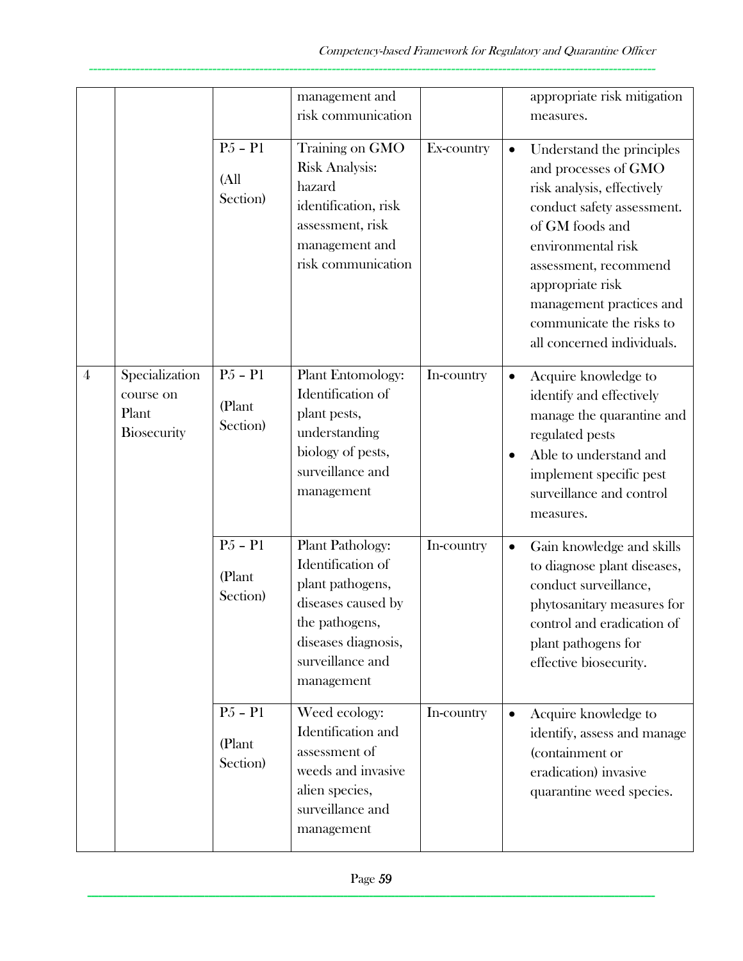|   |                                                            |                                 | management and<br>risk communication                                                                                                                       |            | appropriate risk mitigation<br>measures.                                                                                                                                                                                                                                                  |  |
|---|------------------------------------------------------------|---------------------------------|------------------------------------------------------------------------------------------------------------------------------------------------------------|------------|-------------------------------------------------------------------------------------------------------------------------------------------------------------------------------------------------------------------------------------------------------------------------------------------|--|
|   |                                                            | $P5 - P1$<br>(All<br>Section)   | Training on GMO<br><b>Risk Analysis:</b><br>hazard<br>identification, risk<br>assessment, risk<br>management and<br>risk communication                     | Ex-country | Understand the principles<br>and processes of GMO<br>risk analysis, effectively<br>conduct safety assessment.<br>of GM foods and<br>environmental risk<br>assessment, recommend<br>appropriate risk<br>management practices and<br>communicate the risks to<br>all concerned individuals. |  |
| 4 | Specialization<br>course on<br>Plant<br><b>Biosecurity</b> | $P5 - P1$<br>(Plant<br>Section) | <b>Plant Entomology:</b><br>Identification of<br>plant pests,<br>understanding<br>biology of pests,<br>surveillance and<br>management                      | In-country | Acquire knowledge to<br>$\bullet$<br>identify and effectively<br>manage the quarantine and<br>regulated pests<br>Able to understand and<br>implement specific pest<br>surveillance and control<br>measures.                                                                               |  |
|   |                                                            | $P5 - P1$<br>(Plant<br>Section) | Plant Pathology:<br>Identification of<br>plant pathogens,<br>diseases caused by<br>the pathogens,<br>diseases diagnosis,<br>surveillance and<br>management | In-country | Gain knowledge and skills<br>$\bullet$<br>to diagnose plant diseases,<br>conduct surveillance,<br>phytosanitary measures for<br>control and eradication of<br>plant pathogens for<br>effective biosecurity.                                                                               |  |
|   |                                                            | $P5 - P1$<br>(Plant<br>Section) | Weed ecology:<br>Identification and<br>assessment of<br>weeds and invasive<br>alien species,<br>surveillance and<br>management                             | In-country | Acquire knowledge to<br>$\bullet$<br>identify, assess and manage<br>(containment or<br>eradication) invasive<br>quarantine weed species.                                                                                                                                                  |  |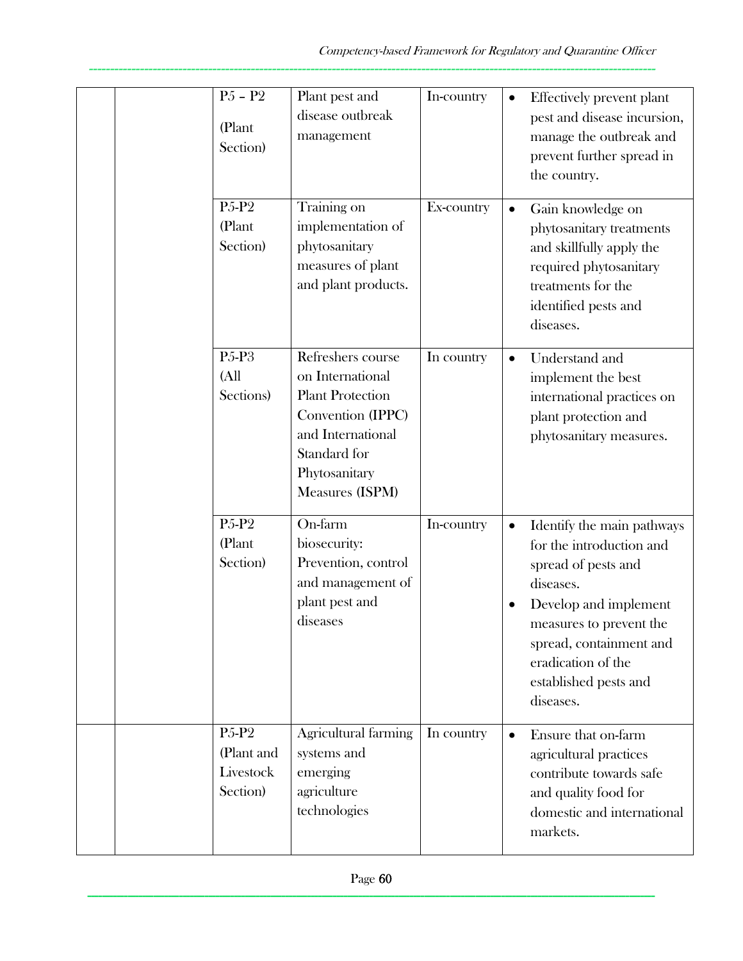| $\overline{P5}$ – $P2$<br>(Plant<br>Section)                          | Plant pest and<br>disease outbreak<br>management                                                                                                               | In-country | $\bullet$ | Effectively prevent plant<br>pest and disease incursion,<br>manage the outbreak and<br>prevent further spread in<br>the country.                                                                                                      |
|-----------------------------------------------------------------------|----------------------------------------------------------------------------------------------------------------------------------------------------------------|------------|-----------|---------------------------------------------------------------------------------------------------------------------------------------------------------------------------------------------------------------------------------------|
| P <sub>5</sub> -P <sub>2</sub><br>(Plant<br>Section)                  | Training on<br>implementation of<br>phytosanitary<br>measures of plant<br>and plant products.                                                                  | Ex-country |           | Gain knowledge on<br>phytosanitary treatments<br>and skillfully apply the<br>required phytosanitary<br>treatments for the<br>identified pests and<br>diseases.                                                                        |
| P5-P3<br>(A <sup>II</sup> )<br>Sections)                              | Refreshers course<br>on International<br><b>Plant Protection</b><br>Convention (IPPC)<br>and International<br>Standard for<br>Phytosanitary<br>Measures (ISPM) | In country |           | Understand and<br>implement the best<br>international practices on<br>plant protection and<br>phytosanitary measures.                                                                                                                 |
| P <sub>5</sub> -P <sub>2</sub><br>(Plant<br>Section)                  | On-farm<br>biosecurity:<br>Prevention, control<br>and management of<br>plant pest and<br>diseases                                                              | In-country |           | Identify the main pathways<br>for the introduction and<br>spread of pests and<br>diseases.<br>Develop and implement<br>measures to prevent the<br>spread, containment and<br>eradication of the<br>established pests and<br>diseases. |
| P <sub>5</sub> -P <sub>2</sub><br>(Plant and<br>Livestock<br>Section) | Agricultural farming<br>systems and<br>emerging<br>agriculture<br>technologies                                                                                 | In country | $\bullet$ | Ensure that on-farm<br>agricultural practices<br>contribute towards safe<br>and quality food for<br>domestic and international<br>markets.                                                                                            |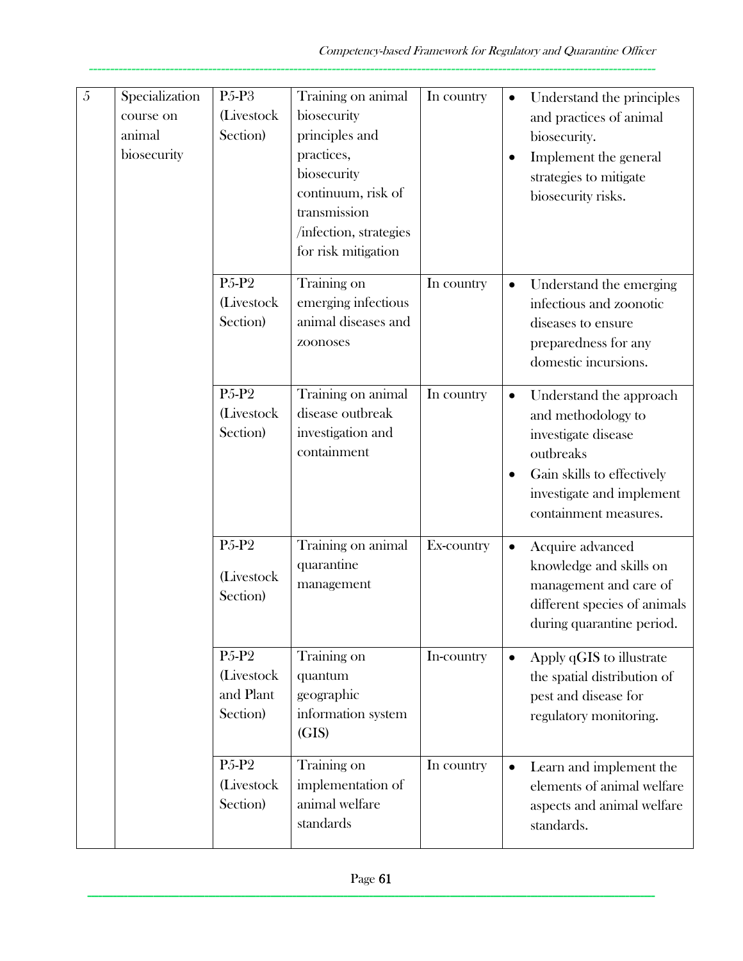| 5 | Specialization<br>course on<br>animal<br>biosecurity | $P5-P3$<br>(Livestock<br>Section)                                     | Training on animal<br>biosecurity<br>principles and<br>practices,<br>biosecurity<br>continuum, risk of<br>transmission<br>/infection, strategies<br>for risk mitigation | In country | $\bullet$<br>$\bullet$ | Understand the principles<br>and practices of animal<br>biosecurity.<br>Implement the general<br>strategies to mitigate<br>biosecurity risks.                         |
|---|------------------------------------------------------|-----------------------------------------------------------------------|-------------------------------------------------------------------------------------------------------------------------------------------------------------------------|------------|------------------------|-----------------------------------------------------------------------------------------------------------------------------------------------------------------------|
|   |                                                      | P <sub>5</sub> -P <sub>2</sub><br>(Livestock<br>Section)              | Training on<br>emerging infectious<br>animal diseases and<br>zoonoses                                                                                                   | In country | $\bullet$              | Understand the emerging<br>infectious and zoonotic<br>diseases to ensure<br>preparedness for any<br>domestic incursions.                                              |
|   |                                                      | P <sub>5</sub> -P <sub>2</sub><br>(Livestock<br>Section)              | Training on animal<br>disease outbreak<br>investigation and<br>containment                                                                                              | In country | $\bullet$              | Understand the approach<br>and methodology to<br>investigate disease<br>outbreaks<br>Gain skills to effectively<br>investigate and implement<br>containment measures. |
|   |                                                      | P <sub>5</sub> -P <sub>2</sub><br>(Livestock<br>Section)              | Training on animal<br>quarantine<br>management                                                                                                                          | Ex-country | $\bullet$              | Acquire advanced<br>knowledge and skills on<br>management and care of<br>different species of animals<br>during quarantine period.                                    |
|   |                                                      | P <sub>5</sub> -P <sub>2</sub><br>(Livestock<br>and Plant<br>Section) | Training on<br>quantum<br>geographic<br>information system<br>(GIS)                                                                                                     | In-country | $\bullet$              | Apply qGIS to illustrate<br>the spatial distribution of<br>pest and disease for<br>regulatory monitoring.                                                             |
|   |                                                      | P <sub>5</sub> -P <sub>2</sub><br>(Livestock<br>Section)              | Training on<br>implementation of<br>animal welfare<br>standards                                                                                                         | In country |                        | Learn and implement the<br>elements of animal welfare<br>aspects and animal welfare<br>standards.                                                                     |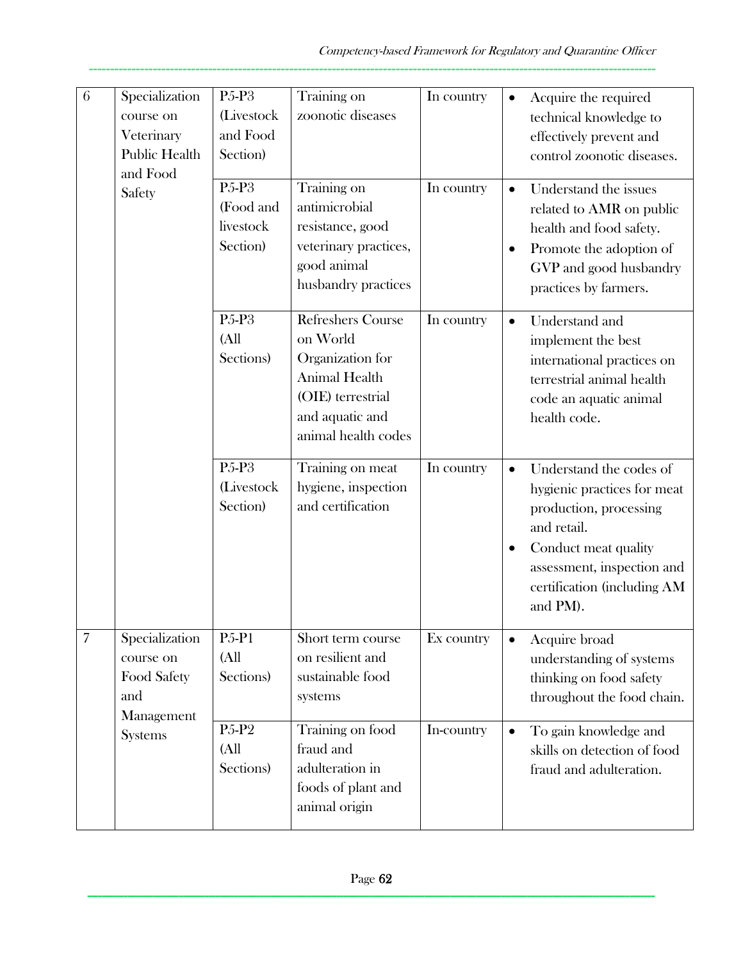| 6              | Specialization<br>course on<br>Veterinary<br><b>Public Health</b><br>and Food | P <sub>5</sub> -P <sub>3</sub><br>(Livestock<br>and Food<br>Section) | Training on<br>zoonotic diseases                                                                                                         | In country | Acquire the required<br>$\bullet$<br>technical knowledge to<br>effectively prevent and<br>control zoonotic diseases.                                                                             |
|----------------|-------------------------------------------------------------------------------|----------------------------------------------------------------------|------------------------------------------------------------------------------------------------------------------------------------------|------------|--------------------------------------------------------------------------------------------------------------------------------------------------------------------------------------------------|
|                | Safety                                                                        | P <sub>5</sub> -P <sub>3</sub><br>(Food and<br>livestock<br>Section) | Training on<br>antimicrobial<br>resistance, good<br>veterinary practices,<br>good animal<br>husbandry practices                          | In country | Understand the issues<br>$\bullet$<br>related to AMR on public<br>health and food safety.<br>Promote the adoption of<br>GVP and good husbandry<br>practices by farmers.                          |
|                |                                                                               | P <sub>5</sub> -P <sub>3</sub><br>(A <sup>ll</sup> )<br>Sections)    | <b>Refreshers Course</b><br>on World<br>Organization for<br>Animal Health<br>(OIE) terrestrial<br>and aquatic and<br>animal health codes | In country | Understand and<br>implement the best<br>international practices on<br>terrestrial animal health<br>code an aquatic animal<br>health code.                                                        |
|                |                                                                               | P <sub>5</sub> -P <sub>3</sub><br>(Livestock<br>Section)             | Training on meat<br>hygiene, inspection<br>and certification                                                                             | In country | Understand the codes of<br>hygienic practices for meat<br>production, processing<br>and retail.<br>Conduct meat quality<br>assessment, inspection and<br>certification (including AM<br>and PM). |
| $\overline{7}$ | Specialization<br>course on<br>Food Safety<br>and<br>Management               | <b>P5-P1</b><br>(A <sup>ll</sup> )<br>Sections)                      | Short term course<br>on resilient and<br>sustainable food<br>systems                                                                     | Ex country | Acquire broad<br>understanding of systems<br>thinking on food safety<br>throughout the food chain.                                                                                               |
|                | <b>Systems</b>                                                                | P <sub>5</sub> -P <sub>2</sub><br>(All<br>Sections)                  | Training on food<br>fraud and<br>adulteration in<br>foods of plant and<br>animal origin                                                  | In-country | To gain knowledge and<br>skills on detection of food<br>fraud and adulteration.                                                                                                                  |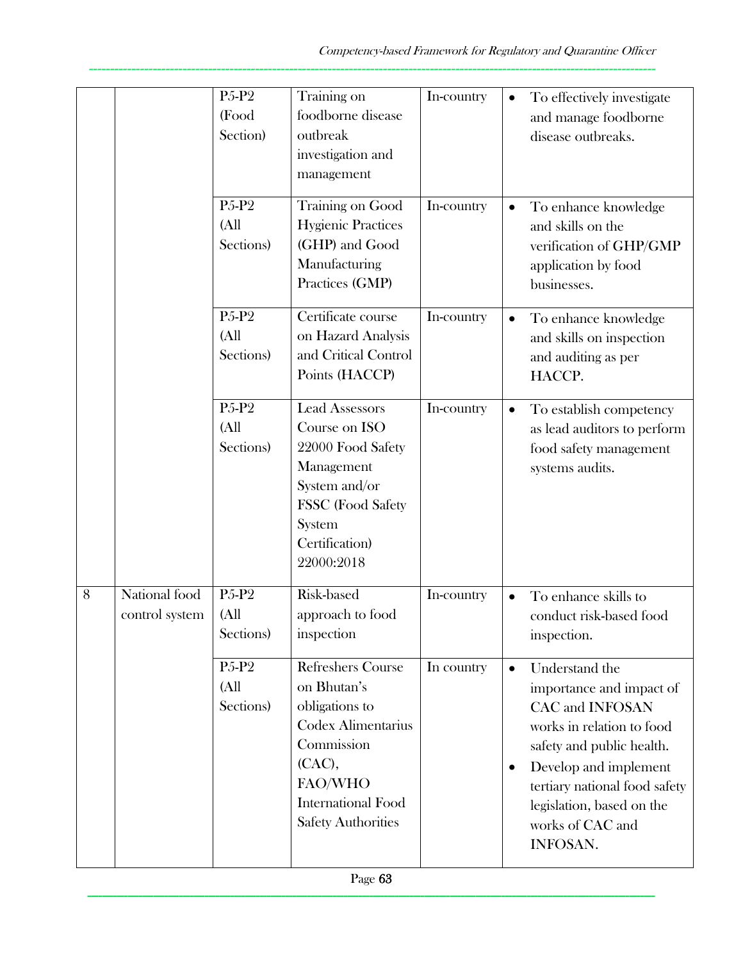|   |                                 | P5-P2<br>(Food<br>Section)                                        | Training on<br>foodborne disease<br>outbreak<br>investigation and<br>management                                                                                       | In-country | To effectively investigate<br>$\bullet$<br>and manage foodborne<br>disease outbreaks.                                                                                                                                                                                                 |
|---|---------------------------------|-------------------------------------------------------------------|-----------------------------------------------------------------------------------------------------------------------------------------------------------------------|------------|---------------------------------------------------------------------------------------------------------------------------------------------------------------------------------------------------------------------------------------------------------------------------------------|
|   |                                 | P <sub>5</sub> -P <sub>2</sub><br>(A <sup>ll</sup> )<br>Sections) | Training on Good<br><b>Hygienic Practices</b><br>(GHP) and Good<br>Manufacturing<br>Practices (GMP)                                                                   | In-country | To enhance knowledge<br>and skills on the<br>verification of GHP/GMP<br>application by food<br>businesses.                                                                                                                                                                            |
|   |                                 | P <sub>5</sub> -P <sub>2</sub><br>(A <sup>II</sup> )<br>Sections) | Certificate course<br>on Hazard Analysis<br>and Critical Control<br>Points (HACCP)                                                                                    | In-country | To enhance knowledge<br>$\bullet$<br>and skills on inspection<br>and auditing as per<br>HACCP.                                                                                                                                                                                        |
|   |                                 | P <sub>5</sub> -P <sub>2</sub><br>(A <sup>ll</sup> )<br>Sections) | <b>Lead Assessors</b><br>Course on ISO<br>22000 Food Safety<br>Management<br>System and/or<br>FSSC (Food Safety<br>System<br>Certification)<br>22000:2018             | In-country | To establish competency<br>as lead auditors to perform<br>food safety management<br>systems audits.                                                                                                                                                                                   |
| 8 | National food<br>control system | P5-P2<br>(A <sup>II</sup> )<br>Sections)                          | Risk-based<br>approach to food<br>inspection                                                                                                                          | In-country | To enhance skills to<br>$\bullet$<br>conduct risk-based food<br>inspection.                                                                                                                                                                                                           |
|   |                                 | P <sub>5</sub> -P <sub>2</sub><br>(A <sup>ll</sup> )<br>Sections) | Refreshers Course<br>on Bhutan's<br>obligations to<br>Codex Alimentarius<br>Commission<br>(CAC),<br>FAO/WHO<br><b>International Food</b><br><b>Safety Authorities</b> | In country | Understand the<br>$\bullet$<br>importance and impact of<br><b>CAC</b> and <b>INFOSAN</b><br>works in relation to food<br>safety and public health.<br>Develop and implement<br>٠<br>tertiary national food safety<br>legislation, based on the<br>works of CAC and<br><b>INFOSAN.</b> |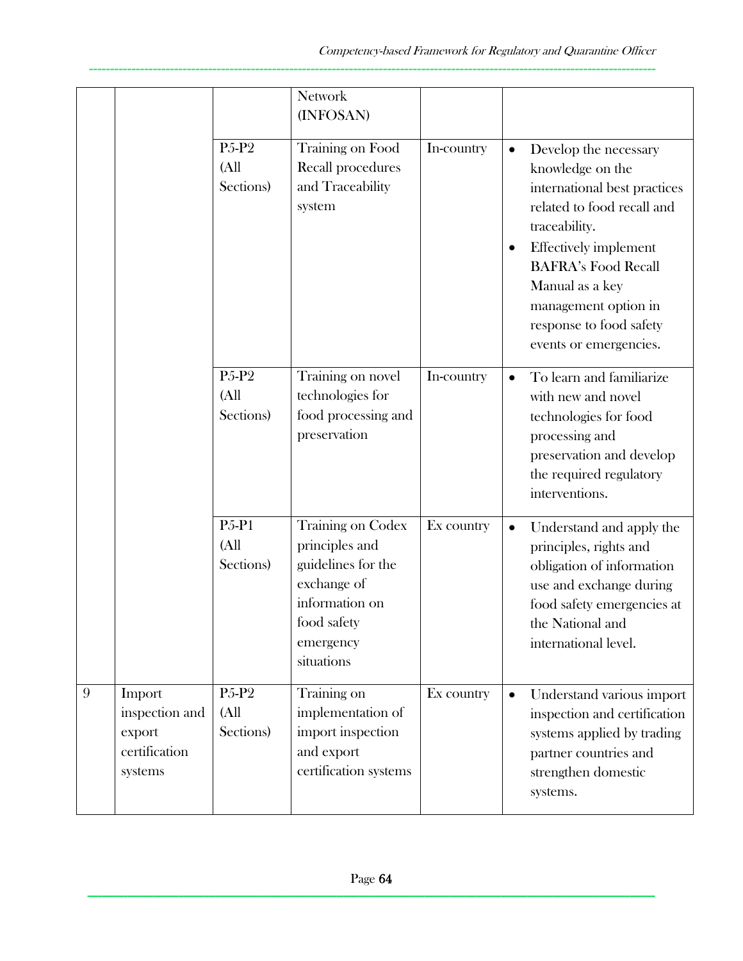|   |                                                                | P <sub>5</sub> -P <sub>2</sub><br>(A <sup>II</sup> )<br>Sections) | <b>Network</b><br>(INFOSAN)<br>Training on Food<br>Recall procedures<br>and Traceability<br>system                                          | In-country | Develop the necessary<br>$\bullet$<br>knowledge on the<br>international best practices<br>related to food recall and<br>traceability.<br><b>Effectively implement</b><br>$\bullet$<br><b>BAFRA's Food Recall</b><br>Manual as a key<br>management option in<br>response to food safety<br>events or emergencies. |
|---|----------------------------------------------------------------|-------------------------------------------------------------------|---------------------------------------------------------------------------------------------------------------------------------------------|------------|------------------------------------------------------------------------------------------------------------------------------------------------------------------------------------------------------------------------------------------------------------------------------------------------------------------|
|   |                                                                | P <sub>5</sub> -P <sub>2</sub><br>(All<br>Sections)               | Training on novel<br>technologies for<br>food processing and<br>preservation                                                                | In-country | To learn and familiarize<br>$\bullet$<br>with new and novel<br>technologies for food<br>processing and<br>preservation and develop<br>the required regulatory<br>interventions.                                                                                                                                  |
|   |                                                                | <b>P5-P1</b><br>(All<br>Sections)                                 | <b>Training on Codex</b><br>principles and<br>guidelines for the<br>exchange of<br>information on<br>food safety<br>emergency<br>situations | Ex country | Understand and apply the<br>$\bullet$<br>principles, rights and<br>obligation of information<br>use and exchange during<br>food safety emergencies at<br>the National and<br>international level.                                                                                                                |
| 9 | Import<br>inspection and<br>export<br>certification<br>systems | P <sub>5</sub> -P <sub>2</sub><br>(All<br>Sections)               | Training on<br>implementation of<br>import inspection<br>and export<br>certification systems                                                | Ex country | Understand various import<br>$\bullet$<br>inspection and certification<br>systems applied by trading<br>partner countries and<br>strengthen domestic<br>systems.                                                                                                                                                 |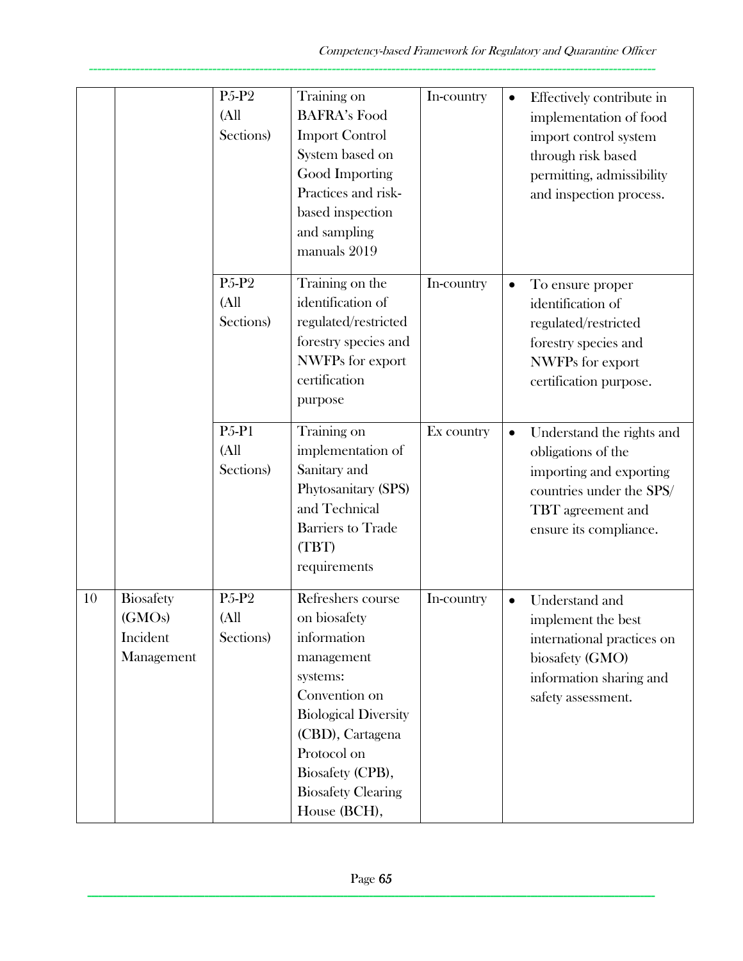|    |                                                      | P <sub>5</sub> -P <sub>2</sub><br>(A <sup>ll</sup> )<br>Sections) | Training on<br><b>BAFRA's Food</b><br><b>Import Control</b><br>System based on<br>Good Importing<br>Practices and risk-<br>based inspection<br>and sampling<br>manuals 2019                                                    | In-country | $\bullet$ | Effectively contribute in<br>implementation of food<br>import control system<br>through risk based<br>permitting, admissibility<br>and inspection process. |
|----|------------------------------------------------------|-------------------------------------------------------------------|--------------------------------------------------------------------------------------------------------------------------------------------------------------------------------------------------------------------------------|------------|-----------|------------------------------------------------------------------------------------------------------------------------------------------------------------|
|    |                                                      | P <sub>5</sub> -P <sub>2</sub><br>(A <sup>ll</sup> )<br>Sections) | Training on the<br>identification of<br>regulated/restricted<br>forestry species and<br><b>NWFPs</b> for export<br>certification<br>purpose                                                                                    | In-country | $\bullet$ | To ensure proper<br>identification of<br>regulated/restricted<br>forestry species and<br>NWFPs for export<br>certification purpose.                        |
|    |                                                      | <b>P5-P1</b><br>(A <sup>II</sup> )<br>Sections)                   | Training on<br>implementation of<br>Sanitary and<br>Phytosanitary (SPS)<br>and Technical<br><b>Barriers to Trade</b><br>(TBT)<br>requirements                                                                                  | Ex country | $\bullet$ | Understand the rights and<br>obligations of the<br>importing and exporting<br>countries under the SPS/<br>TBT agreement and<br>ensure its compliance.      |
| 10 | <b>Biosafety</b><br>(GMOs)<br>Incident<br>Management | P <sub>5</sub> -P <sub>2</sub><br>(A <sup>II</sup> )<br>Sections) | Refreshers course<br>on biosafety<br>information<br>management<br>systems:<br>Convention on<br><b>Biological Diversity</b><br>(CBD), Cartagena<br>Protocol on<br>Biosafety (CPB),<br><b>Biosafety Clearing</b><br>House (BCH), | In-country |           | Understand and<br>implement the best<br>international practices on<br>biosafety (GMO)<br>information sharing and<br>safety assessment.                     |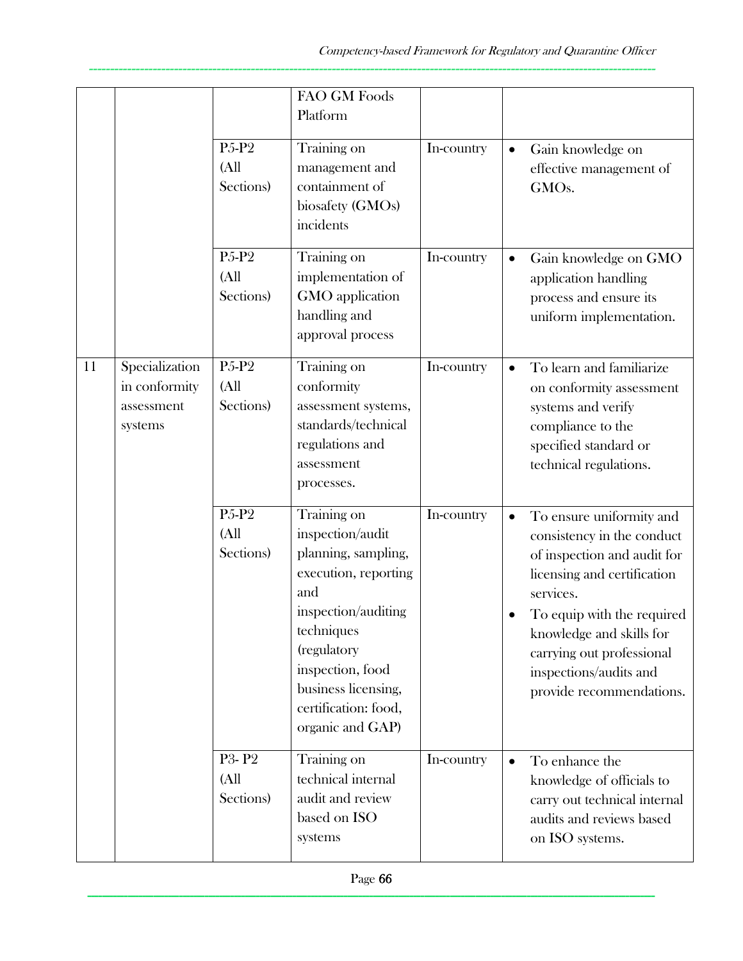|    |                                                          |                                                                   | FAO GM Foods<br>Platform                                                                                                                                                                                                         |            |           |                                                                                                                                                                                                                                                                                |
|----|----------------------------------------------------------|-------------------------------------------------------------------|----------------------------------------------------------------------------------------------------------------------------------------------------------------------------------------------------------------------------------|------------|-----------|--------------------------------------------------------------------------------------------------------------------------------------------------------------------------------------------------------------------------------------------------------------------------------|
|    |                                                          | P5-P2<br>(A <sup>II</sup> )<br>Sections)                          | Training on<br>management and<br>containment of<br>biosafety (GMOs)<br>incidents                                                                                                                                                 | In-country | $\bullet$ | Gain knowledge on<br>effective management of<br>GMO <sub>s</sub> .                                                                                                                                                                                                             |
|    |                                                          | P <sub>5</sub> -P <sub>2</sub><br>(A <sup>II</sup> )<br>Sections) | Training on<br>implementation of<br>GMO application<br>handling and<br>approval process                                                                                                                                          | In-country | $\bullet$ | Gain knowledge on GMO<br>application handling<br>process and ensure its<br>uniform implementation.                                                                                                                                                                             |
| 11 | Specialization<br>in conformity<br>assessment<br>systems | P5-P2<br>(A <sup>II</sup> )<br>Sections)                          | Training on<br>conformity<br>assessment systems,<br>standards/technical<br>regulations and<br>assessment<br>processes.                                                                                                           | In-country | $\bullet$ | To learn and familiarize<br>on conformity assessment<br>systems and verify<br>compliance to the<br>specified standard or<br>technical regulations.                                                                                                                             |
|    |                                                          | P5-P2<br>(A <sup>ll</sup> )<br>Sections)                          | Training on<br>inspection/audit<br>planning, sampling,<br>execution, reporting<br>and<br>inspection/auditing<br>techniques<br>(regulatory<br>inspection, food<br>business licensing,<br>certification: food,<br>organic and GAP) | In-country | $\bullet$ | To ensure uniformity and<br>consistency in the conduct<br>of inspection and audit for<br>licensing and certification<br>services.<br>To equip with the required<br>knowledge and skills for<br>carrying out professional<br>inspections/audits and<br>provide recommendations. |
|    |                                                          | P3-P2<br>(A <sup>ll</sup> )<br>Sections)                          | Training on<br>technical internal<br>audit and review<br>based on ISO<br>systems                                                                                                                                                 | In-country | $\bullet$ | To enhance the<br>knowledge of officials to<br>carry out technical internal<br>audits and reviews based<br>on ISO systems.                                                                                                                                                     |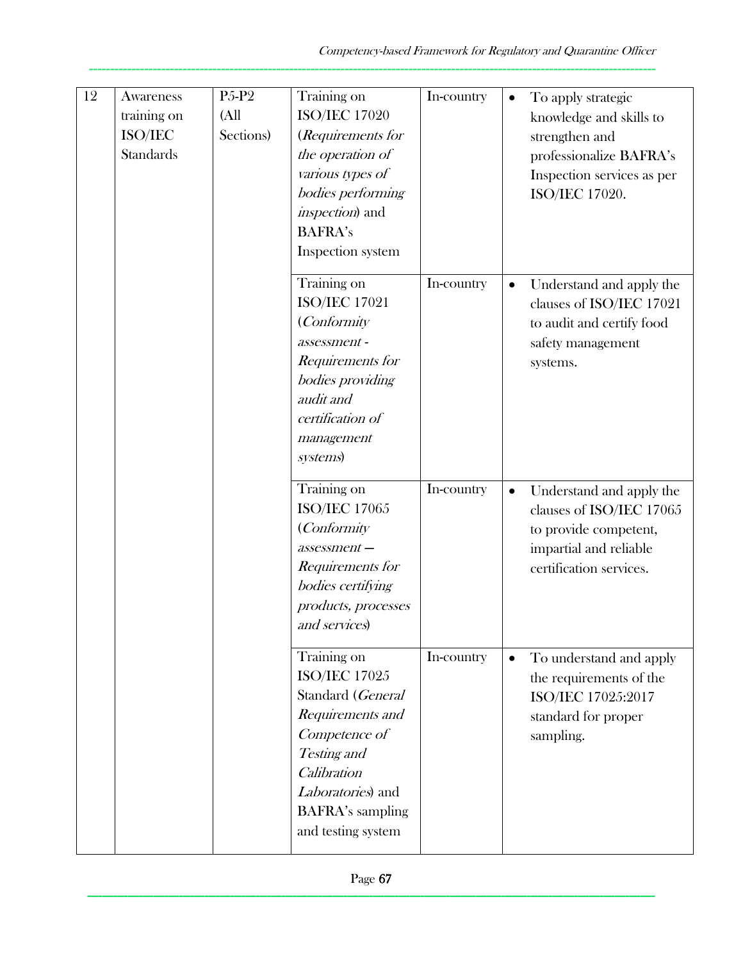| 12 | Awareness                                        | P <sub>5</sub> -P <sub>2</sub>  | Training on                                                                                                                                                                                       | In-country |           | To apply strategic                                                                                                                 |
|----|--------------------------------------------------|---------------------------------|---------------------------------------------------------------------------------------------------------------------------------------------------------------------------------------------------|------------|-----------|------------------------------------------------------------------------------------------------------------------------------------|
|    | training on<br>$\rm ISO/IEC$<br><b>Standards</b> | (A <sup>ll</sup> )<br>Sections) | <b>ISO/IEC 17020</b><br>(Requirements for<br>the operation of<br>various types of<br>bodies performing<br><i>inspection</i> ) and<br><b>BAFRA's</b><br>Inspection system                          |            |           | knowledge and skills to<br>strengthen and<br>professionalize BAFRA's<br>Inspection services as per<br>ISO/IEC 17020.               |
|    |                                                  |                                 | Training on<br><b>ISO/IEC 17021</b><br>(Conformity)<br>assessment-<br>Requirements for<br>bodies providing<br>audit and<br>certification of<br>management<br>systems)                             | In-country |           | Understand and apply the<br>clauses of ISO/IEC 17021<br>to audit and certify food<br>safety management<br>systems.                 |
|    |                                                  |                                 | Training on<br><b>ISO/IEC 17065</b><br>(Conformity<br>$assessment-$<br>Requirements for<br>bodies certifying<br>products, processes<br>and services)                                              | In-country | $\bullet$ | Understand and apply the<br>clauses of ISO/IEC 17065<br>to provide competent,<br>impartial and reliable<br>certification services. |
|    |                                                  |                                 | Training on<br><b>ISO/IEC 17025</b><br>Standard (General<br>Requirements and<br>Competence of<br>Testing and<br>Calibration<br>Laboratories) and<br><b>BAFRA's sampling</b><br>and testing system | In-country | $\bullet$ | To understand and apply<br>the requirements of the<br>ISO/IEC 17025:2017<br>standard for proper<br>sampling.                       |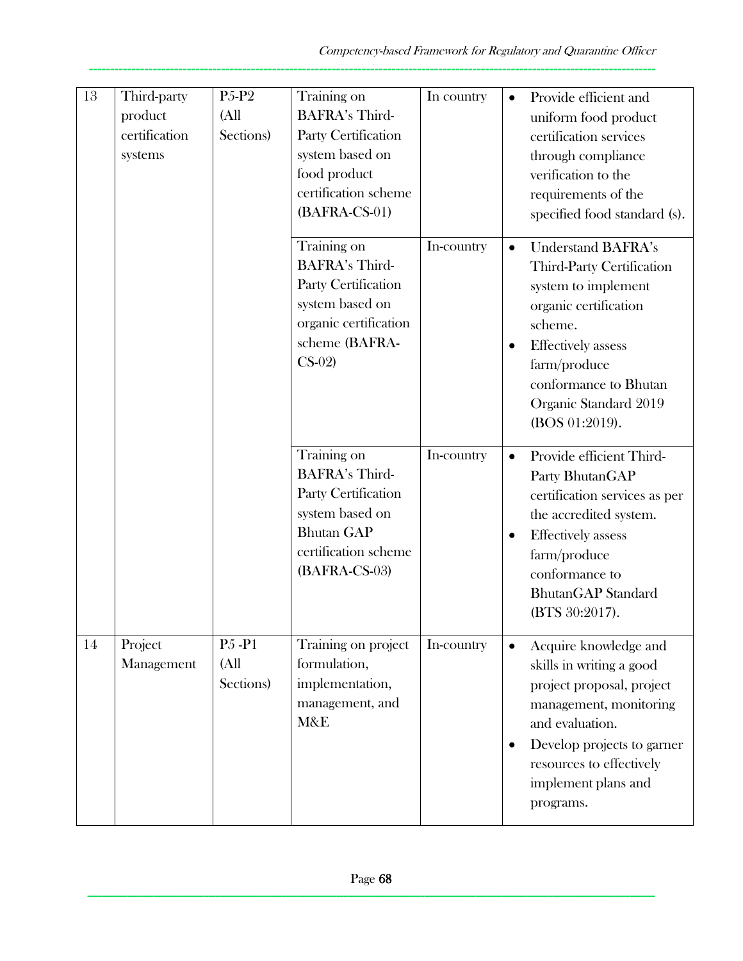| 13 | Third-party<br>product<br>certification<br>systems | P <sub>5</sub> -P <sub>2</sub><br>(A <sup>II</sup> )<br>Sections) | Training on<br><b>BAFRA's Third-</b><br>Party Certification<br>system based on<br>food product<br>certification scheme<br>(BAFRA-CS-01)      | In country | Provide efficient and<br>$\bullet$<br>uniform food product<br>certification services<br>through compliance<br>verification to the<br>requirements of the<br>specified food standard (s).                                                                     |
|----|----------------------------------------------------|-------------------------------------------------------------------|----------------------------------------------------------------------------------------------------------------------------------------------|------------|--------------------------------------------------------------------------------------------------------------------------------------------------------------------------------------------------------------------------------------------------------------|
|    |                                                    |                                                                   | Training on<br><b>BAFRA's Third-</b><br>Party Certification<br>system based on<br>organic certification<br>scheme (BAFRA-<br>$CS-02$         | In-country | <b>Understand BAFRA's</b><br>$\bullet$<br>Third-Party Certification<br>system to implement<br>organic certification<br>scheme.<br><b>Effectively</b> assess<br>$\bullet$<br>farm/produce<br>conformance to Bhutan<br>Organic Standard 2019<br>(BOS 01:2019). |
|    |                                                    |                                                                   | Training on<br><b>BAFRA's Third-</b><br>Party Certification<br>system based on<br><b>Bhutan GAP</b><br>certification scheme<br>(BAFRA-CS-03) | In-country | Provide efficient Third-<br>$\bullet$<br>Party BhutanGAP<br>certification services as per<br>the accredited system.<br><b>Effectively</b> assess<br>$\bullet$<br>farm/produce<br>conformance to<br><b>BhutanGAP</b> Standard<br>(BTS 30:2017).               |
| 14 | Project<br>Management                              | P <sub>5</sub> -P <sub>1</sub><br>(All<br>Sections)               | Training on project<br>formulation,<br>implementation,<br>management, and<br>M&E                                                             | In-country | Acquire knowledge and<br>skills in writing a good<br>project proposal, project<br>management, monitoring<br>and evaluation.<br>Develop projects to garner<br>resources to effectively<br>implement plans and<br>programs.                                    |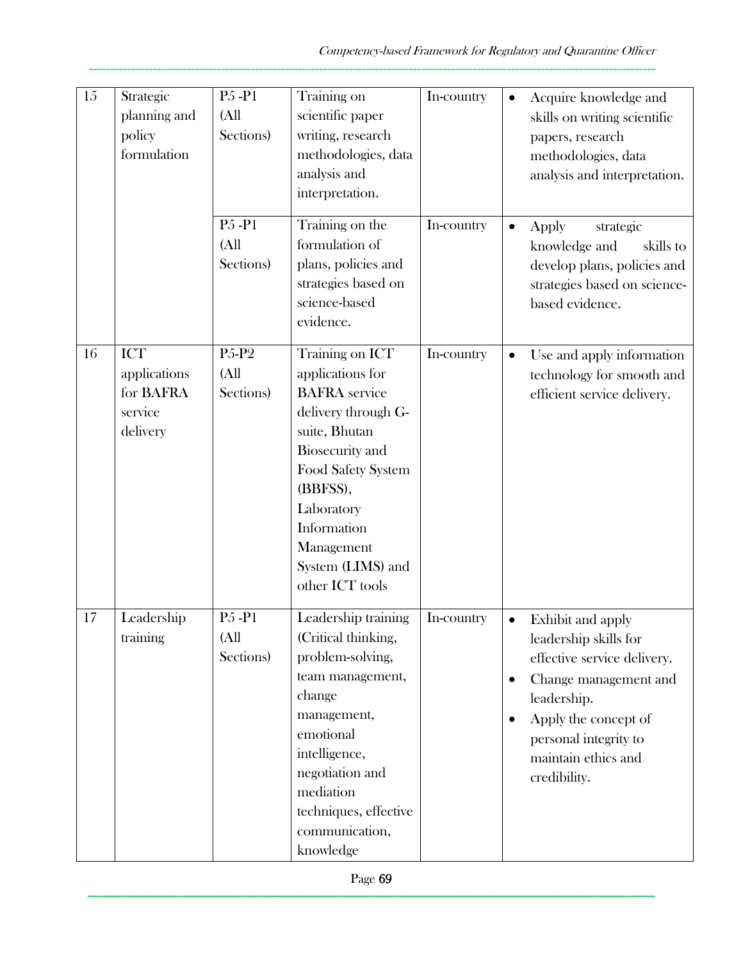| 15 | Strategic<br>planning and<br>policy<br>formulation      | P <sub>5</sub> -P <sub>1</sub><br>(A <sup>ll</sup> )<br>Sections) | Training on<br>scientific paper<br>writing, research<br>methodologies, data<br>analysis and<br>interpretation.                                                                                                                                     | In-country | $\bullet$                           | Acquire knowledge and<br>skills on writing scientific<br>papers, research<br>methodologies, data<br>analysis and interpretation.                                                                          |
|----|---------------------------------------------------------|-------------------------------------------------------------------|----------------------------------------------------------------------------------------------------------------------------------------------------------------------------------------------------------------------------------------------------|------------|-------------------------------------|-----------------------------------------------------------------------------------------------------------------------------------------------------------------------------------------------------------|
|    |                                                         | P <sub>5</sub> -P <sub>1</sub><br>(A <sup>II</sup> )<br>Sections) | Training on the<br>formulation of<br>plans, policies and<br>strategies based on<br>science-based<br>evidence.                                                                                                                                      | In-country | $\bullet$                           | strategic<br>Apply<br>knowledge and<br>skills to<br>develop plans, policies and<br>strategies based on science-<br>based evidence.                                                                        |
| 16 | ICT<br>applications<br>for BAFRA<br>service<br>delivery | P <sub>5</sub> -P <sub>2</sub><br>(A <sup>ll</sup> )<br>Sections) | Training on ICT<br>applications for<br><b>BAFRA</b> service<br>delivery through G-<br>suite, Bhutan<br><b>Biosecurity</b> and<br>Food Safety System<br>(BBFSS),<br>Laboratory<br>Information<br>Management<br>System (LIMS) and<br>other ICT tools | In-country | $\bullet$                           | Use and apply information<br>technology for smooth and<br>efficient service delivery.                                                                                                                     |
| 17 | Leadership<br>training                                  | P <sub>5</sub> -P <sub>1</sub><br>(All<br>Sections)               | Leadership training<br>(Critical thinking,<br>problem-solving,<br>team management,<br>change<br>management,<br>emotional<br>intelligence,<br>negotiation and<br>mediation<br>techniques, effective<br>communication,<br>knowledge                  | In-country | $\bullet$<br>$\bullet$<br>$\bullet$ | Exhibit and apply<br>leadership skills for<br>effective service delivery.<br>Change management and<br>leadership.<br>Apply the concept of<br>personal integrity to<br>maintain ethics and<br>credibility. |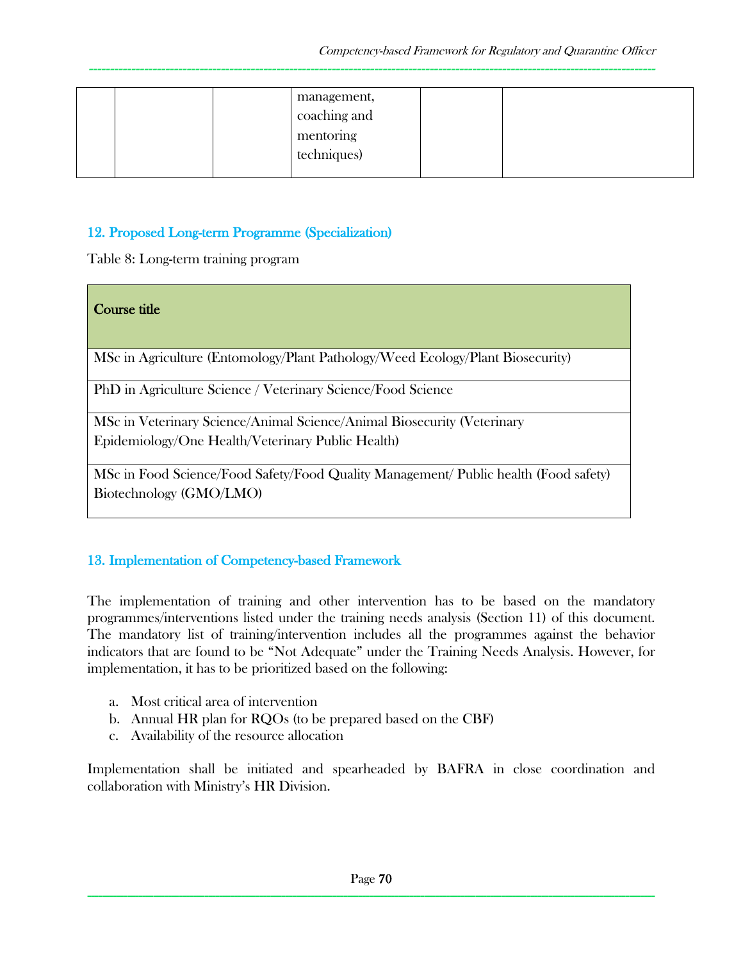| management,<br>coaching and<br>mentoring<br>techniques) |  |
|---------------------------------------------------------|--|
|---------------------------------------------------------|--|

## 12. Proposed Long-term Programme (Specialization)

Table 8: Long-term training program

| Course title                                                                                                    |
|-----------------------------------------------------------------------------------------------------------------|
| MSc in Agriculture (Entomology/Plant Pathology/Weed Ecology/Plant Biosecurity)                                  |
| PhD in Agriculture Science / Veterinary Science/Food Science                                                    |
| MSc in Veterinary Science/Animal Science/Animal Biosecurity (Veterinary                                         |
| Epidemiology/One Health/Veterinary Public Health)                                                               |
| MSc in Food Science/Food Safety/Food Quality Management/ Public health (Food safety)<br>Biotechnology (GMO/LMO) |

### 13. Implementation of Competency-based Framework

The implementation of training and other intervention has to be based on the mandatory programmes/interventions listed under the training needs analysis (Section 11) of this document. The mandatory list of training/intervention includes all the programmes against the behavior indicators that are found to be "Not Adequate" under the Training Needs Analysis. However, for implementation, it has to be prioritized based on the following:

- a. Most critical area of intervention
- b. Annual HR plan for RQOs (to be prepared based on the CBF)
- c. Availability of the resource allocation

Implementation shall be initiated and spearheaded by BAFRA in close coordination and collaboration with Ministry's HR Division.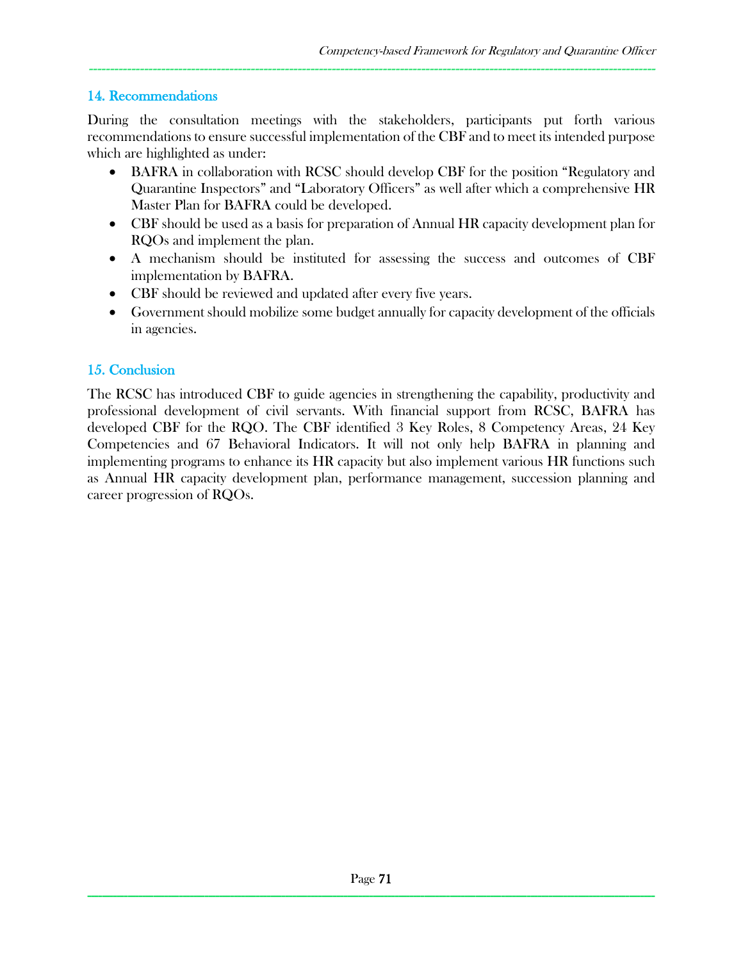### 14. Recommendations

During the consultation meetings with the stakeholders, participants put forth various recommendations to ensure successful implementation of the CBF and to meet its intended purpose which are highlighted as under:

-------------------------------------------------------------------------------------------------------------------------------------

- BAFRA in collaboration with RCSC should develop CBF for the position "Regulatory and Quarantine Inspectors" and "Laboratory Officers" as well after which a comprehensive HR Master Plan for BAFRA could be developed.
- CBF should be used as a basis for preparation of Annual HR capacity development plan for RQOs and implement the plan.
- A mechanism should be instituted for assessing the success and outcomes of CBF implementation by BAFRA.
- CBF should be reviewed and updated after every five years.
- Government should mobilize some budget annually for capacity development of the officials in agencies.

# 15. Conclusion

The RCSC has introduced CBF to guide agencies in strengthening the capability, productivity and professional development of civil servants. With financial support from RCSC, BAFRA has developed CBF for the RQO. The CBF identified 3 Key Roles, 8 Competency Areas, 24 Key Competencies and 67 Behavioral Indicators. It will not only help BAFRA in planning and implementing programs to enhance its HR capacity but also implement various HR functions such as Annual HR capacity development plan, performance management, succession planning and career progression of RQOs.